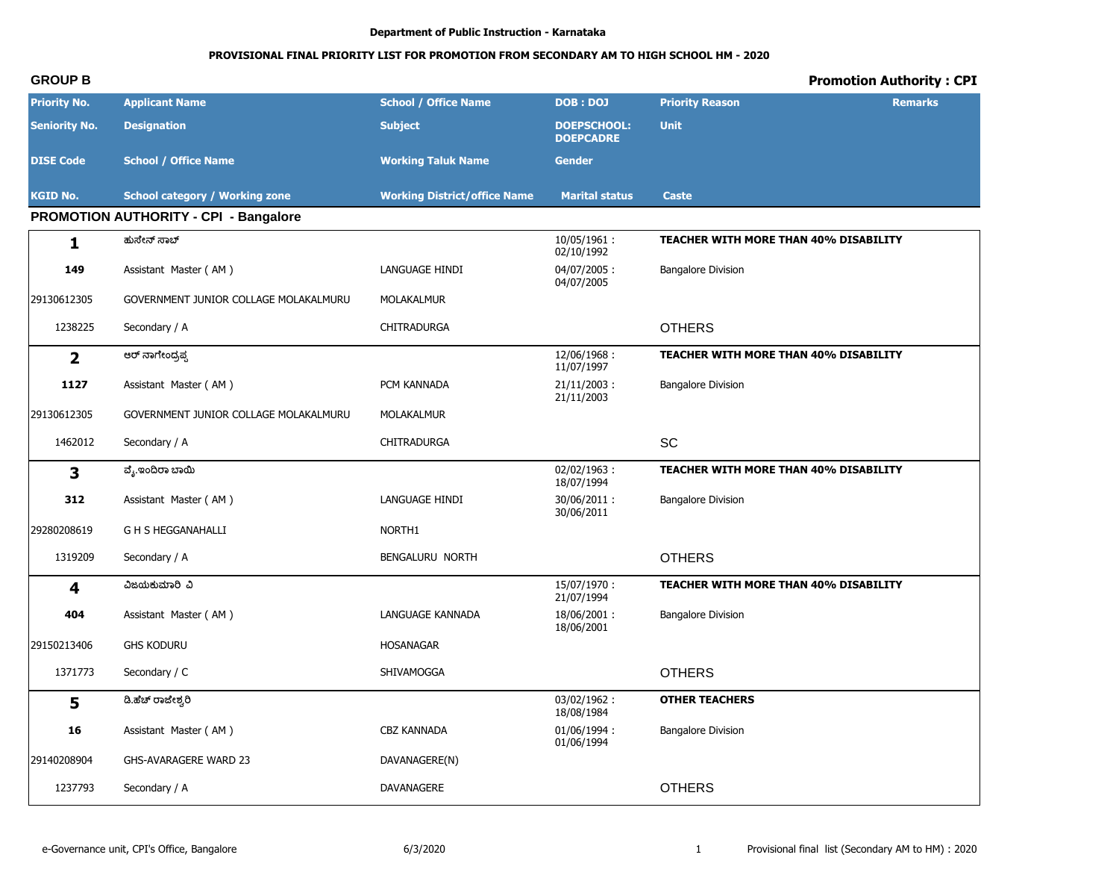#### **PROVISIONAL FINAL PRIORITY LIST FOR PROMOTION FROM SECONDARY AM TO HIGH SCHOOL HM - 2020**

### **GROUP B Promotion Authority : CPI Priority No. Applicant Name School / Office Name DOB : DOJ Priority Reason Remarks Seniority No. Designation Subject DOEPSCHOOL: DOEPCADRE Unit DISE Code School / Office Name More 2008 Working Taluk Name Gender KGID No. School category / Working zone Working District/office Name Marital status Caste PROMOTION AUTHORITY - CPI - Bangalore 1 dh±lsŖ±eř** 10/05/1961 : 02/10/1992 **TEACHER WITH MORE THAN 40% DISABILITY 149** Assistant Master (AM ) **LANGUAGE HINDI** 04/07/2005 : 04/07/2005 Bangalore Division 29130612305 GOVERNMENT JUNIOR COLLAGE MOLAKALMURU MOLAKALMUR 1238225 Secondary / A CHITRADURGA CHITRADURGA CHITRADURGA **2** <u>. ಕರ್ ನಾಗೇಂದ್ರಪ್ಪ</u> ( ರಾಜ್ಯ ಕರ್ ನಾಗೇಂದ್ರವು 12/06/1968 : ರಾಜ್ಯ ಕರ್ ನಾಗೇಂದ್ರವು 12/06/1968 : ರಾಜ 11/07/1997 **TEACHER WITH MORE THAN 40% DISABILITY 1127** Assistant Master (AM ) **PCM KANNADA** 21/11/2003 : 21/11/2003 Bangalore Division 29130612305 GOVERNMENT JUNIOR COLLAGE MOLAKALMURU MOLAKALMUR 1462012 Secondary / A CHITRADURGA SCONDENSION SCONDENSIONS SCONDENSIONS SCONDENSIONS SCONDENSIONS SCONDENSIONS **3 ®lt62Ĩªe¦eĵ** 02/02/1963 : 18/07/1994 **TEACHER WITH MORE THAN 40% DISABILITY 312** Assistant Master ( AM ) **LANGUAGE HINDI** 30/06/2011 : 30/06/2011 Bangalore Division 29280208619 G H S HEGGANAHALLI NORTH1 1319209 Secondary / A BENGALURU NORTH **COLLERS 4 ĻI[Bh¨eĸĻ** 15/07/1970 : 21/07/1994 **TEACHER WITH MORE THAN 40% DISABILITY 404** Assistant Master ( AM ) LANGUAGE KANNADA 18/06/2001 : 18/06/2001 Bangalore Division 29150213406 GHS KODURU HOSANAGAR 1371773 Secondary / C **SHIVAMOGGA** SHIVAMOGGA **OTHERS 5 ģ²lňªelsaÒĸ** 03/02/1962 : 18/08/1984 **OTHER TEACHERS 16** Assistant Master (AM ) **CBZ KANNADA** 01/06/1994 : 01/06/1994 Bangalore Division 29140208904 GHS-AVARAGERE WARD 23 DAVANAGERE(N) 1237793 Secondary / A DAVANAGERE **CONTRIGUITS Secondary / A** DAVANAGERE **OTHERS**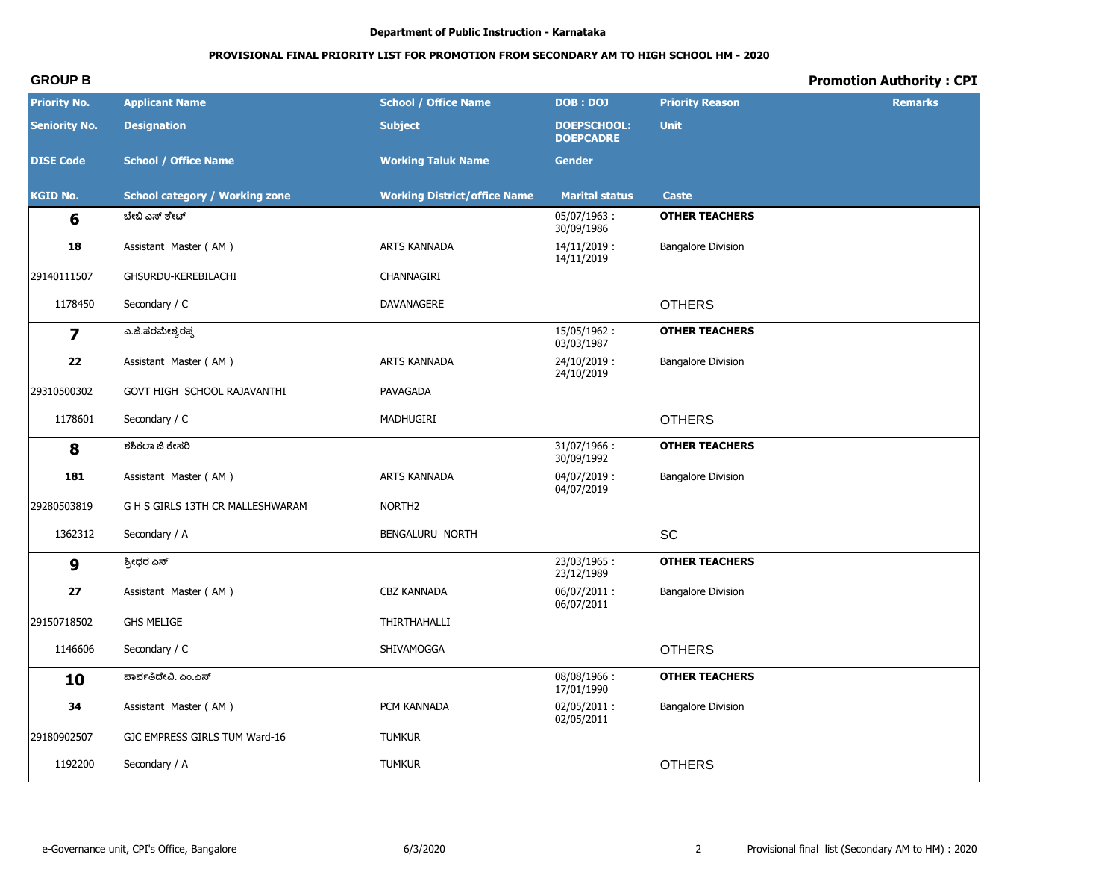# PROVISIONAL FINAL PRIORITY LIST FOR PROMOTION FROM SECONDARY AM TO HIGH SCHOOL HM - 2020

# **Promotion Authority: CPI**

| <b>Priority No.</b>     | <b>Applicant Name</b>                 | <b>School / Office Name</b>         | <b>DOB: DOJ</b>                        | <b>Priority Reason</b>    | <b>Remarks</b> |
|-------------------------|---------------------------------------|-------------------------------------|----------------------------------------|---------------------------|----------------|
| <b>Seniority No.</b>    | <b>Designation</b>                    | <b>Subject</b>                      | <b>DOEPSCHOOL:</b><br><b>DOEPCADRE</b> | <b>Unit</b>               |                |
| <b>DISE Code</b>        | <b>School / Office Name</b>           | <b>Working Taluk Name</b>           | <b>Gender</b>                          |                           |                |
| <b>KGID No.</b>         | <b>School category / Working zone</b> | <b>Working District/office Name</b> | <b>Marital status</b>                  | <b>Caste</b>              |                |
| 6                       | ಬೇಬಿ ಎಸ್ ಶೇಟ್                         |                                     | 05/07/1963:<br>30/09/1986              | <b>OTHER TEACHERS</b>     |                |
| 18                      | Assistant Master (AM)                 | ARTS KANNADA                        | $14/11/2019$ :<br>14/11/2019           | <b>Bangalore Division</b> |                |
| 29140111507             | GHSURDU-KEREBILACHI                   | CHANNAGIRI                          |                                        |                           |                |
| 1178450                 | Secondary / C                         | DAVANAGERE                          |                                        | <b>OTHERS</b>             |                |
| $\overline{\mathbf{z}}$ | ಎ.ಜಿ.ಪರಮೇಶ್ವರಪ್ಪ                      |                                     | 15/05/1962:<br>03/03/1987              | <b>OTHER TEACHERS</b>     |                |
| 22                      | Assistant Master (AM)                 | ARTS KANNADA                        | 24/10/2019:<br>24/10/2019              | <b>Bangalore Division</b> |                |
| 29310500302             | GOVT HIGH SCHOOL RAJAVANTHI           | PAVAGADA                            |                                        |                           |                |
| 1178601                 | Secondary / C                         | MADHUGIRI                           |                                        | <b>OTHERS</b>             |                |
| 8                       | ಶಶಿಕಲಾ ಜಿ ಕೇಸರಿ                       |                                     | 31/07/1966:<br>30/09/1992              | <b>OTHER TEACHERS</b>     |                |
| 181                     | Assistant Master (AM)                 | ARTS KANNADA                        | $04/07/2019$ :<br>04/07/2019           | <b>Bangalore Division</b> |                |
| 29280503819             | G H S GIRLS 13TH CR MALLESHWARAM      | NORTH <sub>2</sub>                  |                                        |                           |                |
| 1362312                 | Secondary / A                         | BENGALURU NORTH                     |                                        | SC                        |                |
| 9                       | ಶ್ರೀಧರ ಎಸ್                            |                                     | 23/03/1965:<br>23/12/1989              | <b>OTHER TEACHERS</b>     |                |
| 27                      | Assistant Master (AM)                 | <b>CBZ KANNADA</b>                  | 06/07/2011:<br>06/07/2011              | <b>Bangalore Division</b> |                |
| 29150718502             | <b>GHS MELIGE</b>                     | THIRTHAHALLI                        |                                        |                           |                |
| 1146606                 | Secondary / C                         | SHIVAMOGGA                          |                                        | <b>OTHERS</b>             |                |
| 10                      | ಪಾರ್ವತಿದೇವಿ. ಎಂ.ಎಸ್                   |                                     | 08/08/1966:<br>17/01/1990              | <b>OTHER TEACHERS</b>     |                |
| 34                      | Assistant Master (AM)                 | PCM KANNADA                         | 02/05/2011:<br>02/05/2011              | <b>Bangalore Division</b> |                |
| 29180902507             | GJC EMPRESS GIRLS TUM Ward-16         | <b>TUMKUR</b>                       |                                        |                           |                |
| 1192200                 | Secondary / A                         | <b>TUMKUR</b>                       |                                        | <b>OTHERS</b>             |                |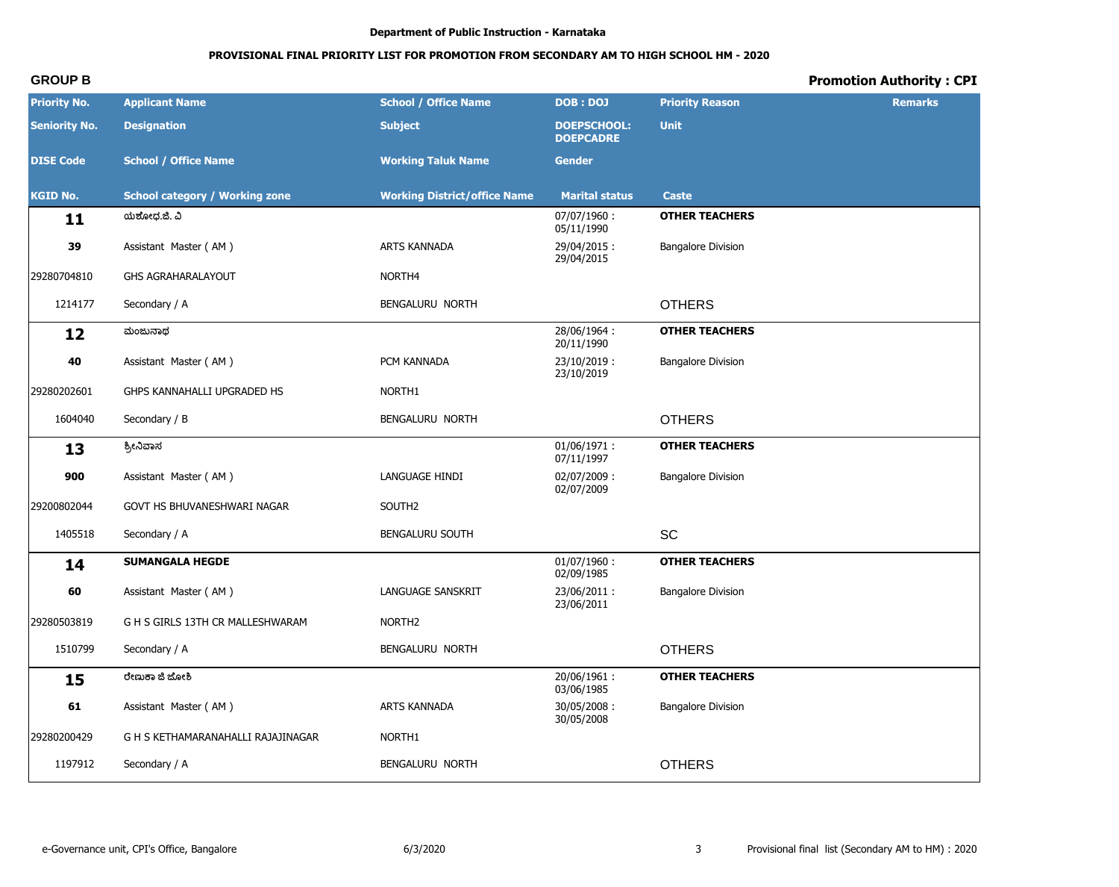# **PROVISIONAL FINAL PRIORITY LIST FOR PROMOTION FROM SECONDARY AM TO HIGH SCHOOL HM - 2020**

| <b>Priority No.</b>  | <b>Applicant Name</b>                 | <b>School / Office Name</b>         | <b>DOB: DOJ</b>                        | <b>Priority Reason</b>    | <b>Remarks</b> |
|----------------------|---------------------------------------|-------------------------------------|----------------------------------------|---------------------------|----------------|
| <b>Seniority No.</b> | <b>Designation</b>                    | <b>Subject</b>                      | <b>DOEPSCHOOL:</b><br><b>DOEPCADRE</b> | <b>Unit</b>               |                |
| <b>DISE Code</b>     | <b>School / Office Name</b>           | <b>Working Taluk Name</b>           | <b>Gender</b>                          |                           |                |
| <b>KGID No.</b>      | <b>School category / Working zone</b> | <b>Working District/office Name</b> | <b>Marital status</b>                  | <b>Caste</b>              |                |
| 11                   | ಯಶೋಧ.ಜಿ. ವಿ                           |                                     | 07/07/1960:<br>05/11/1990              | <b>OTHER TEACHERS</b>     |                |
| 39                   | Assistant Master (AM)                 | ARTS KANNADA                        | 29/04/2015:<br>29/04/2015              | <b>Bangalore Division</b> |                |
| 29280704810          | <b>GHS AGRAHARALAYOUT</b>             | NORTH4                              |                                        |                           |                |
| 1214177              | Secondary / A                         | BENGALURU NORTH                     |                                        | <b>OTHERS</b>             |                |
| 12                   | ಮಂಜುನಾಥ                               |                                     | 28/06/1964:<br>20/11/1990              | <b>OTHER TEACHERS</b>     |                |
| 40                   | Assistant Master (AM)                 | PCM KANNADA                         | 23/10/2019:<br>23/10/2019              | <b>Bangalore Division</b> |                |
| 29280202601          | GHPS KANNAHALLI UPGRADED HS           | NORTH1                              |                                        |                           |                |
| 1604040              | Secondary / B                         | BENGALURU NORTH                     |                                        | <b>OTHERS</b>             |                |
| 13                   | ಶ್ರೀನಿವಾಸ                             |                                     | $01/06/1971$ :<br>07/11/1997           | <b>OTHER TEACHERS</b>     |                |
| 900                  | Assistant Master (AM)                 | LANGUAGE HINDI                      | 02/07/2009:<br>02/07/2009              | <b>Bangalore Division</b> |                |
| 29200802044          | GOVT HS BHUVANESHWARI NAGAR           | SOUTH2                              |                                        |                           |                |
| 1405518              | Secondary / A                         | BENGALURU SOUTH                     |                                        | SC                        |                |
| 14                   | <b>SUMANGALA HEGDE</b>                |                                     | $01/07/1960$ :<br>02/09/1985           | <b>OTHER TEACHERS</b>     |                |
| 60                   | Assistant Master (AM)                 | <b>LANGUAGE SANSKRIT</b>            | 23/06/2011:<br>23/06/2011              | <b>Bangalore Division</b> |                |
| 29280503819          | G H S GIRLS 13TH CR MALLESHWARAM      | NORTH <sub>2</sub>                  |                                        |                           |                |
| 1510799              | Secondary / A                         | BENGALURU NORTH                     |                                        | <b>OTHERS</b>             |                |
| 15                   | ರೇಣುಕಾ ಜಿ ಜೋಶಿ                        |                                     | 20/06/1961:<br>03/06/1985              | <b>OTHER TEACHERS</b>     |                |
| 61                   | Assistant Master (AM)                 | ARTS KANNADA                        | 30/05/2008:<br>30/05/2008              | <b>Bangalore Division</b> |                |
| 29280200429          | G H S KETHAMARANAHALLI RAJAJINAGAR    | NORTH1                              |                                        |                           |                |
| 1197912              | Secondary / A                         | BENGALURU NORTH                     |                                        | <b>OTHERS</b>             |                |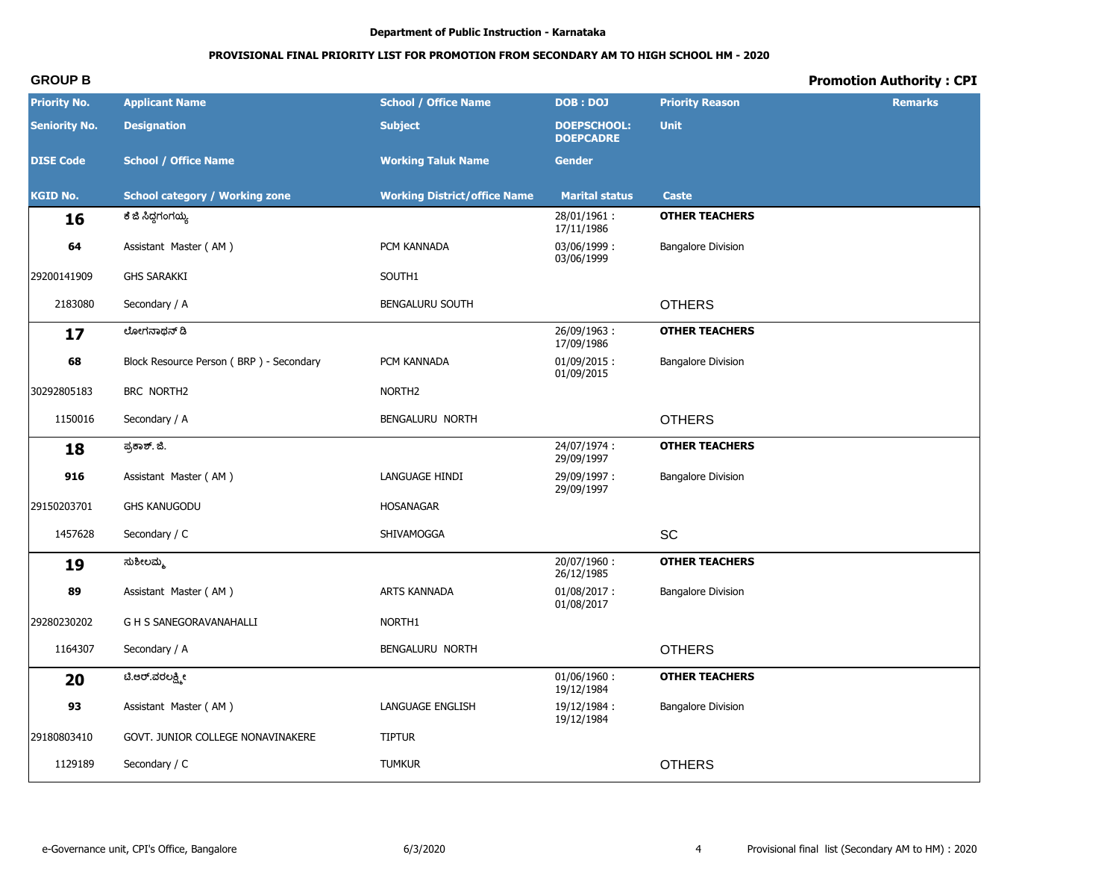# **PROVISIONAL FINAL PRIORITY LIST FOR PROMOTION FROM SECONDARY AM TO HIGH SCHOOL HM - 2020**

| <b>Priority No.</b>  | <b>Applicant Name</b>                   | <b>School / Office Name</b>         | DOB: DOJ                               | <b>Priority Reason</b>    | <b>Remarks</b> |
|----------------------|-----------------------------------------|-------------------------------------|----------------------------------------|---------------------------|----------------|
| <b>Seniority No.</b> | <b>Designation</b>                      | <b>Subject</b>                      | <b>DOEPSCHOOL:</b><br><b>DOEPCADRE</b> | <b>Unit</b>               |                |
| <b>DISE Code</b>     | <b>School / Office Name</b>             | <b>Working Taluk Name</b>           | <b>Gender</b>                          |                           |                |
| <b>KGID No.</b>      | <b>School category / Working zone</b>   | <b>Working District/office Name</b> | <b>Marital status</b>                  | Caste                     |                |
| 16                   | ಕೆ ಜಿ ಸಿದ್ಧಗಂಗಯ್ಯ                       |                                     | 28/01/1961:<br>17/11/1986              | <b>OTHER TEACHERS</b>     |                |
| 64                   | Assistant Master (AM)                   | PCM KANNADA                         | 03/06/1999:<br>03/06/1999              | <b>Bangalore Division</b> |                |
| 29200141909          | <b>GHS SARAKKI</b>                      | SOUTH1                              |                                        |                           |                |
| 2183080              | Secondary / A                           | <b>BENGALURU SOUTH</b>              |                                        | <b>OTHERS</b>             |                |
| 17                   | ಲೋಗನಾಥನ್ ಡಿ                             |                                     | 26/09/1963:<br>17/09/1986              | <b>OTHER TEACHERS</b>     |                |
| 68                   | Block Resource Person (BRP) - Secondary | PCM KANNADA                         | $01/09/2015$ :<br>01/09/2015           | <b>Bangalore Division</b> |                |
| 30292805183          | BRC NORTH2                              | NORTH <sub>2</sub>                  |                                        |                           |                |
| 1150016              | Secondary / A                           | BENGALURU NORTH                     |                                        | <b>OTHERS</b>             |                |
| 18                   | ಪ್ರಕಾಶ್. ಜಿ.                            |                                     | 24/07/1974:<br>29/09/1997              | <b>OTHER TEACHERS</b>     |                |
| 916                  | Assistant Master (AM)                   | LANGUAGE HINDI                      | 29/09/1997:<br>29/09/1997              | <b>Bangalore Division</b> |                |
| 29150203701          | <b>GHS KANUGODU</b>                     | <b>HOSANAGAR</b>                    |                                        |                           |                |
| 1457628              | Secondary / C                           | SHIVAMOGGA                          |                                        | SC                        |                |
| 19                   | ಸುಶೀಲಮ್ಮ                                |                                     | 20/07/1960:<br>26/12/1985              | <b>OTHER TEACHERS</b>     |                |
| 89                   | Assistant Master (AM)                   | ARTS KANNADA                        | $01/08/2017$ :<br>01/08/2017           | <b>Bangalore Division</b> |                |
| 29280230202          | <b>G H S SANEGORAVANAHALLI</b>          | NORTH1                              |                                        |                           |                |
| 1164307              | Secondary / A                           | BENGALURU NORTH                     |                                        | <b>OTHERS</b>             |                |
| 20                   | ಟಿ.ಆರ್.ವರಲಕ್ಷ್ಮೀ                        |                                     | $01/06/1960$ :<br>19/12/1984           | <b>OTHER TEACHERS</b>     |                |
| 93                   | Assistant Master (AM)                   | LANGUAGE ENGLISH                    | 19/12/1984:<br>19/12/1984              | <b>Bangalore Division</b> |                |
| 29180803410          | GOVT. JUNIOR COLLEGE NONAVINAKERE       | <b>TIPTUR</b>                       |                                        |                           |                |
| 1129189              | Secondary / C                           | <b>TUMKUR</b>                       |                                        | <b>OTHERS</b>             |                |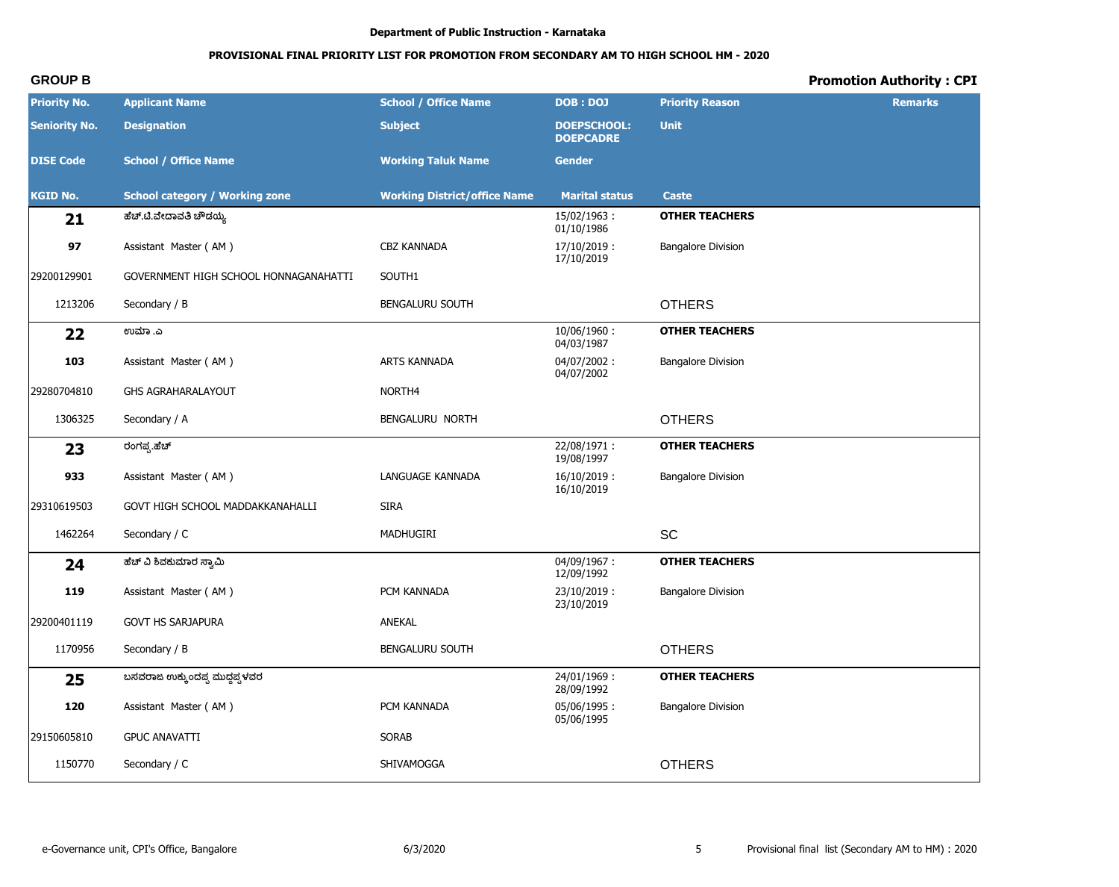# **PROVISIONAL FINAL PRIORITY LIST FOR PROMOTION FROM SECONDARY AM TO HIGH SCHOOL HM - 2020**

| <b>Priority No.</b>  | <b>Applicant Name</b>                 | <b>School / Office Name</b>         | DOB: DOJ                               | <b>Priority Reason</b>    | <b>Remarks</b> |
|----------------------|---------------------------------------|-------------------------------------|----------------------------------------|---------------------------|----------------|
| <b>Seniority No.</b> | <b>Designation</b>                    | <b>Subject</b>                      | <b>DOEPSCHOOL:</b><br><b>DOEPCADRE</b> | <b>Unit</b>               |                |
| <b>DISE Code</b>     | <b>School / Office Name</b>           | <b>Working Taluk Name</b>           | <b>Gender</b>                          |                           |                |
| <b>KGID No.</b>      | <b>School category / Working zone</b> | <b>Working District/office Name</b> | <b>Marital status</b>                  | Caste                     |                |
| 21                   | ಹೆಚ್.ಟಿ.ವೇದಾವತಿ ಚೌಡಯ್ಯ                |                                     | 15/02/1963:<br>01/10/1986              | <b>OTHER TEACHERS</b>     |                |
| 97                   | Assistant Master (AM)                 | <b>CBZ KANNADA</b>                  | 17/10/2019:<br>17/10/2019              | <b>Bangalore Division</b> |                |
| 29200129901          | GOVERNMENT HIGH SCHOOL HONNAGANAHATTI | SOUTH1                              |                                        |                           |                |
| 1213206              | Secondary / B                         | <b>BENGALURU SOUTH</b>              |                                        | <b>OTHERS</b>             |                |
| 22                   | ಉಮಾ .ಎ                                |                                     | 10/06/1960:<br>04/03/1987              | <b>OTHER TEACHERS</b>     |                |
| 103                  | Assistant Master (AM)                 | ARTS KANNADA                        | 04/07/2002:<br>04/07/2002              | <b>Bangalore Division</b> |                |
| 29280704810          | <b>GHS AGRAHARALAYOUT</b>             | NORTH4                              |                                        |                           |                |
| 1306325              | Secondary / A                         | BENGALURU NORTH                     |                                        | <b>OTHERS</b>             |                |
| 23                   | ರಂಗಪ್ಪ.ಹೆಚ್                           |                                     | 22/08/1971:<br>19/08/1997              | <b>OTHER TEACHERS</b>     |                |
| 933                  | Assistant Master (AM)                 | LANGUAGE KANNADA                    | $16/10/2019$ :<br>16/10/2019           | <b>Bangalore Division</b> |                |
| 29310619503          | GOVT HIGH SCHOOL MADDAKKANAHALLI      | <b>SIRA</b>                         |                                        |                           |                |
| 1462264              | Secondary / C                         | MADHUGIRI                           |                                        | <b>SC</b>                 |                |
| 24                   | ಹೆಚ್ ವಿ ಶಿವಕುಮಾರ ಸ್ವಾಮಿ               |                                     | 04/09/1967:<br>12/09/1992              | <b>OTHER TEACHERS</b>     |                |
| 119                  | Assistant Master (AM)                 | PCM KANNADA                         | 23/10/2019:<br>23/10/2019              | <b>Bangalore Division</b> |                |
| 29200401119          | <b>GOVT HS SARJAPURA</b>              | ANEKAL                              |                                        |                           |                |
| 1170956              | Secondary / B                         | <b>BENGALURU SOUTH</b>              |                                        | <b>OTHERS</b>             |                |
| 25                   | ಬಸವರಾಜ ಉಕ್ಕುಂದಪ್ಪ ಮುದ್ದಪ್ಪಳವರ         |                                     | 24/01/1969:<br>28/09/1992              | <b>OTHER TEACHERS</b>     |                |
| 120                  | Assistant Master (AM)                 | PCM KANNADA                         | 05/06/1995:<br>05/06/1995              | <b>Bangalore Division</b> |                |
| 29150605810          | <b>GPUC ANAVATTI</b>                  | <b>SORAB</b>                        |                                        |                           |                |
| 1150770              | Secondary / C                         | SHIVAMOGGA                          |                                        | <b>OTHERS</b>             |                |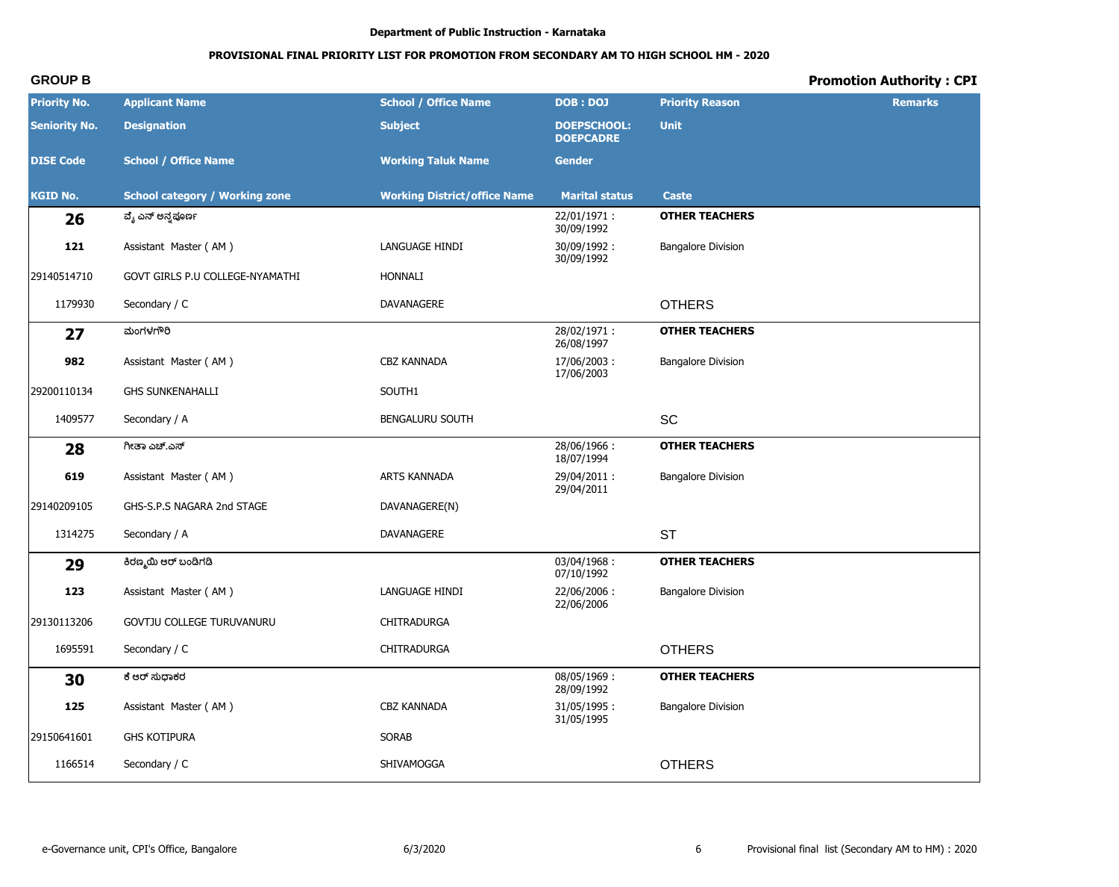# PROVISIONAL FINAL PRIORITY LIST FOR PROMOTION FROM SECONDARY AM TO HIGH SCHOOL HM - 2020

# **Promotion Authority: CPI**

| <b>Priority No.</b>  | <b>Applicant Name</b>                 | <b>School / Office Name</b>         | <b>DOB: DOJ</b>                        | <b>Priority Reason</b>    | <b>Remarks</b> |
|----------------------|---------------------------------------|-------------------------------------|----------------------------------------|---------------------------|----------------|
| <b>Seniority No.</b> | <b>Designation</b>                    | <b>Subject</b>                      | <b>DOEPSCHOOL:</b><br><b>DOEPCADRE</b> | <b>Unit</b>               |                |
| <b>DISE Code</b>     | <b>School / Office Name</b>           | <b>Working Taluk Name</b>           | <b>Gender</b>                          |                           |                |
| <b>KGID No.</b>      | <b>School category / Working zone</b> | <b>Working District/office Name</b> | <b>Marital status</b>                  | <b>Caste</b>              |                |
| 26                   | ವೈ ಎನ್ ಅನ್ನಪೂರ್ಣ                      |                                     | 22/01/1971:<br>30/09/1992              | <b>OTHER TEACHERS</b>     |                |
| 121                  | Assistant Master (AM)                 | LANGUAGE HINDI                      | 30/09/1992:<br>30/09/1992              | <b>Bangalore Division</b> |                |
| 29140514710          | GOVT GIRLS P.U COLLEGE-NYAMATHI       | <b>HONNALI</b>                      |                                        |                           |                |
| 1179930              | Secondary / C                         | DAVANAGERE                          |                                        | <b>OTHERS</b>             |                |
| 27                   | ಮಂಗಳಗೌರಿ                              |                                     | 28/02/1971:<br>26/08/1997              | <b>OTHER TEACHERS</b>     |                |
| 982                  | Assistant Master (AM)                 | CBZ KANNADA                         | 17/06/2003:<br>17/06/2003              | <b>Bangalore Division</b> |                |
| 29200110134          | <b>GHS SUNKENAHALLI</b>               | SOUTH1                              |                                        |                           |                |
| 1409577              | Secondary / A                         | BENGALURU SOUTH                     |                                        | SC                        |                |
| 28                   | ಗೀತಾ ಎಚ್.ಎಸ್                          |                                     | 28/06/1966:<br>18/07/1994              | <b>OTHER TEACHERS</b>     |                |
| 619                  | Assistant Master (AM)                 | ARTS KANNADA                        | 29/04/2011:<br>29/04/2011              | <b>Bangalore Division</b> |                |
| 29140209105          | GHS-S.P.S NAGARA 2nd STAGE            | DAVANAGERE(N)                       |                                        |                           |                |
| 1314275              | Secondary / A                         | DAVANAGERE                          |                                        | <b>ST</b>                 |                |
| 29                   | ಕಿರಣ್ಮಯಿ ಆರ್ ಬಂಡಿಗಡಿ                  |                                     | 03/04/1968:<br>07/10/1992              | <b>OTHER TEACHERS</b>     |                |
| 123                  | Assistant Master (AM)                 | LANGUAGE HINDI                      | 22/06/2006:<br>22/06/2006              | <b>Bangalore Division</b> |                |
| 29130113206          | GOVTJU COLLEGE TURUVANURU             | CHITRADURGA                         |                                        |                           |                |
| 1695591              | Secondary / C                         | CHITRADURGA                         |                                        | <b>OTHERS</b>             |                |
| 30                   | ಕೆ ಆರ್ ಸುಧಾಕರ                         |                                     | 08/05/1969:<br>28/09/1992              | <b>OTHER TEACHERS</b>     |                |
| 125                  | Assistant Master (AM)                 | CBZ KANNADA                         | 31/05/1995:<br>31/05/1995              | <b>Bangalore Division</b> |                |
| 29150641601          | <b>GHS KOTIPURA</b>                   | SORAB                               |                                        |                           |                |
| 1166514              | Secondary / C                         | SHIVAMOGGA                          |                                        | <b>OTHERS</b>             |                |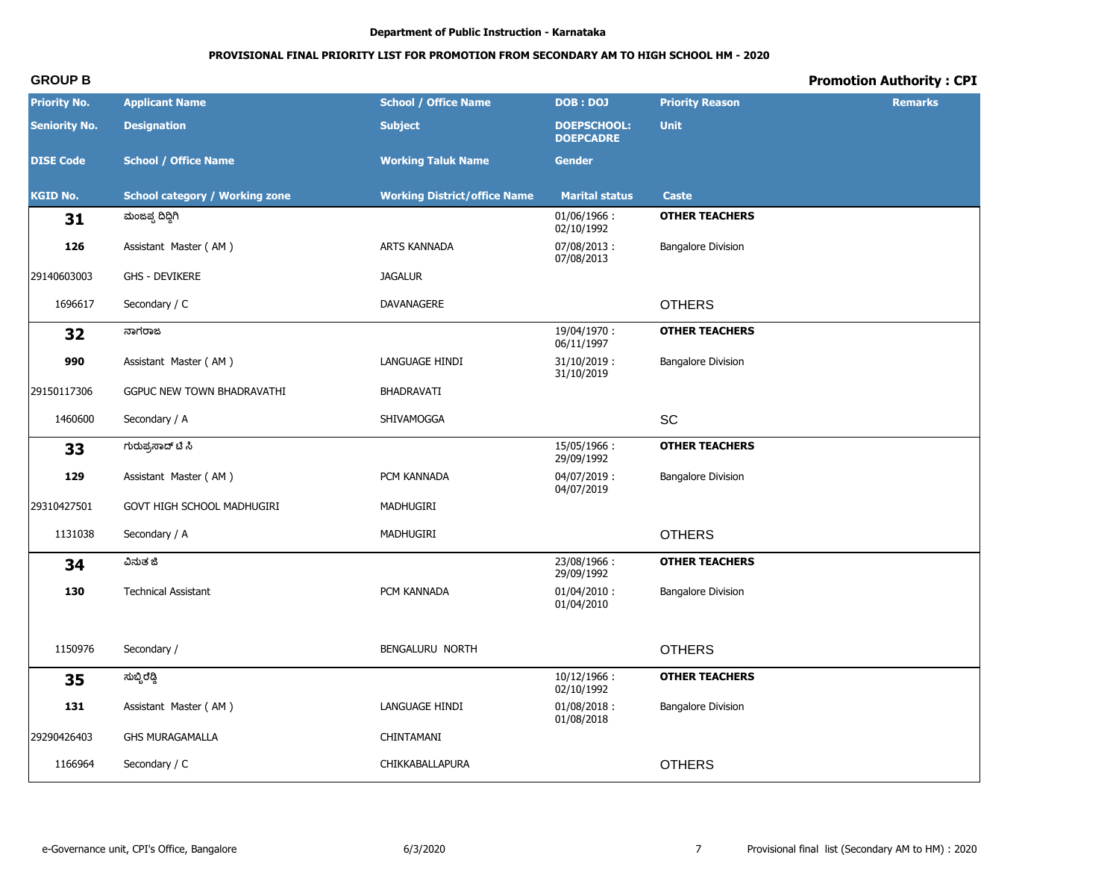# **PROVISIONAL FINAL PRIORITY LIST FOR PROMOTION FROM SECONDARY AM TO HIGH SCHOOL HM - 2020**

| <b>Priority No.</b>  | <b>Applicant Name</b>                 | <b>School / Office Name</b>         | <b>DOB: DOJ</b>                        | <b>Priority Reason</b>    | <b>Remarks</b> |
|----------------------|---------------------------------------|-------------------------------------|----------------------------------------|---------------------------|----------------|
| <b>Seniority No.</b> | <b>Designation</b>                    | <b>Subject</b>                      | <b>DOEPSCHOOL:</b><br><b>DOEPCADRE</b> | <b>Unit</b>               |                |
| <b>DISE Code</b>     | <b>School / Office Name</b>           | <b>Working Taluk Name</b>           | <b>Gender</b>                          |                           |                |
| <b>KGID No.</b>      | <b>School category / Working zone</b> | <b>Working District/office Name</b> | <b>Marital status</b>                  | <b>Caste</b>              |                |
| 31                   | ಮಂಜಪ್ಪ ದಿದ್ದಿಗಿ                       |                                     | $01/06/1966$ :<br>02/10/1992           | <b>OTHER TEACHERS</b>     |                |
| 126                  | Assistant Master (AM)                 | <b>ARTS KANNADA</b>                 | 07/08/2013:<br>07/08/2013              | <b>Bangalore Division</b> |                |
| 29140603003          | <b>GHS - DEVIKERE</b>                 | <b>JAGALUR</b>                      |                                        |                           |                |
| 1696617              | Secondary / C                         | DAVANAGERE                          |                                        | <b>OTHERS</b>             |                |
| 32                   | ನಾಗರಾಜ                                |                                     | 19/04/1970:<br>06/11/1997              | <b>OTHER TEACHERS</b>     |                |
| 990                  | Assistant Master (AM)                 | LANGUAGE HINDI                      | $31/10/2019$ :<br>31/10/2019           | <b>Bangalore Division</b> |                |
| 29150117306          | GGPUC NEW TOWN BHADRAVATHI            | BHADRAVATI                          |                                        |                           |                |
| 1460600              | Secondary / A                         | SHIVAMOGGA                          |                                        | SC                        |                |
| 33                   | ಗುರುಪ್ರಸಾದ್ ಟಿ ಸಿ                     |                                     | 15/05/1966:<br>29/09/1992              | <b>OTHER TEACHERS</b>     |                |
| 129                  | Assistant Master (AM)                 | PCM KANNADA                         | $04/07/2019$ :<br>04/07/2019           | <b>Bangalore Division</b> |                |
| 29310427501          | GOVT HIGH SCHOOL MADHUGIRI            | MADHUGIRI                           |                                        |                           |                |
| 1131038              | Secondary / A                         | MADHUGIRI                           |                                        | <b>OTHERS</b>             |                |
| 34                   | ವಿನುತ ಜಿ                              |                                     | 23/08/1966:<br>29/09/1992              | <b>OTHER TEACHERS</b>     |                |
| 130                  | <b>Technical Assistant</b>            | PCM KANNADA                         | $01/04/2010$ :<br>01/04/2010           | <b>Bangalore Division</b> |                |
| 1150976              | Secondary /                           | BENGALURU NORTH                     |                                        | <b>OTHERS</b>             |                |
| 35                   | ಸುಬ್ಬಿರೆಡ್ಡಿ                          |                                     | 10/12/1966:<br>02/10/1992              | <b>OTHER TEACHERS</b>     |                |
| 131                  | Assistant Master (AM)                 | LANGUAGE HINDI                      | $01/08/2018$ :<br>01/08/2018           | <b>Bangalore Division</b> |                |
| 29290426403          | <b>GHS MURAGAMALLA</b>                | CHINTAMANI                          |                                        |                           |                |
| 1166964              | Secondary / C                         | CHIKKABALLAPURA                     |                                        | <b>OTHERS</b>             |                |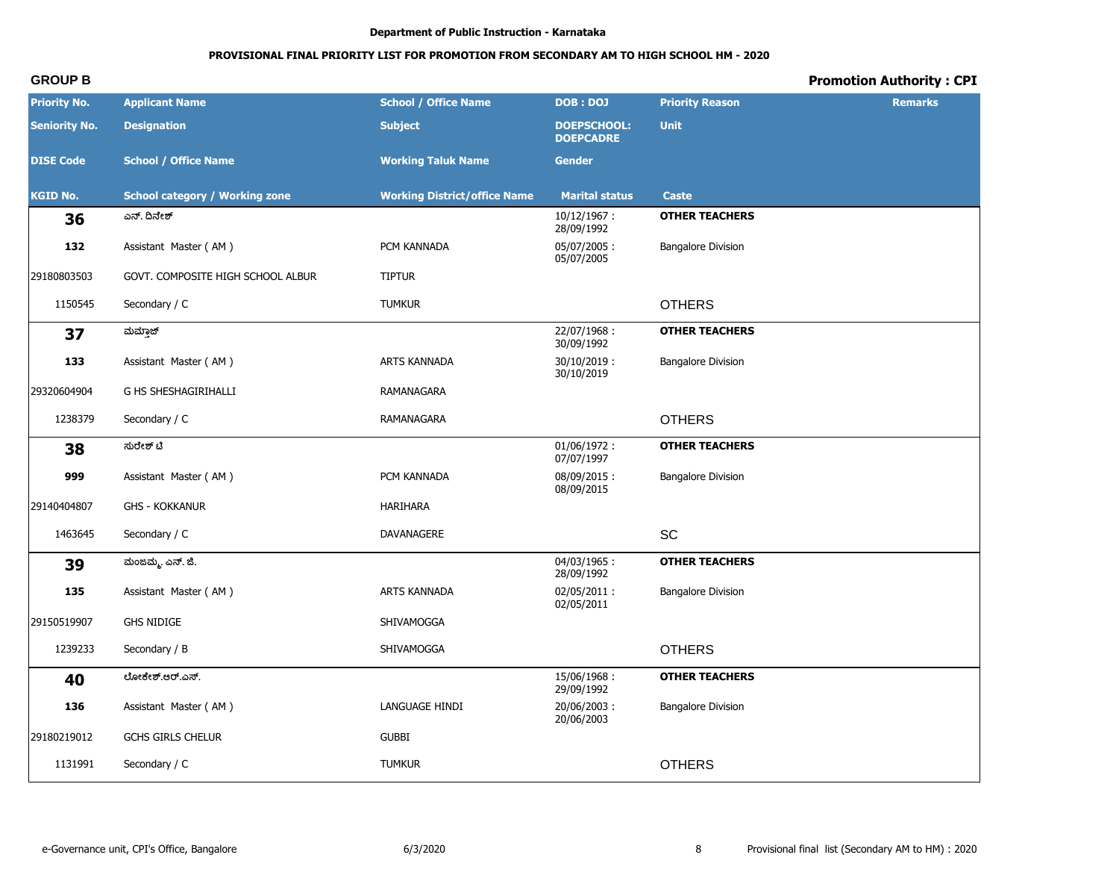# **PROVISIONAL FINAL PRIORITY LIST FOR PROMOTION FROM SECONDARY AM TO HIGH SCHOOL HM - 2020**

| <b>Priority No.</b>  | <b>Applicant Name</b>                 | <b>School / Office Name</b>         | <b>DOB: DOJ</b>                        | <b>Priority Reason</b>    | <b>Remarks</b> |
|----------------------|---------------------------------------|-------------------------------------|----------------------------------------|---------------------------|----------------|
| <b>Seniority No.</b> | <b>Designation</b>                    | <b>Subject</b>                      | <b>DOEPSCHOOL:</b><br><b>DOEPCADRE</b> | <b>Unit</b>               |                |
| <b>DISE Code</b>     | <b>School / Office Name</b>           | <b>Working Taluk Name</b>           | <b>Gender</b>                          |                           |                |
| <b>KGID No.</b>      | <b>School category / Working zone</b> | <b>Working District/office Name</b> | <b>Marital status</b>                  | Caste                     |                |
| 36                   | ಎನ್. ದಿನೇಶ್                           |                                     | $10/12/1967$ :<br>28/09/1992           | <b>OTHER TEACHERS</b>     |                |
| 132                  | Assistant Master (AM)                 | PCM KANNADA                         | 05/07/2005:<br>05/07/2005              | <b>Bangalore Division</b> |                |
| 29180803503          | GOVT. COMPOSITE HIGH SCHOOL ALBUR     | <b>TIPTUR</b>                       |                                        |                           |                |
| 1150545              | Secondary / C                         | <b>TUMKUR</b>                       |                                        | <b>OTHERS</b>             |                |
| 37                   | ಮಮ್ತಾಜ್                               |                                     | 22/07/1968:<br>30/09/1992              | <b>OTHER TEACHERS</b>     |                |
| 133                  | Assistant Master (AM)                 | ARTS KANNADA                        | $30/10/2019$ :<br>30/10/2019           | <b>Bangalore Division</b> |                |
| 29320604904          | G HS SHESHAGIRIHALLI                  | RAMANAGARA                          |                                        |                           |                |
| 1238379              | Secondary / C                         | RAMANAGARA                          |                                        | <b>OTHERS</b>             |                |
| 38                   | ಸುರೇಶ್ ಟಿ                             |                                     | 01/06/1972:<br>07/07/1997              | <b>OTHER TEACHERS</b>     |                |
| 999                  | Assistant Master (AM)                 | PCM KANNADA                         | 08/09/2015:<br>08/09/2015              | <b>Bangalore Division</b> |                |
| 29140404807          | <b>GHS - KOKKANUR</b>                 | <b>HARIHARA</b>                     |                                        |                           |                |
| 1463645              | Secondary / C                         | DAVANAGERE                          |                                        | SC                        |                |
| 39                   | ಮಂಜಮ್ಮ, ಎನ್. ಜಿ.                      |                                     | 04/03/1965:<br>28/09/1992              | <b>OTHER TEACHERS</b>     |                |
| 135                  | Assistant Master (AM)                 | <b>ARTS KANNADA</b>                 | 02/05/2011:<br>02/05/2011              | <b>Bangalore Division</b> |                |
| 29150519907          | <b>GHS NIDIGE</b>                     | SHIVAMOGGA                          |                                        |                           |                |
| 1239233              | Secondary / B                         | SHIVAMOGGA                          |                                        | <b>OTHERS</b>             |                |
| 40                   | ಲೋಕೇಶ್.ಆರ್.ಎಸ್.                       |                                     | 15/06/1968:<br>29/09/1992              | <b>OTHER TEACHERS</b>     |                |
| 136                  | Assistant Master (AM)                 | LANGUAGE HINDI                      | 20/06/2003:<br>20/06/2003              | <b>Bangalore Division</b> |                |
| 29180219012          | <b>GCHS GIRLS CHELUR</b>              | <b>GUBBI</b>                        |                                        |                           |                |
| 1131991              | Secondary / C                         | <b>TUMKUR</b>                       |                                        | <b>OTHERS</b>             |                |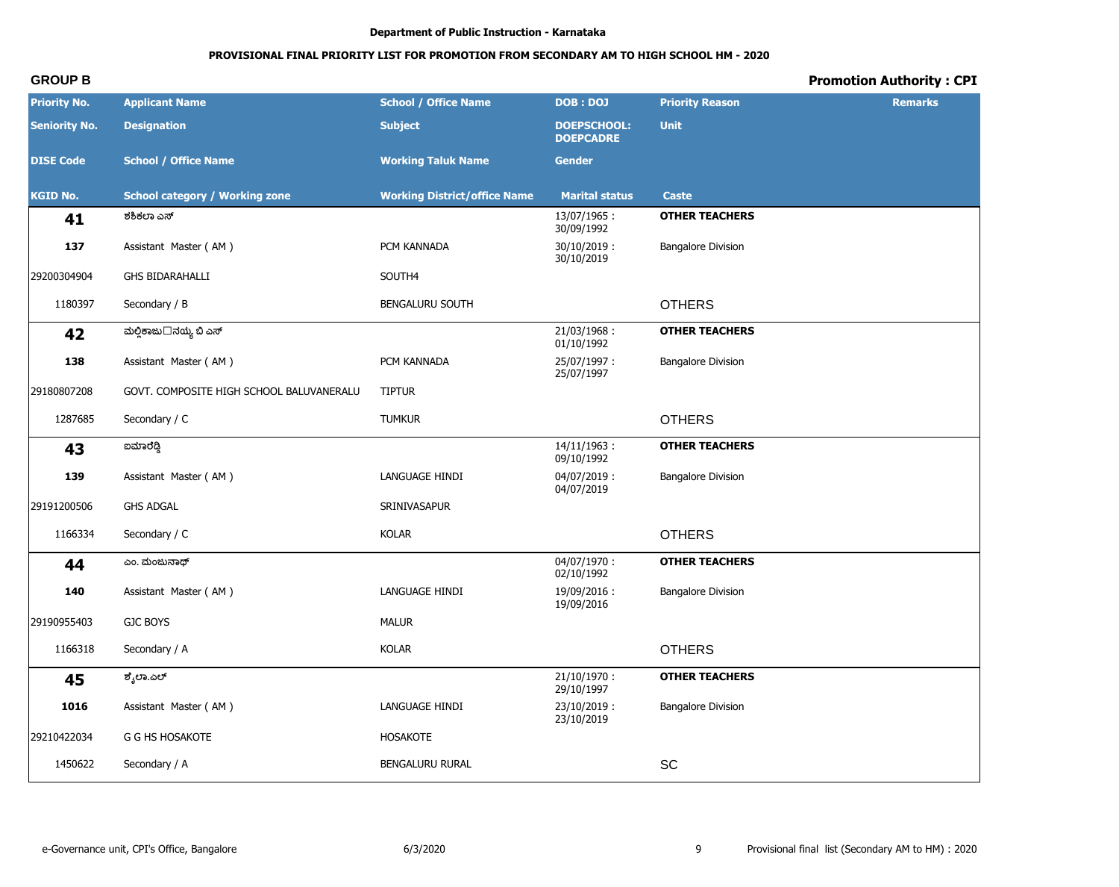# PROVISIONAL FINAL PRIORITY LIST FOR PROMOTION FROM SECONDARY AM TO HIGH SCHOOL HM - 2020

# **Promotion Authority: CPI**

| <b>Priority No.</b>  | <b>Applicant Name</b>                    | <b>School / Office Name</b>         | <b>DOB: DOJ</b>                        | <b>Priority Reason</b>    | <b>Remarks</b> |
|----------------------|------------------------------------------|-------------------------------------|----------------------------------------|---------------------------|----------------|
| <b>Seniority No.</b> | <b>Designation</b>                       | <b>Subject</b>                      | <b>DOEPSCHOOL:</b><br><b>DOEPCADRE</b> | <b>Unit</b>               |                |
| <b>DISE Code</b>     | <b>School / Office Name</b>              | <b>Working Taluk Name</b>           | <b>Gender</b>                          |                           |                |
| <b>KGID No.</b>      | <b>School category / Working zone</b>    | <b>Working District/office Name</b> | <b>Marital status</b>                  | Caste                     |                |
| 41                   | ಶಶಿಕಲಾ ಎಸ್                               |                                     | 13/07/1965:<br>30/09/1992              | <b>OTHER TEACHERS</b>     |                |
| 137                  | Assistant Master (AM)                    | PCM KANNADA                         | $30/10/2019$ :<br>30/10/2019           | <b>Bangalore Division</b> |                |
| 29200304904          | <b>GHS BIDARAHALLI</b>                   | SOUTH4                              |                                        |                           |                |
| 1180397              | Secondary / B                            | <b>BENGALURU SOUTH</b>              |                                        | <b>OTHERS</b>             |                |
| 42                   | ಮಲ್ಲಿಕಾಜು□ನಯ್ಯ ಬಿ ಎಸ್                    |                                     | 21/03/1968:<br>01/10/1992              | <b>OTHER TEACHERS</b>     |                |
| 138                  | Assistant Master (AM)                    | PCM KANNADA                         | 25/07/1997:<br>25/07/1997              | <b>Bangalore Division</b> |                |
| 29180807208          | GOVT. COMPOSITE HIGH SCHOOL BALUVANERALU | <b>TIPTUR</b>                       |                                        |                           |                |
| 1287685              | Secondary / C                            | <b>TUMKUR</b>                       |                                        | <b>OTHERS</b>             |                |
| 43                   | ಐಮಾರೆಡ್ಡಿ                                |                                     | 14/11/1963:<br>09/10/1992              | <b>OTHER TEACHERS</b>     |                |
| 139                  | Assistant Master (AM)                    | LANGUAGE HINDI                      | 04/07/2019:<br>04/07/2019              | <b>Bangalore Division</b> |                |
| 29191200506          | <b>GHS ADGAL</b>                         | SRINIVASAPUR                        |                                        |                           |                |
| 1166334              | Secondary / C                            | <b>KOLAR</b>                        |                                        | <b>OTHERS</b>             |                |
| 44                   | ಎಂ. ಮಂಜುನಾಥ್                             |                                     | $04/07/1970$ :<br>02/10/1992           | <b>OTHER TEACHERS</b>     |                |
| 140                  | Assistant Master (AM)                    | LANGUAGE HINDI                      | 19/09/2016:<br>19/09/2016              | <b>Bangalore Division</b> |                |
| 29190955403          | <b>GJC BOYS</b>                          | <b>MALUR</b>                        |                                        |                           |                |
| 1166318              | Secondary / A                            | <b>KOLAR</b>                        |                                        | <b>OTHERS</b>             |                |
| 45                   | ಶೈಲಾ.ಎಲ್                                 |                                     | $21/10/1970$ :<br>29/10/1997           | <b>OTHER TEACHERS</b>     |                |
| 1016                 | Assistant Master (AM)                    | LANGUAGE HINDI                      | 23/10/2019:<br>23/10/2019              | <b>Bangalore Division</b> |                |
| 29210422034          | G G HS HOSAKOTE                          | <b>HOSAKOTE</b>                     |                                        |                           |                |
| 1450622              | Secondary / A                            | BENGALURU RURAL                     |                                        | SC                        |                |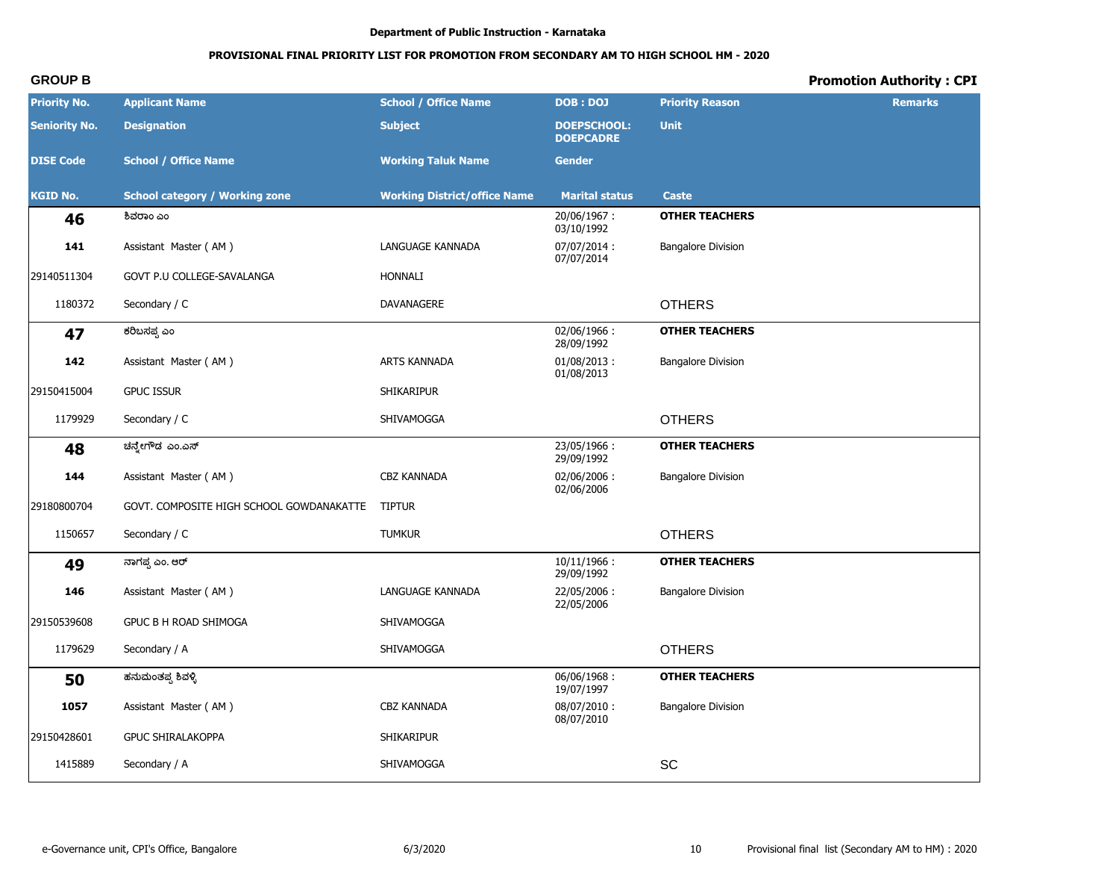# PROVISIONAL FINAL PRIORITY LIST FOR PROMOTION FROM SECONDARY AM TO HIGH SCHOOL HM - 2020

# **Promotion Authority: CPI**

| <b>Priority No.</b>  | <b>Applicant Name</b>                    | <b>School / Office Name</b>         | <b>DOB: DOJ</b>                        | <b>Priority Reason</b>       | <b>Remarks</b> |
|----------------------|------------------------------------------|-------------------------------------|----------------------------------------|------------------------------|----------------|
| <b>Seniority No.</b> | <b>Designation</b>                       | <b>Subject</b>                      | <b>DOEPSCHOOL:</b><br><b>DOEPCADRE</b> | <b>Unit</b>                  |                |
| <b>DISE Code</b>     | <b>School / Office Name</b>              | <b>Working Taluk Name</b>           | <b>Gender</b>                          |                              |                |
| <b>KGID No.</b>      | <b>School category / Working zone</b>    | <b>Working District/office Name</b> | <b>Marital status</b>                  | <b>Caste</b>                 |                |
| 46                   | ಶಿವರಾಂ ಎಂ                                |                                     | 20/06/1967:<br>03/10/1992              | <b>OTHER TEACHERS</b>        |                |
| 141                  | Assistant Master (AM)                    | LANGUAGE KANNADA                    | 07/07/2014:<br>07/07/2014              | <b>Bangalore Division</b>    |                |
| 29140511304          | GOVT P.U COLLEGE-SAVALANGA               | <b>HONNALI</b>                      |                                        |                              |                |
| 1180372              | Secondary / C                            | DAVANAGERE                          |                                        | <b>OTHERS</b>                |                |
| 47                   | ಕರಿಬಸಪ್ಪ ಎಂ                              |                                     | 02/06/1966:<br>28/09/1992              | <b>OTHER TEACHERS</b>        |                |
| 142                  | Assistant Master (AM)                    | ARTS KANNADA                        | $01/08/2013$ :<br>01/08/2013           | <b>Bangalore Division</b>    |                |
| 29150415004          | <b>GPUC ISSUR</b>                        | <b>SHIKARIPUR</b>                   |                                        |                              |                |
| 1179929              | Secondary / C                            | SHIVAMOGGA                          |                                        | <b>OTHERS</b>                |                |
| 48                   | ಚನ್ತೇಗೌಡ ಎಂ.ಎಸ್                          |                                     | 23/05/1966:<br>29/09/1992              | <b>OTHER TEACHERS</b>        |                |
| 144                  | Assistant Master (AM)                    | <b>CBZ KANNADA</b>                  | 02/06/2006:<br>02/06/2006              | <b>Bangalore Division</b>    |                |
| 29180800704          | GOVT. COMPOSITE HIGH SCHOOL GOWDANAKATTE | <b>TIPTUR</b>                       |                                        |                              |                |
| 1150657              | Secondary / C                            | <b>TUMKUR</b>                       |                                        | <b>OTHERS</b>                |                |
| 49                   | ನಾಗಪ್ಪ ಎಂ. ಆರ್                           |                                     | $10/11/1966$ :<br>29/09/1992           | <b>OTHER TEACHERS</b>        |                |
| 146                  | Assistant Master (AM)                    | LANGUAGE KANNADA                    | 22/05/2006:<br>22/05/2006              | <b>Bangalore Division</b>    |                |
| 29150539608          | GPUC B H ROAD SHIMOGA                    | SHIVAMOGGA                          |                                        |                              |                |
| 1179629              | Secondary / A                            | SHIVAMOGGA                          |                                        | <b>OTHERS</b>                |                |
| 50                   | ಹನುಮಂತಪ್ಪ ಶಿವಳ್ಳಿ                        |                                     | 06/06/1968:<br>19/07/1997              | <b>OTHER TEACHERS</b>        |                |
| 1057                 | Assistant Master (AM)                    | CBZ KANNADA                         | 08/07/2010:<br>08/07/2010              | <b>Bangalore Division</b>    |                |
| 29150428601          | <b>GPUC SHIRALAKOPPA</b>                 | SHIKARIPUR                          |                                        |                              |                |
| 1415889              | Secondary / A                            | SHIVAMOGGA                          |                                        | $\operatorname{\textsf{SC}}$ |                |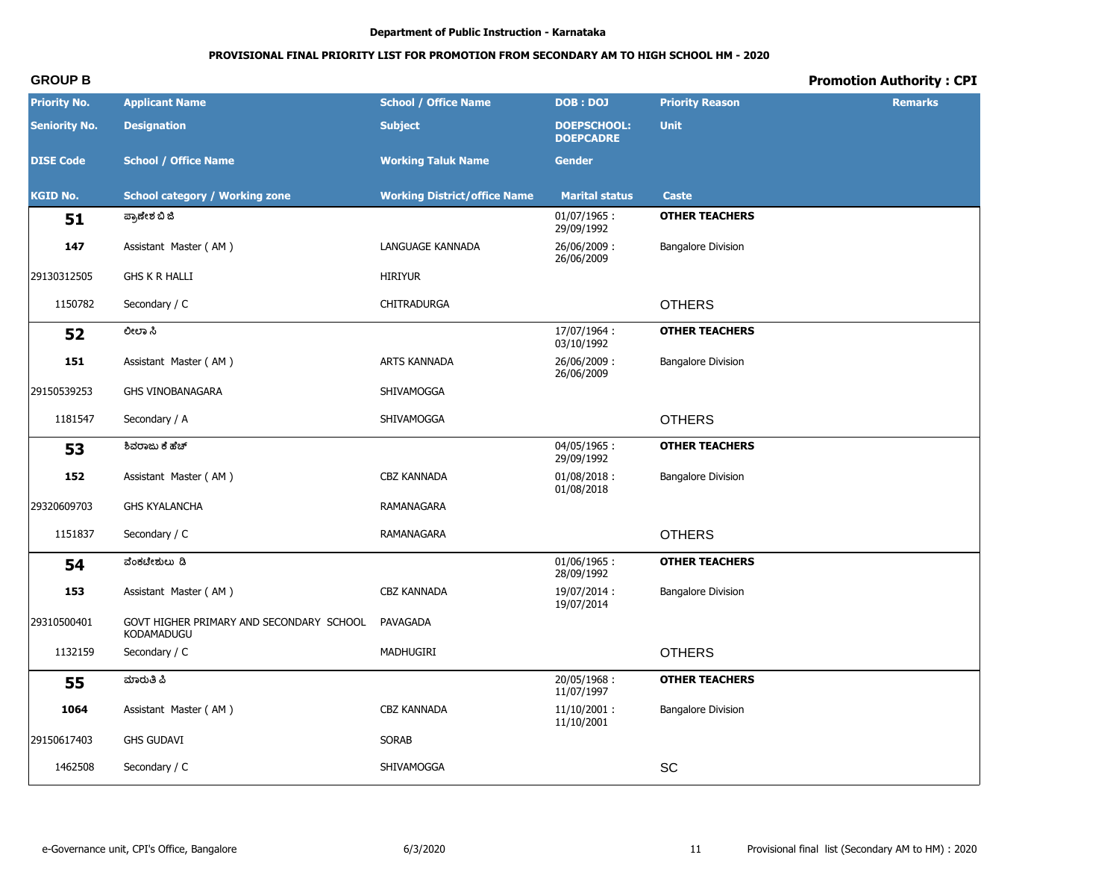# **PROVISIONAL FINAL PRIORITY LIST FOR PROMOTION FROM SECONDARY AM TO HIGH SCHOOL HM - 2020**

| <b>Priority No.</b>  | <b>Applicant Name</b>                                  | <b>School / Office Name</b>         | <b>DOB: DOJ</b>                        | <b>Priority Reason</b>    | <b>Remarks</b> |
|----------------------|--------------------------------------------------------|-------------------------------------|----------------------------------------|---------------------------|----------------|
| <b>Seniority No.</b> | <b>Designation</b>                                     | <b>Subject</b>                      | <b>DOEPSCHOOL:</b><br><b>DOEPCADRE</b> | <b>Unit</b>               |                |
| <b>DISE Code</b>     | <b>School / Office Name</b>                            | <b>Working Taluk Name</b>           | <b>Gender</b>                          |                           |                |
| <b>KGID No.</b>      | <b>School category / Working zone</b>                  | <b>Working District/office Name</b> | <b>Marital status</b>                  | Caste                     |                |
| 51                   | ಪ್ರಾಣೇಶ ಬಿ ಜಿ                                          |                                     | $01/07/1965$ :<br>29/09/1992           | <b>OTHER TEACHERS</b>     |                |
| 147                  | Assistant Master (AM)                                  | LANGUAGE KANNADA                    | 26/06/2009:<br>26/06/2009              | <b>Bangalore Division</b> |                |
| 29130312505          | <b>GHS K R HALLI</b>                                   | <b>HIRIYUR</b>                      |                                        |                           |                |
| 1150782              | Secondary / C                                          | <b>CHITRADURGA</b>                  |                                        | <b>OTHERS</b>             |                |
| 52                   | ಲೀಲಾ ಸಿ                                                |                                     | 17/07/1964:<br>03/10/1992              | <b>OTHER TEACHERS</b>     |                |
| 151                  | Assistant Master (AM)                                  | ARTS KANNADA                        | 26/06/2009:<br>26/06/2009              | <b>Bangalore Division</b> |                |
| 29150539253          | <b>GHS VINOBANAGARA</b>                                | SHIVAMOGGA                          |                                        |                           |                |
| 1181547              | Secondary / A                                          | SHIVAMOGGA                          |                                        | <b>OTHERS</b>             |                |
| 53                   | ಶಿವರಾಜು ಕೆ ಹೆಚ್                                        |                                     | $04/05/1965$ :<br>29/09/1992           | <b>OTHER TEACHERS</b>     |                |
| 152                  | Assistant Master (AM)                                  | CBZ KANNADA                         | $01/08/2018$ :<br>01/08/2018           | <b>Bangalore Division</b> |                |
| 29320609703          | <b>GHS KYALANCHA</b>                                   | RAMANAGARA                          |                                        |                           |                |
| 1151837              | Secondary / C                                          | RAMANAGARA                          |                                        | <b>OTHERS</b>             |                |
| 54                   | ವೆಂಕಟೇಶುಲು ಡಿ                                          |                                     | $01/06/1965$ :<br>28/09/1992           | <b>OTHER TEACHERS</b>     |                |
| 153                  | Assistant Master (AM)                                  | <b>CBZ KANNADA</b>                  | 19/07/2014:<br>19/07/2014              | <b>Bangalore Division</b> |                |
| 29310500401          | GOVT HIGHER PRIMARY AND SECONDARY SCHOOL<br>KODAMADUGU | PAVAGADA                            |                                        |                           |                |
| 1132159              | Secondary / C                                          | MADHUGIRI                           |                                        | <b>OTHERS</b>             |                |
| 55                   | ಮಾರುತಿ ಪಿ                                              |                                     | 20/05/1968:<br>11/07/1997              | <b>OTHER TEACHERS</b>     |                |
| 1064                 | Assistant Master (AM)                                  | CBZ KANNADA                         | $11/10/2001$ :<br>11/10/2001           | <b>Bangalore Division</b> |                |
| 29150617403          | <b>GHS GUDAVI</b>                                      | <b>SORAB</b>                        |                                        |                           |                |
| 1462508              | Secondary / C                                          | SHIVAMOGGA                          |                                        | SC                        |                |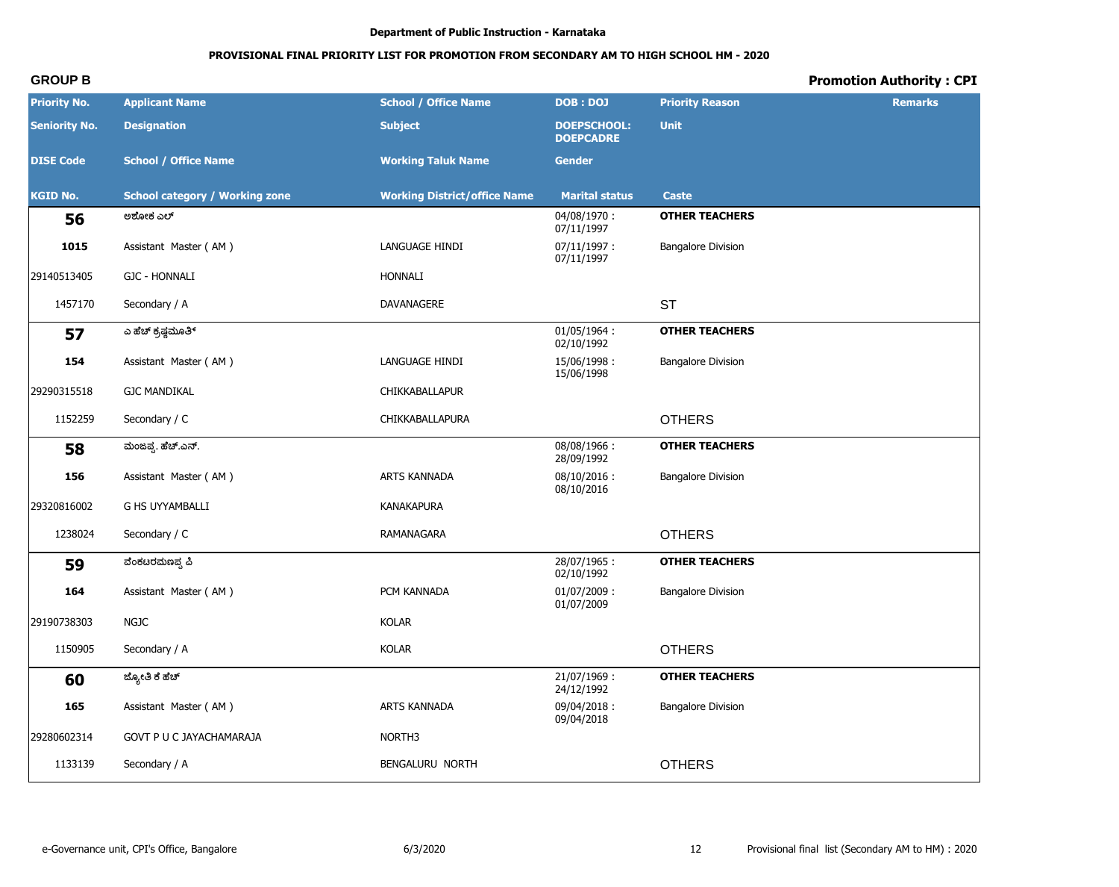# PROVISIONAL FINAL PRIORITY LIST FOR PROMOTION FROM SECONDARY AM TO HIGH SCHOOL HM - 2020

# **Promotion Authority: CPI**

| <b>Priority No.</b>  | <b>Applicant Name</b>                 | <b>School / Office Name</b>         | <b>DOB: DOJ</b>                        | <b>Priority Reason</b>    | <b>Remarks</b> |
|----------------------|---------------------------------------|-------------------------------------|----------------------------------------|---------------------------|----------------|
| <b>Seniority No.</b> | <b>Designation</b>                    | <b>Subject</b>                      | <b>DOEPSCHOOL:</b><br><b>DOEPCADRE</b> | <b>Unit</b>               |                |
| <b>DISE Code</b>     | <b>School / Office Name</b>           | <b>Working Taluk Name</b>           | <b>Gender</b>                          |                           |                |
| <b>KGID No.</b>      | <b>School category / Working zone</b> | <b>Working District/office Name</b> | <b>Marital status</b>                  | Caste                     |                |
| 56                   | ಅಶೋಕ ಎಲ್                              |                                     | 04/08/1970:<br>07/11/1997              | <b>OTHER TEACHERS</b>     |                |
| 1015                 | Assistant Master (AM)                 | LANGUAGE HINDI                      | 07/11/1997:<br>07/11/1997              | <b>Bangalore Division</b> |                |
| 29140513405          | <b>GJC - HONNALI</b>                  | <b>HONNALI</b>                      |                                        |                           |                |
| 1457170              | Secondary / A                         | DAVANAGERE                          |                                        | <b>ST</b>                 |                |
| 57                   | ಎ ಹೆಚ್ ಕ್ರಷ್ಣಮೂತಿ್                    |                                     | 01/05/1964:<br>02/10/1992              | <b>OTHER TEACHERS</b>     |                |
| 154                  | Assistant Master (AM)                 | LANGUAGE HINDI                      | 15/06/1998:<br>15/06/1998              | <b>Bangalore Division</b> |                |
| 29290315518          | <b>GJC MANDIKAL</b>                   | CHIKKABALLAPUR                      |                                        |                           |                |
| 1152259              | Secondary / C                         | CHIKKABALLAPURA                     |                                        | <b>OTHERS</b>             |                |
| 58                   | ಮಂಜಪ್ಪ. ಹೆಚ್.ಎನ್.                     |                                     | 08/08/1966:<br>28/09/1992              | <b>OTHER TEACHERS</b>     |                |
| 156                  | Assistant Master (AM)                 | ARTS KANNADA                        | $08/10/2016$ :<br>08/10/2016           | <b>Bangalore Division</b> |                |
| 29320816002          | <b>G HS UYYAMBALLI</b>                | <b>KANAKAPURA</b>                   |                                        |                           |                |
| 1238024              | Secondary / C                         | RAMANAGARA                          |                                        | <b>OTHERS</b>             |                |
| 59                   | ವೆಂಕಟರಮಣಪ್ಪ ಪಿ                        |                                     | 28/07/1965:<br>02/10/1992              | <b>OTHER TEACHERS</b>     |                |
| 164                  | Assistant Master (AM)                 | PCM KANNADA                         | 01/07/2009:<br>01/07/2009              | <b>Bangalore Division</b> |                |
| 29190738303          | <b>NGJC</b>                           | <b>KOLAR</b>                        |                                        |                           |                |
| 1150905              | Secondary / A                         | <b>KOLAR</b>                        |                                        | <b>OTHERS</b>             |                |
| 60                   | ಜ್ಯೋತಿ ಕೆ ಹೆಚ್                        |                                     | 21/07/1969:<br>24/12/1992              | <b>OTHER TEACHERS</b>     |                |
| 165                  | Assistant Master (AM)                 | ARTS KANNADA                        | 09/04/2018:<br>09/04/2018              | <b>Bangalore Division</b> |                |
| 29280602314          | GOVT P U C JAYACHAMARAJA              | NORTH3                              |                                        |                           |                |
| 1133139              | Secondary / A                         | BENGALURU NORTH                     |                                        | <b>OTHERS</b>             |                |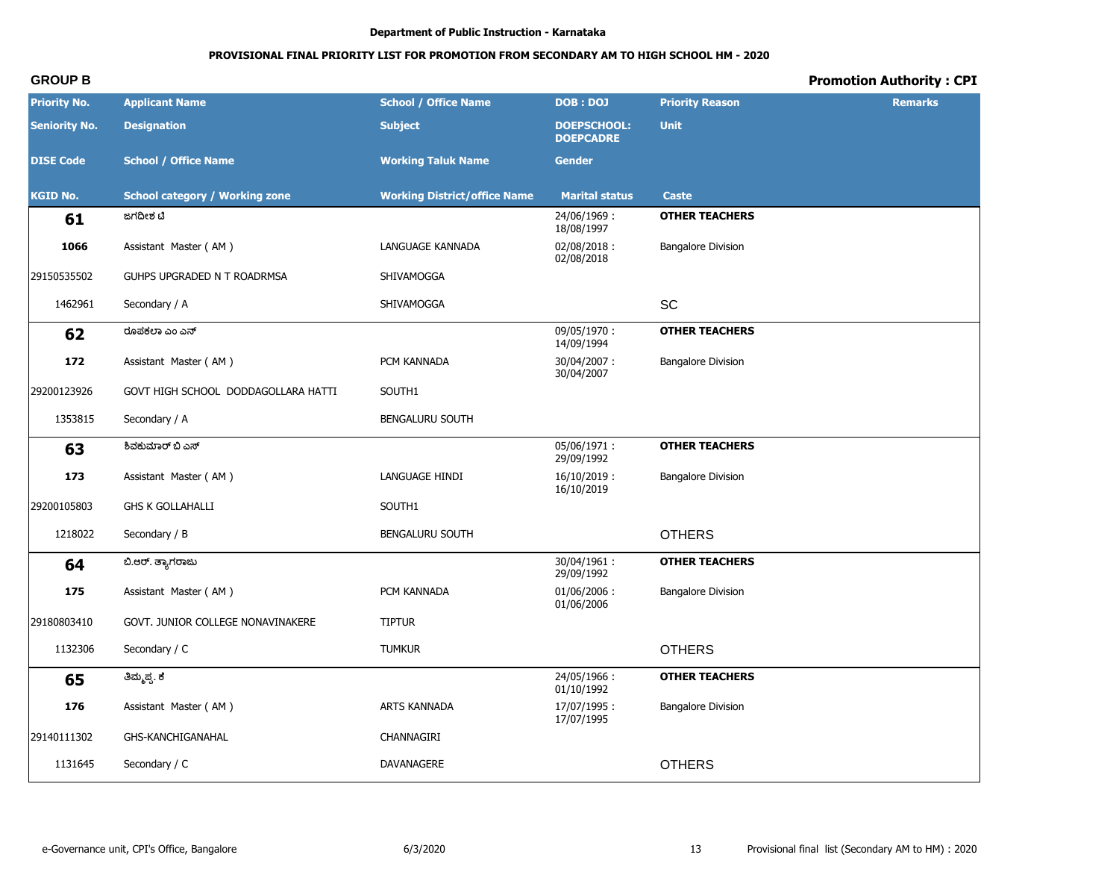# PROVISIONAL FINAL PRIORITY LIST FOR PROMOTION FROM SECONDARY AM TO HIGH SCHOOL HM - 2020

# **Promotion Authority: CPI**

| <b>Priority No.</b>  | <b>Applicant Name</b>                 | <b>School / Office Name</b>         | <b>DOB: DOJ</b>                        | <b>Priority Reason</b>    | <b>Remarks</b> |
|----------------------|---------------------------------------|-------------------------------------|----------------------------------------|---------------------------|----------------|
| <b>Seniority No.</b> | <b>Designation</b>                    | <b>Subject</b>                      | <b>DOEPSCHOOL:</b><br><b>DOEPCADRE</b> | <b>Unit</b>               |                |
| <b>DISE Code</b>     | <b>School / Office Name</b>           | <b>Working Taluk Name</b>           | <b>Gender</b>                          |                           |                |
| <b>KGID No.</b>      | <b>School category / Working zone</b> | <b>Working District/office Name</b> | <b>Marital status</b>                  | <b>Caste</b>              |                |
| 61                   | ಜಗದೀಶ ಚಿ                              |                                     | 24/06/1969:<br>18/08/1997              | <b>OTHER TEACHERS</b>     |                |
| 1066                 | Assistant Master (AM)                 | LANGUAGE KANNADA                    | 02/08/2018:<br>02/08/2018              | <b>Bangalore Division</b> |                |
| 29150535502          | GUHPS UPGRADED N T ROADRMSA           | SHIVAMOGGA                          |                                        |                           |                |
| 1462961              | Secondary / A                         | SHIVAMOGGA                          |                                        | SC                        |                |
| 62                   | ರೂಪಕಲಾ ಎಂ ಎನ್                         |                                     | 09/05/1970:<br>14/09/1994              | <b>OTHER TEACHERS</b>     |                |
| 172                  | Assistant Master (AM)                 | PCM KANNADA                         | 30/04/2007:<br>30/04/2007              | <b>Bangalore Division</b> |                |
| 29200123926          | GOVT HIGH SCHOOL DODDAGOLLARA HATTI   | SOUTH1                              |                                        |                           |                |
| 1353815              | Secondary / A                         | BENGALURU SOUTH                     |                                        |                           |                |
| 63                   | ಶಿವಕುಮಾರ್ ಬಿ ಎಸ್                      |                                     | 05/06/1971:<br>29/09/1992              | <b>OTHER TEACHERS</b>     |                |
| 173                  | Assistant Master (AM)                 | LANGUAGE HINDI                      | $16/10/2019$ :<br>16/10/2019           | <b>Bangalore Division</b> |                |
| 29200105803          | <b>GHS K GOLLAHALLI</b>               | SOUTH1                              |                                        |                           |                |
| 1218022              | Secondary / B                         | BENGALURU SOUTH                     |                                        | <b>OTHERS</b>             |                |
| 64                   | ಬಿ.ಆರ್. ತ್ಯಾಗರಾಜು                     |                                     | 30/04/1961:<br>29/09/1992              | <b>OTHER TEACHERS</b>     |                |
| 175                  | Assistant Master (AM)                 | PCM KANNADA                         | 01/06/2006:<br>01/06/2006              | <b>Bangalore Division</b> |                |
| 29180803410          | GOVT. JUNIOR COLLEGE NONAVINAKERE     | <b>TIPTUR</b>                       |                                        |                           |                |
| 1132306              | Secondary / C                         | <b>TUMKUR</b>                       |                                        | <b>OTHERS</b>             |                |
| 65                   | ತಿಮ್ಮಪ್ಪ. ಕೆ                          |                                     | 24/05/1966:<br>01/10/1992              | <b>OTHER TEACHERS</b>     |                |
| 176                  | Assistant Master (AM)                 | ARTS KANNADA                        | 17/07/1995:<br>17/07/1995              | <b>Bangalore Division</b> |                |
| 29140111302          | GHS-KANCHIGANAHAL                     | CHANNAGIRI                          |                                        |                           |                |
| 1131645              | Secondary / C                         | DAVANAGERE                          |                                        | <b>OTHERS</b>             |                |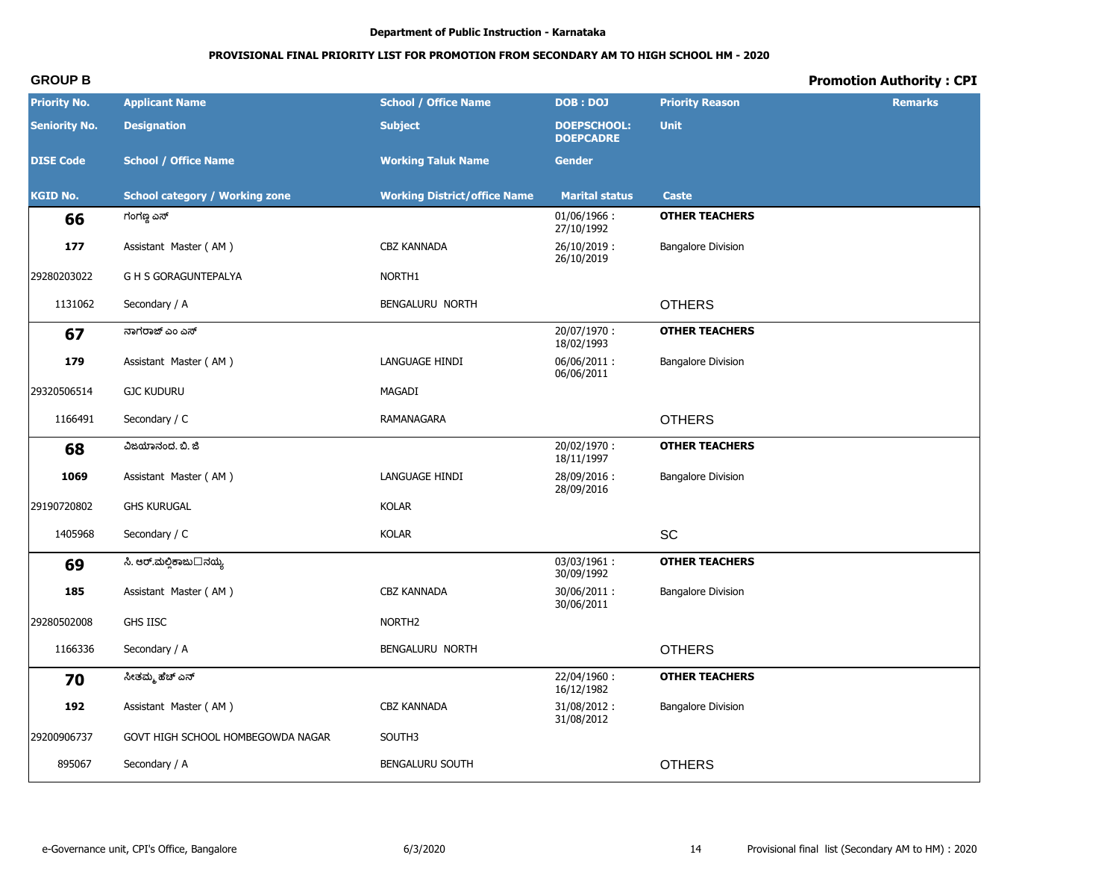# **PROVISIONAL FINAL PRIORITY LIST FOR PROMOTION FROM SECONDARY AM TO HIGH SCHOOL HM - 2020**

| <b>Priority No.</b>  | <b>Applicant Name</b>                 | <b>School / Office Name</b>         | <b>DOB: DOJ</b>                        | <b>Priority Reason</b>    | <b>Remarks</b> |
|----------------------|---------------------------------------|-------------------------------------|----------------------------------------|---------------------------|----------------|
| <b>Seniority No.</b> | <b>Designation</b>                    | <b>Subject</b>                      | <b>DOEPSCHOOL:</b><br><b>DOEPCADRE</b> | <b>Unit</b>               |                |
| <b>DISE Code</b>     | <b>School / Office Name</b>           | <b>Working Taluk Name</b>           | <b>Gender</b>                          |                           |                |
| <b>KGID No.</b>      | <b>School category / Working zone</b> | <b>Working District/office Name</b> | <b>Marital status</b>                  | <b>Caste</b>              |                |
| 66                   | ಗಂಗಣ್ಣ ಎಸ್                            |                                     | $01/06/1966$ :<br>27/10/1992           | <b>OTHER TEACHERS</b>     |                |
| 177                  | Assistant Master (AM)                 | CBZ KANNADA                         | 26/10/2019:<br>26/10/2019              | <b>Bangalore Division</b> |                |
| 29280203022          | <b>G H S GORAGUNTEPALYA</b>           | NORTH1                              |                                        |                           |                |
| 1131062              | Secondary / A                         | BENGALURU NORTH                     |                                        | <b>OTHERS</b>             |                |
| 67                   | ನಾಗರಾಜ್ ಎಂ ಎಸ್                        |                                     | 20/07/1970:<br>18/02/1993              | <b>OTHER TEACHERS</b>     |                |
| 179                  | Assistant Master (AM)                 | LANGUAGE HINDI                      | 06/06/2011:<br>06/06/2011              | <b>Bangalore Division</b> |                |
| 29320506514          | <b>GJC KUDURU</b>                     | MAGADI                              |                                        |                           |                |
| 1166491              | Secondary / C                         | RAMANAGARA                          |                                        | <b>OTHERS</b>             |                |
| 68                   | ವಿಜಯಾನಂದ. ಬಿ. ಜಿ                      |                                     | 20/02/1970:<br>18/11/1997              | <b>OTHER TEACHERS</b>     |                |
| 1069                 | Assistant Master (AM)                 | LANGUAGE HINDI                      | 28/09/2016:<br>28/09/2016              | <b>Bangalore Division</b> |                |
| 29190720802          | <b>GHS KURUGAL</b>                    | <b>KOLAR</b>                        |                                        |                           |                |
| 1405968              | Secondary / C                         | <b>KOLAR</b>                        |                                        | SC                        |                |
| 69                   | ಸಿ. ಆರ್.ಮೆಲ್ಲಿಕಾಜು□ನೆಯ್ಯ              |                                     | 03/03/1961:<br>30/09/1992              | <b>OTHER TEACHERS</b>     |                |
| 185                  | Assistant Master (AM)                 | <b>CBZ KANNADA</b>                  | 30/06/2011:<br>30/06/2011              | <b>Bangalore Division</b> |                |
| 29280502008          | <b>GHS IISC</b>                       | NORTH <sub>2</sub>                  |                                        |                           |                |
| 1166336              | Secondary / A                         | BENGALURU NORTH                     |                                        | <b>OTHERS</b>             |                |
| 70                   | ಸೀತಮ್ಮ ಹೆಚ್ ಎನ್                       |                                     | 22/04/1960:<br>16/12/1982              | <b>OTHER TEACHERS</b>     |                |
| 192                  | Assistant Master (AM)                 | CBZ KANNADA                         | 31/08/2012:<br>31/08/2012              | <b>Bangalore Division</b> |                |
| 29200906737          | GOVT HIGH SCHOOL HOMBEGOWDA NAGAR     | SOUTH3                              |                                        |                           |                |
| 895067               | Secondary / A                         | BENGALURU SOUTH                     |                                        | <b>OTHERS</b>             |                |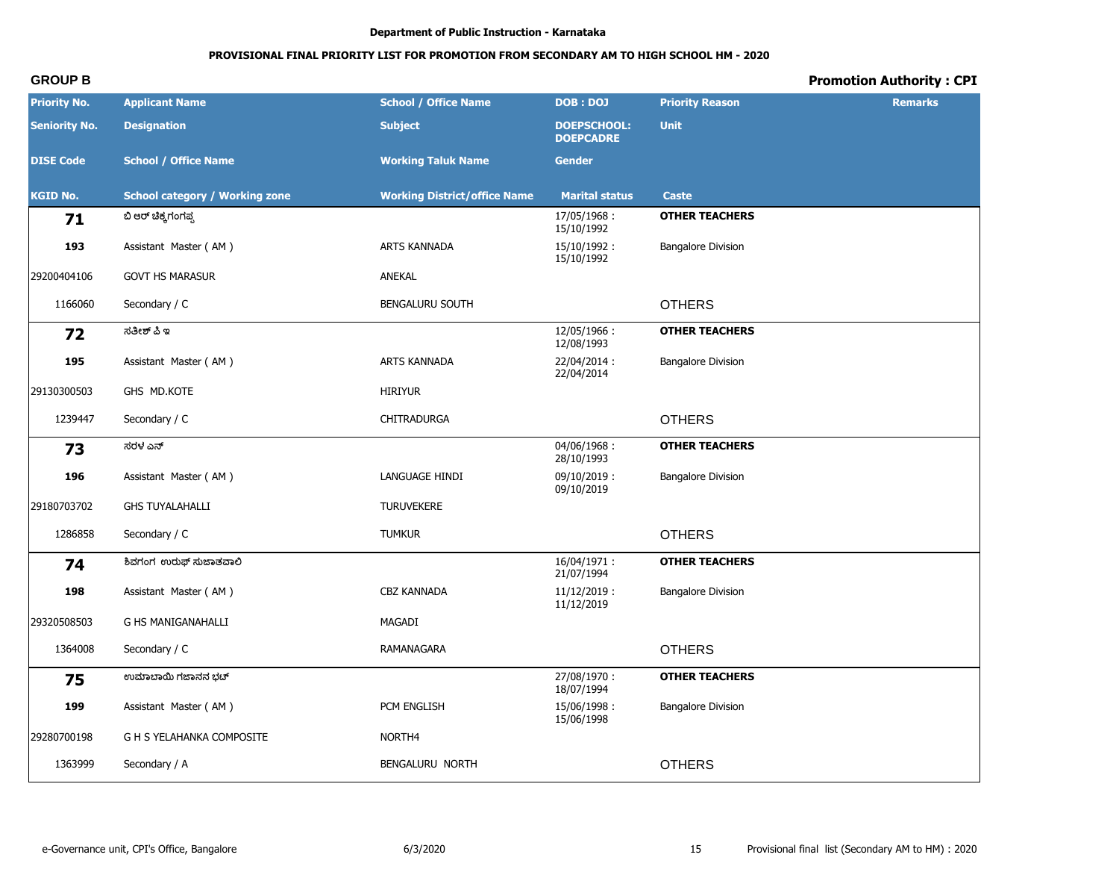# **PROVISIONAL FINAL PRIORITY LIST FOR PROMOTION FROM SECONDARY AM TO HIGH SCHOOL HM - 2020**

| <b>Priority No.</b>  | <b>Applicant Name</b>                 | <b>School / Office Name</b>         | <b>DOB: DOJ</b>                        | <b>Priority Reason</b>    | <b>Remarks</b> |
|----------------------|---------------------------------------|-------------------------------------|----------------------------------------|---------------------------|----------------|
| <b>Seniority No.</b> | <b>Designation</b>                    | <b>Subject</b>                      | <b>DOEPSCHOOL:</b><br><b>DOEPCADRE</b> | <b>Unit</b>               |                |
| <b>DISE Code</b>     | <b>School / Office Name</b>           | <b>Working Taluk Name</b>           | <b>Gender</b>                          |                           |                |
| <b>KGID No.</b>      | <b>School category / Working zone</b> | <b>Working District/office Name</b> | <b>Marital status</b>                  | <b>Caste</b>              |                |
| 71                   | ಬಿ ಆರ್ ಚಿಕ್ಕಗಂಗಪ್ಪ                    |                                     | 17/05/1968:<br>15/10/1992              | <b>OTHER TEACHERS</b>     |                |
| 193                  | Assistant Master (AM)                 | ARTS KANNADA                        | 15/10/1992:<br>15/10/1992              | <b>Bangalore Division</b> |                |
| 29200404106          | <b>GOVT HS MARASUR</b>                | ANEKAL                              |                                        |                           |                |
| 1166060              | Secondary / C                         | <b>BENGALURU SOUTH</b>              |                                        | <b>OTHERS</b>             |                |
| 72                   | ಸತೀಶ್ ಪಿ ಇ                            |                                     | 12/05/1966:<br>12/08/1993              | <b>OTHER TEACHERS</b>     |                |
| 195                  | Assistant Master (AM)                 | ARTS KANNADA                        | 22/04/2014:<br>22/04/2014              | <b>Bangalore Division</b> |                |
| 29130300503          | GHS MD.KOTE                           | <b>HIRIYUR</b>                      |                                        |                           |                |
| 1239447              | Secondary / C                         | CHITRADURGA                         |                                        | <b>OTHERS</b>             |                |
| 73                   | ಸರಳ ಎನ್                               |                                     | 04/06/1968:<br>28/10/1993              | <b>OTHER TEACHERS</b>     |                |
| 196                  | Assistant Master (AM)                 | LANGUAGE HINDI                      | $09/10/2019$ :<br>09/10/2019           | <b>Bangalore Division</b> |                |
| 29180703702          | <b>GHS TUYALAHALLI</b>                | <b>TURUVEKERE</b>                   |                                        |                           |                |
| 1286858              | Secondary / C                         | <b>TUMKUR</b>                       |                                        | <b>OTHERS</b>             |                |
| 74                   | ಶಿವಗಂಗ ಉರುಫ್ ಸುಜಾತವಾಲಿ                |                                     | 16/04/1971:<br>21/07/1994              | <b>OTHER TEACHERS</b>     |                |
| 198                  | Assistant Master (AM)                 | <b>CBZ KANNADA</b>                  | $11/12/2019$ :<br>11/12/2019           | <b>Bangalore Division</b> |                |
| 29320508503          | <b>G HS MANIGANAHALLI</b>             | MAGADI                              |                                        |                           |                |
| 1364008              | Secondary / C                         | RAMANAGARA                          |                                        | <b>OTHERS</b>             |                |
| 75                   | ಉಮಾಬಾಯಿ ಗಜಾನನ ಭಟ್                     |                                     | 27/08/1970:<br>18/07/1994              | <b>OTHER TEACHERS</b>     |                |
| 199                  | Assistant Master (AM)                 | PCM ENGLISH                         | 15/06/1998:<br>15/06/1998              | <b>Bangalore Division</b> |                |
| 29280700198          | G H S YELAHANKA COMPOSITE             | NORTH4                              |                                        |                           |                |
| 1363999              | Secondary / A                         | BENGALURU NORTH                     |                                        | <b>OTHERS</b>             |                |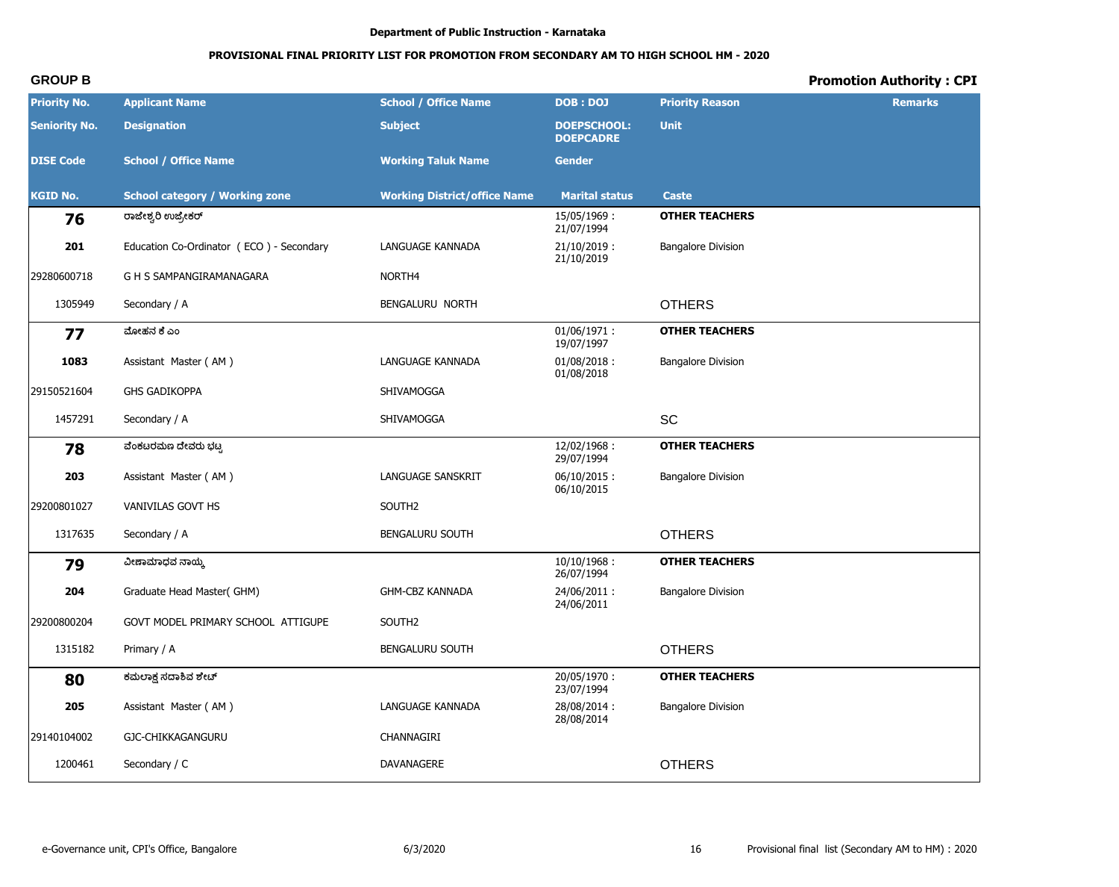# PROVISIONAL FINAL PRIORITY LIST FOR PROMOTION FROM SECONDARY AM TO HIGH SCHOOL HM - 2020

# **Promotion Authority: CPI**

| <b>Priority No.</b>  | <b>Applicant Name</b>                    | <b>School / Office Name</b>         | <b>DOB: DOJ</b>                        | <b>Priority Reason</b>    | <b>Remarks</b> |
|----------------------|------------------------------------------|-------------------------------------|----------------------------------------|---------------------------|----------------|
| <b>Seniority No.</b> | <b>Designation</b>                       | <b>Subject</b>                      | <b>DOEPSCHOOL:</b><br><b>DOEPCADRE</b> | <b>Unit</b>               |                |
| <b>DISE Code</b>     | <b>School / Office Name</b>              | <b>Working Taluk Name</b>           | <b>Gender</b>                          |                           |                |
| <b>KGID No.</b>      | <b>School category / Working zone</b>    | <b>Working District/office Name</b> | <b>Marital status</b>                  | <b>Caste</b>              |                |
| 76                   | ರಾಜೇಶ್ವರಿ ಉಜ್ರೇಕರ್                       |                                     | 15/05/1969:<br>21/07/1994              | <b>OTHER TEACHERS</b>     |                |
| 201                  | Education Co-Ordinator (ECO) - Secondary | LANGUAGE KANNADA                    | $21/10/2019$ :<br>21/10/2019           | <b>Bangalore Division</b> |                |
| 29280600718          | G H S SAMPANGIRAMANAGARA                 | NORTH4                              |                                        |                           |                |
| 1305949              | Secondary / A                            | BENGALURU NORTH                     |                                        | <b>OTHERS</b>             |                |
| 77                   | ಮೋಹನ ಕೆ ಎಂ                               |                                     | $01/06/1971$ :<br>19/07/1997           | <b>OTHER TEACHERS</b>     |                |
| 1083                 | Assistant Master (AM)                    | LANGUAGE KANNADA                    | $01/08/2018$ :<br>01/08/2018           | <b>Bangalore Division</b> |                |
| 29150521604          | <b>GHS GADIKOPPA</b>                     | SHIVAMOGGA                          |                                        |                           |                |
| 1457291              | Secondary / A                            | SHIVAMOGGA                          |                                        | SC                        |                |
| 78                   | ವೆಂಕಟರಮಣ ದೇವರು ಭಟ್ಟ                      |                                     | 12/02/1968:<br>29/07/1994              | <b>OTHER TEACHERS</b>     |                |
| 203                  | Assistant Master (AM)                    | LANGUAGE SANSKRIT                   | $06/10/2015$ :<br>06/10/2015           | <b>Bangalore Division</b> |                |
| 29200801027          | VANIVILAS GOVT HS                        | SOUTH <sub>2</sub>                  |                                        |                           |                |
| 1317635              | Secondary / A                            | <b>BENGALURU SOUTH</b>              |                                        | <b>OTHERS</b>             |                |
| 79                   | ವೀಣಾಮಾಧವ ನಾಯ್ಕ                           |                                     | $10/10/1968$ :<br>26/07/1994           | <b>OTHER TEACHERS</b>     |                |
| 204                  | Graduate Head Master(GHM)                | <b>GHM-CBZ KANNADA</b>              | 24/06/2011:<br>24/06/2011              | <b>Bangalore Division</b> |                |
| 29200800204          | GOVT MODEL PRIMARY SCHOOL ATTIGUPE       | SOUTH2                              |                                        |                           |                |
| 1315182              | Primary / A                              | <b>BENGALURU SOUTH</b>              |                                        | <b>OTHERS</b>             |                |
| 80                   | ಕಮಲಾಕ್ಷ ಸದಾಶಿವ ಶೇಟ್                      |                                     | 20/05/1970:<br>23/07/1994              | <b>OTHER TEACHERS</b>     |                |
| 205                  | Assistant Master (AM)                    | <b>LANGUAGE KANNADA</b>             | 28/08/2014:<br>28/08/2014              | <b>Bangalore Division</b> |                |
| 29140104002          | GJC-CHIKKAGANGURU                        | CHANNAGIRI                          |                                        |                           |                |
| 1200461              | Secondary / C                            | DAVANAGERE                          |                                        | <b>OTHERS</b>             |                |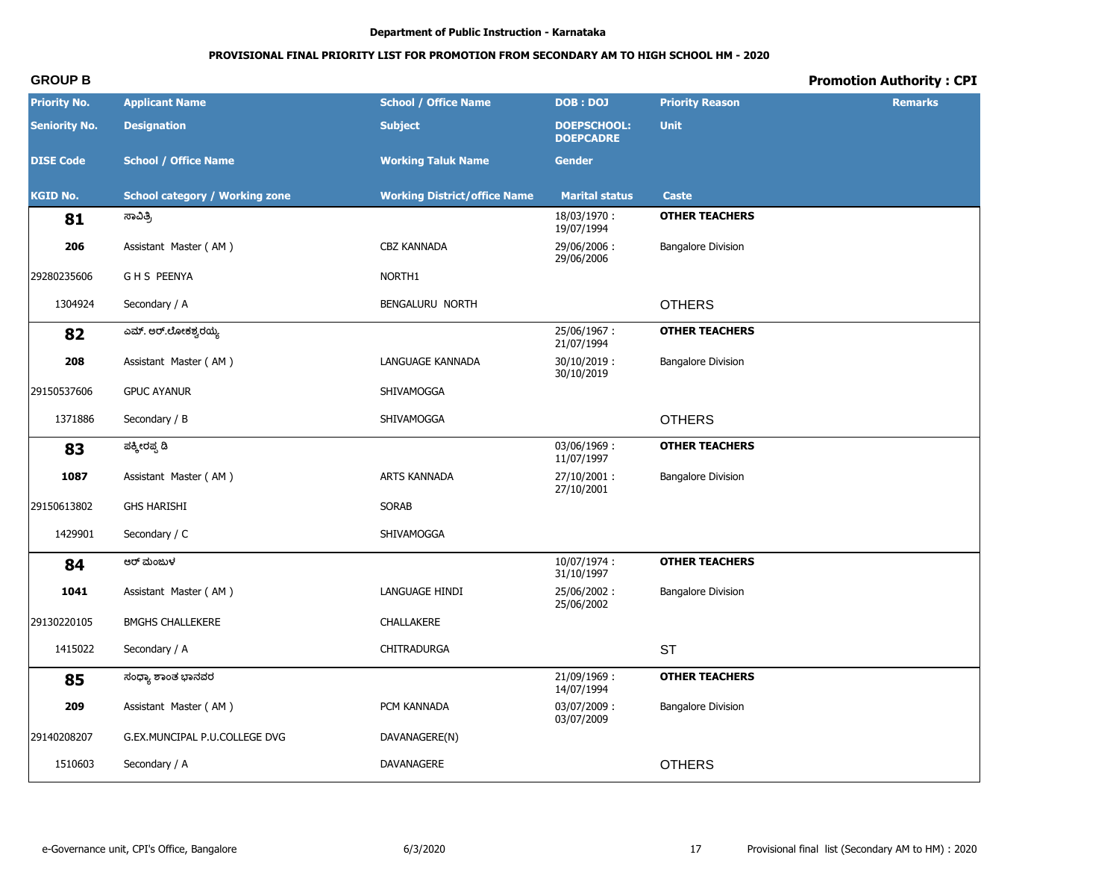# PROVISIONAL FINAL PRIORITY LIST FOR PROMOTION FROM SECONDARY AM TO HIGH SCHOOL HM - 2020

# **Promotion Authority: CPI**

| <b>Priority No.</b>  | <b>Applicant Name</b>                 | <b>School / Office Name</b>         | <b>DOB: DOJ</b>                        | <b>Priority Reason</b>    | <b>Remarks</b> |
|----------------------|---------------------------------------|-------------------------------------|----------------------------------------|---------------------------|----------------|
| <b>Seniority No.</b> | <b>Designation</b>                    | <b>Subject</b>                      | <b>DOEPSCHOOL:</b><br><b>DOEPCADRE</b> | <b>Unit</b>               |                |
| <b>DISE Code</b>     | <b>School / Office Name</b>           | <b>Working Taluk Name</b>           | <b>Gender</b>                          |                           |                |
| <b>KGID No.</b>      | <b>School category / Working zone</b> | <b>Working District/office Name</b> | <b>Marital status</b>                  | <b>Caste</b>              |                |
| 81                   | ಸಾವಿತ್ರಿ                              |                                     | 18/03/1970:<br>19/07/1994              | <b>OTHER TEACHERS</b>     |                |
| 206                  | Assistant Master (AM)                 | CBZ KANNADA                         | 29/06/2006:<br>29/06/2006              | <b>Bangalore Division</b> |                |
| 29280235606          | <b>GHS PEENYA</b>                     | NORTH1                              |                                        |                           |                |
| 1304924              | Secondary / A                         | BENGALURU NORTH                     |                                        | <b>OTHERS</b>             |                |
| 82                   | ಎಮ್. ಅರ್.ಲೋಕಶ್ವರಯ್ಯ                   |                                     | 25/06/1967:<br>21/07/1994              | <b>OTHER TEACHERS</b>     |                |
| 208                  | Assistant Master (AM)                 | LANGUAGE KANNADA                    | $30/10/2019$ :<br>30/10/2019           | <b>Bangalore Division</b> |                |
| 29150537606          | <b>GPUC AYANUR</b>                    | SHIVAMOGGA                          |                                        |                           |                |
| 1371886              | Secondary / B                         | SHIVAMOGGA                          |                                        | <b>OTHERS</b>             |                |
| 83                   | ಪಕ್ಕೀರಪ್ಪ ಡಿ                          |                                     | 03/06/1969:<br>11/07/1997              | <b>OTHER TEACHERS</b>     |                |
| 1087                 | Assistant Master (AM)                 | ARTS KANNADA                        | 27/10/2001:<br>27/10/2001              | <b>Bangalore Division</b> |                |
| 29150613802          | <b>GHS HARISHI</b>                    | <b>SORAB</b>                        |                                        |                           |                |
| 1429901              | Secondary / C                         | SHIVAMOGGA                          |                                        |                           |                |
| 84                   | ಆರ್ ಮಂಜುಳ                             |                                     | 10/07/1974:<br>31/10/1997              | <b>OTHER TEACHERS</b>     |                |
| 1041                 | Assistant Master (AM)                 | LANGUAGE HINDI                      | 25/06/2002:<br>25/06/2002              | <b>Bangalore Division</b> |                |
| 29130220105          | <b>BMGHS CHALLEKERE</b>               | CHALLAKERE                          |                                        |                           |                |
| 1415022              | Secondary / A                         | CHITRADURGA                         |                                        | <b>ST</b>                 |                |
| 85                   | ಸಂಧ್ಯಾ ಶಾಂತ ಭಾನವರ                     |                                     | 21/09/1969:<br>14/07/1994              | <b>OTHER TEACHERS</b>     |                |
| 209                  | Assistant Master (AM)                 | PCM KANNADA                         | 03/07/2009:<br>03/07/2009              | <b>Bangalore Division</b> |                |
| 29140208207          | G.EX.MUNCIPAL P.U.COLLEGE DVG         | DAVANAGERE(N)                       |                                        |                           |                |
| 1510603              | Secondary / A                         | DAVANAGERE                          |                                        | <b>OTHERS</b>             |                |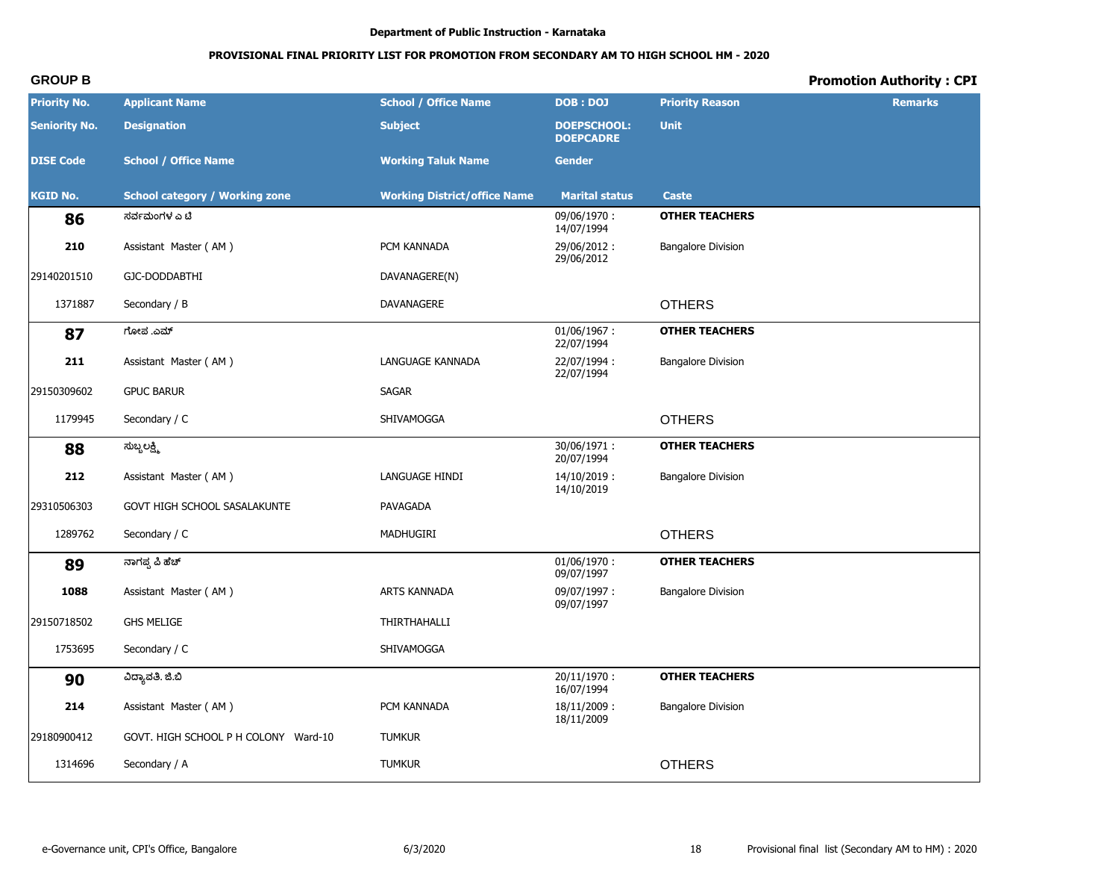# PROVISIONAL FINAL PRIORITY LIST FOR PROMOTION FROM SECONDARY AM TO HIGH SCHOOL HM - 2020

# **Promotion Authority: CPI**

| <b>Priority No.</b>  | <b>Applicant Name</b>                 | <b>School / Office Name</b>         | <b>DOB: DOJ</b>                        | <b>Priority Reason</b>    | <b>Remarks</b> |
|----------------------|---------------------------------------|-------------------------------------|----------------------------------------|---------------------------|----------------|
| <b>Seniority No.</b> | <b>Designation</b>                    | <b>Subject</b>                      | <b>DOEPSCHOOL:</b><br><b>DOEPCADRE</b> | <b>Unit</b>               |                |
| <b>DISE Code</b>     | <b>School / Office Name</b>           | <b>Working Taluk Name</b>           | <b>Gender</b>                          |                           |                |
| <b>KGID No.</b>      | <b>School category / Working zone</b> | <b>Working District/office Name</b> | <b>Marital status</b>                  | <b>Caste</b>              |                |
| 86                   | ಸರ್ವಮಂಗಳ ಎ ಟಿ                         |                                     | 09/06/1970:<br>14/07/1994              | <b>OTHER TEACHERS</b>     |                |
| 210                  | Assistant Master (AM)                 | PCM KANNADA                         | 29/06/2012:<br>29/06/2012              | <b>Bangalore Division</b> |                |
| 29140201510          | GJC-DODDABTHI                         | DAVANAGERE(N)                       |                                        |                           |                |
| 1371887              | Secondary / B                         | DAVANAGERE                          |                                        | <b>OTHERS</b>             |                |
| 87                   | ಗೋಪ .ಎಮ್                              |                                     | $01/06/1967$ :<br>22/07/1994           | <b>OTHER TEACHERS</b>     |                |
| 211                  | Assistant Master (AM)                 | LANGUAGE KANNADA                    | 22/07/1994:<br>22/07/1994              | <b>Bangalore Division</b> |                |
| 29150309602          | <b>GPUC BARUR</b>                     | SAGAR                               |                                        |                           |                |
| 1179945              | Secondary / C                         | SHIVAMOGGA                          |                                        | <b>OTHERS</b>             |                |
| 88                   | ಸುಬ್ಬಲಕ್ಷ್ಮಿ                          |                                     | 30/06/1971:<br>20/07/1994              | <b>OTHER TEACHERS</b>     |                |
| 212                  | Assistant Master (AM)                 | LANGUAGE HINDI                      | 14/10/2019:<br>14/10/2019              | <b>Bangalore Division</b> |                |
| 29310506303          | GOVT HIGH SCHOOL SASALAKUNTE          | PAVAGADA                            |                                        |                           |                |
| 1289762              | Secondary / C                         | MADHUGIRI                           |                                        | <b>OTHERS</b>             |                |
| 89                   | ನಾಗಪ್ಪ ಪಿ ಹೆಚ್                        |                                     | $01/06/1970$ :<br>09/07/1997           | <b>OTHER TEACHERS</b>     |                |
| 1088                 | Assistant Master (AM)                 | ARTS KANNADA                        | 09/07/1997:<br>09/07/1997              | <b>Bangalore Division</b> |                |
| 29150718502          | <b>GHS MELIGE</b>                     | THIRTHAHALLI                        |                                        |                           |                |
| 1753695              | Secondary / C                         | SHIVAMOGGA                          |                                        |                           |                |
| 90                   | ವಿದ್ಯಾವತಿ. ಜಿ.ಬಿ                      |                                     | 20/11/1970:<br>16/07/1994              | <b>OTHER TEACHERS</b>     |                |
| 214                  | Assistant Master (AM)                 | PCM KANNADA                         | 18/11/2009:<br>18/11/2009              | <b>Bangalore Division</b> |                |
| 29180900412          | GOVT. HIGH SCHOOL P H COLONY Ward-10  | <b>TUMKUR</b>                       |                                        |                           |                |
| 1314696              | Secondary / A                         | <b>TUMKUR</b>                       |                                        | <b>OTHERS</b>             |                |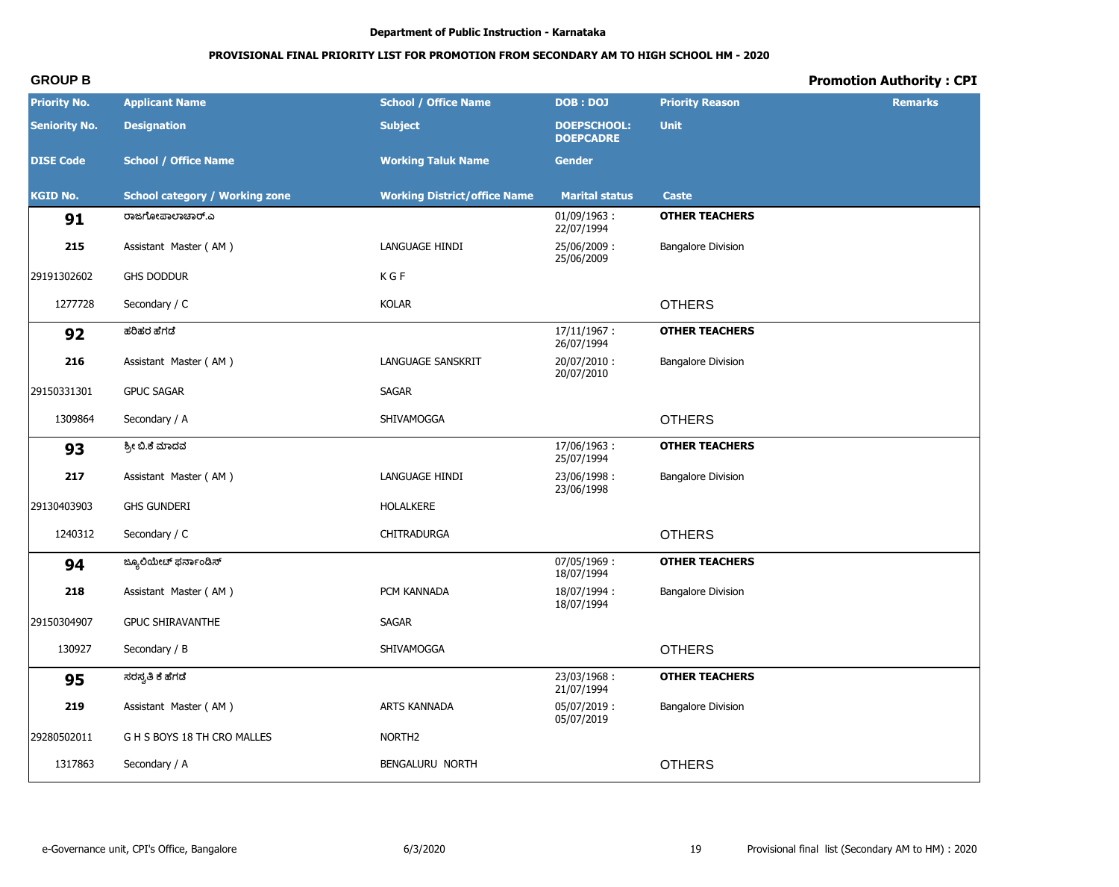# **PROVISIONAL FINAL PRIORITY LIST FOR PROMOTION FROM SECONDARY AM TO HIGH SCHOOL HM - 2020**

| <b>Priority No.</b>  | <b>Applicant Name</b>                 | <b>School / Office Name</b>         | DOB: DOJ                               | <b>Priority Reason</b>    | <b>Remarks</b> |
|----------------------|---------------------------------------|-------------------------------------|----------------------------------------|---------------------------|----------------|
| <b>Seniority No.</b> | <b>Designation</b>                    | <b>Subject</b>                      | <b>DOEPSCHOOL:</b><br><b>DOEPCADRE</b> | <b>Unit</b>               |                |
| <b>DISE Code</b>     | <b>School / Office Name</b>           | <b>Working Taluk Name</b>           | <b>Gender</b>                          |                           |                |
| <b>KGID No.</b>      | <b>School category / Working zone</b> | <b>Working District/office Name</b> | <b>Marital status</b>                  | Caste                     |                |
| 91                   | ರಾಜಗೋಪಾಲಾಚಾರ್.ಎ                       |                                     | $01/09/1963$ :<br>22/07/1994           | <b>OTHER TEACHERS</b>     |                |
| 215                  | Assistant Master (AM)                 | LANGUAGE HINDI                      | 25/06/2009:<br>25/06/2009              | <b>Bangalore Division</b> |                |
| 29191302602          | <b>GHS DODDUR</b>                     | K G F                               |                                        |                           |                |
| 1277728              | Secondary / C                         | <b>KOLAR</b>                        |                                        | <b>OTHERS</b>             |                |
| 92                   | ಹರಿಹರ ಹೆಗಡೆ                           |                                     | 17/11/1967:<br>26/07/1994              | <b>OTHER TEACHERS</b>     |                |
| 216                  | Assistant Master (AM)                 | LANGUAGE SANSKRIT                   | 20/07/2010:<br>20/07/2010              | <b>Bangalore Division</b> |                |
| 29150331301          | <b>GPUC SAGAR</b>                     | <b>SAGAR</b>                        |                                        |                           |                |
| 1309864              | Secondary / A                         | SHIVAMOGGA                          |                                        | <b>OTHERS</b>             |                |
| 93                   | ಶ್ರೀ ಬಿ.ಕೆ ಮಾದವ                       |                                     | 17/06/1963:<br>25/07/1994              | <b>OTHER TEACHERS</b>     |                |
| 217                  | Assistant Master (AM)                 | LANGUAGE HINDI                      | 23/06/1998:<br>23/06/1998              | <b>Bangalore Division</b> |                |
| 29130403903          | <b>GHS GUNDERI</b>                    | <b>HOLALKERE</b>                    |                                        |                           |                |
| 1240312              | Secondary / C                         | CHITRADURGA                         |                                        | <b>OTHERS</b>             |                |
| 94                   | ಜ್ಯೂಲಿಯೇಟ್ ಫರ್ನಾಂಡಿಸ್                 |                                     | 07/05/1969:<br>18/07/1994              | <b>OTHER TEACHERS</b>     |                |
| 218                  | Assistant Master (AM)                 | PCM KANNADA                         | 18/07/1994:<br>18/07/1994              | <b>Bangalore Division</b> |                |
| 29150304907          | <b>GPUC SHIRAVANTHE</b>               | <b>SAGAR</b>                        |                                        |                           |                |
| 130927               | Secondary / B                         | SHIVAMOGGA                          |                                        | <b>OTHERS</b>             |                |
| 95                   | ಸರಸ್ವತಿ ಕೆ ಹೆಗಡೆ                      |                                     | 23/03/1968:<br>21/07/1994              | <b>OTHER TEACHERS</b>     |                |
| 219                  | Assistant Master (AM)                 | ARTS KANNADA                        | 05/07/2019:<br>05/07/2019              | <b>Bangalore Division</b> |                |
| 29280502011          | G H S BOYS 18 TH CRO MALLES           | NORTH <sub>2</sub>                  |                                        |                           |                |
| 1317863              | Secondary / A                         | BENGALURU NORTH                     |                                        | <b>OTHERS</b>             |                |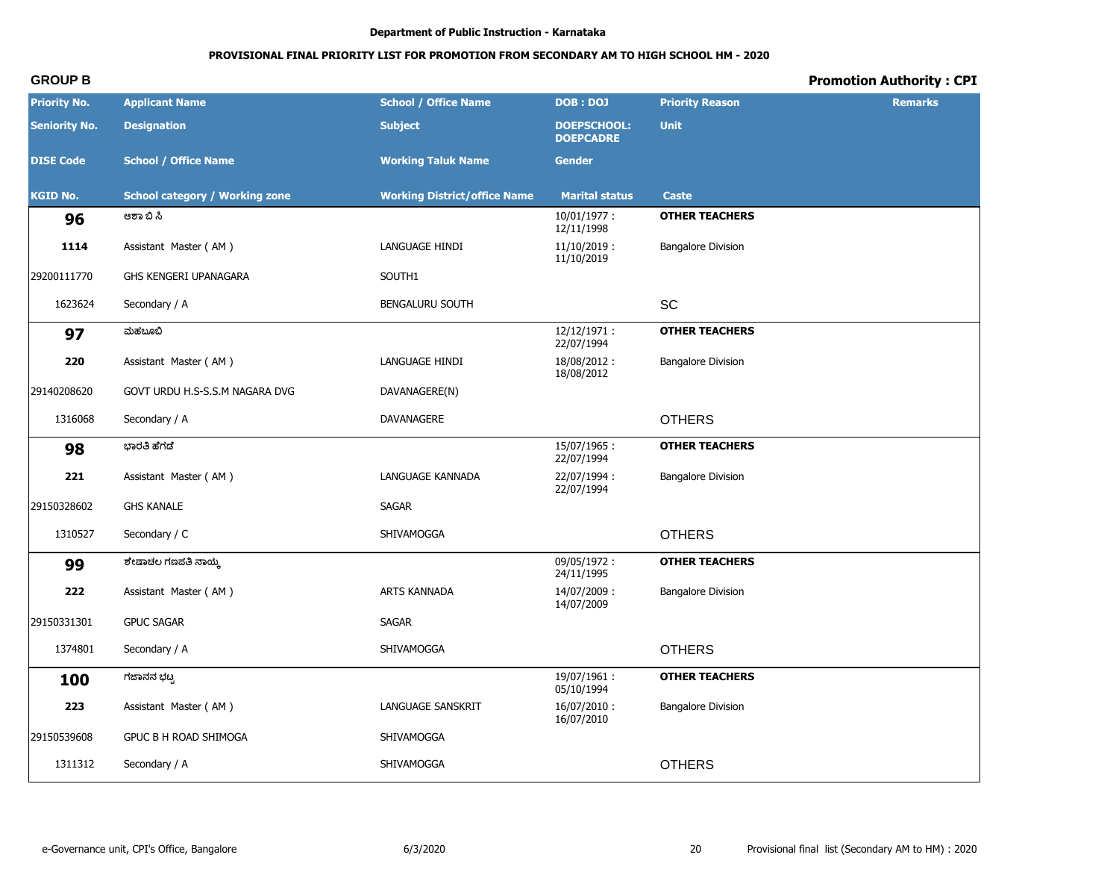# **PROVISIONAL FINAL PRIORITY LIST FOR PROMOTION FROM SECONDARY AM TO HIGH SCHOOL HM - 2020**

| <b>Priority No.</b>  | <b>Applicant Name</b>                 | <b>School / Office Name</b>         | <b>DOB: DOJ</b>                        | <b>Priority Reason</b>    | <b>Remarks</b> |
|----------------------|---------------------------------------|-------------------------------------|----------------------------------------|---------------------------|----------------|
| <b>Seniority No.</b> | <b>Designation</b>                    | <b>Subject</b>                      | <b>DOEPSCHOOL:</b><br><b>DOEPCADRE</b> | <b>Unit</b>               |                |
| <b>DISE Code</b>     | <b>School / Office Name</b>           | <b>Working Taluk Name</b>           | <b>Gender</b>                          |                           |                |
| <b>KGID No.</b>      | <b>School category / Working zone</b> | <b>Working District/office Name</b> | <b>Marital status</b>                  | <b>Caste</b>              |                |
| 96                   | ಆಶಾ ಬಿ ಸಿ                             |                                     | $10/01/1977$ :<br>12/11/1998           | <b>OTHER TEACHERS</b>     |                |
| 1114                 | Assistant Master (AM)                 | LANGUAGE HINDI                      | $11/10/2019$ :<br>11/10/2019           | <b>Bangalore Division</b> |                |
| 29200111770          | GHS KENGERI UPANAGARA                 | SOUTH1                              |                                        |                           |                |
| 1623624              | Secondary / A                         | <b>BENGALURU SOUTH</b>              |                                        | SC                        |                |
| 97                   | ಮಹಬೂಬಿ                                |                                     | 12/12/1971:<br>22/07/1994              | <b>OTHER TEACHERS</b>     |                |
| 220                  | Assistant Master (AM)                 | LANGUAGE HINDI                      | 18/08/2012:<br>18/08/2012              | <b>Bangalore Division</b> |                |
| 29140208620          | GOVT URDU H.S-S.S.M NAGARA DVG        | DAVANAGERE(N)                       |                                        |                           |                |
| 1316068              | Secondary / A                         | DAVANAGERE                          |                                        | <b>OTHERS</b>             |                |
| 98                   | ಭಾರತಿ ಹೆಗಡೆ                           |                                     | 15/07/1965:<br>22/07/1994              | <b>OTHER TEACHERS</b>     |                |
| 221                  | Assistant Master (AM)                 | LANGUAGE KANNADA                    | 22/07/1994:<br>22/07/1994              | <b>Bangalore Division</b> |                |
| 29150328602          | <b>GHS KANALE</b>                     | <b>SAGAR</b>                        |                                        |                           |                |
| 1310527              | Secondary / C                         | SHIVAMOGGA                          |                                        | <b>OTHERS</b>             |                |
| 99                   | ಶೇಷಾಚಲ ಗಣಪತಿ ನಾಯ್ಕ                    |                                     | 09/05/1972:<br>24/11/1995              | <b>OTHER TEACHERS</b>     |                |
| 222                  | Assistant Master (AM)                 | <b>ARTS KANNADA</b>                 | 14/07/2009:<br>14/07/2009              | <b>Bangalore Division</b> |                |
| 29150331301          | <b>GPUC SAGAR</b>                     | SAGAR                               |                                        |                           |                |
| 1374801              | Secondary / A                         | SHIVAMOGGA                          |                                        | <b>OTHERS</b>             |                |
| 100                  | ಗಜಾನನ ಭಟ್ಟ                            |                                     | 19/07/1961:<br>05/10/1994              | <b>OTHER TEACHERS</b>     |                |
| 223                  | Assistant Master (AM)                 | LANGUAGE SANSKRIT                   | 16/07/2010:<br>16/07/2010              | <b>Bangalore Division</b> |                |
| 29150539608          | GPUC B H ROAD SHIMOGA                 | SHIVAMOGGA                          |                                        |                           |                |
| 1311312              | Secondary / A                         | SHIVAMOGGA                          |                                        | <b>OTHERS</b>             |                |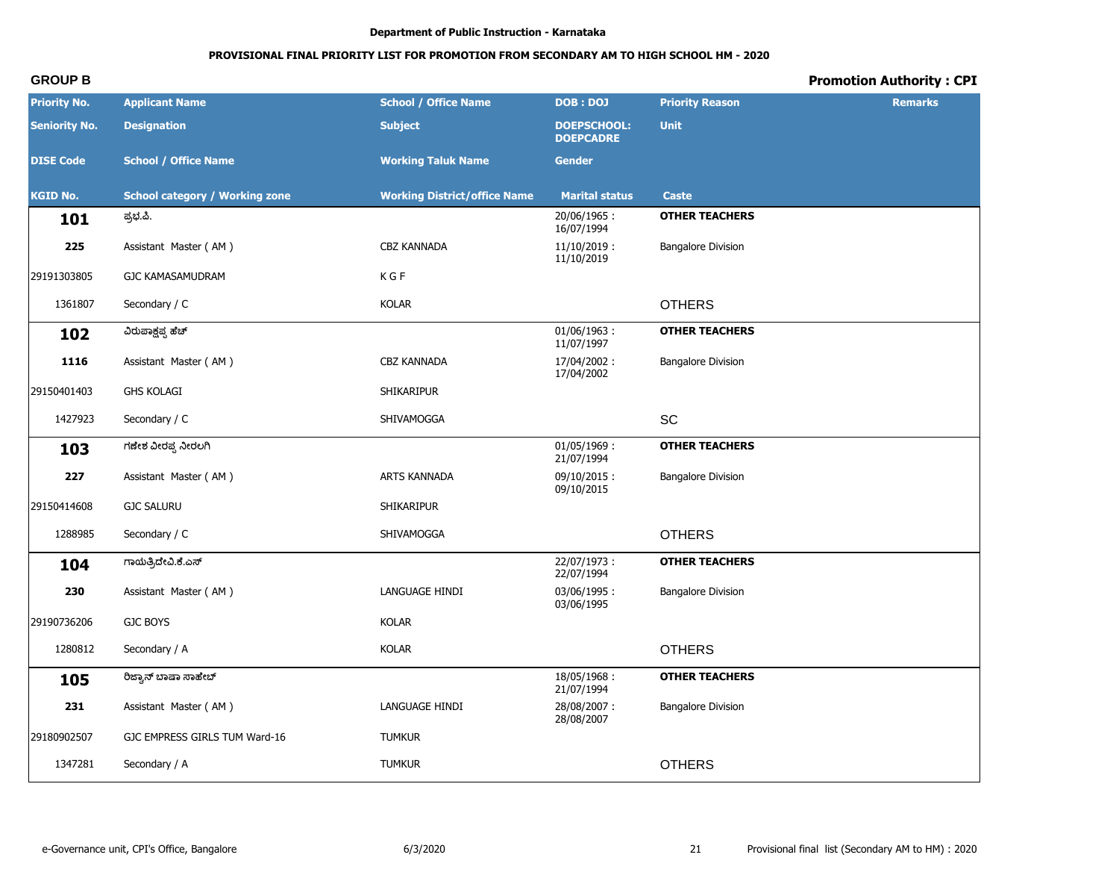# **PROVISIONAL FINAL PRIORITY LIST FOR PROMOTION FROM SECONDARY AM TO HIGH SCHOOL HM - 2020**

| <b>Priority No.</b>  | <b>Applicant Name</b>                 | <b>School / Office Name</b>         | <b>DOB: DOJ</b>                        | <b>Priority Reason</b>    | <b>Remarks</b> |
|----------------------|---------------------------------------|-------------------------------------|----------------------------------------|---------------------------|----------------|
| <b>Seniority No.</b> | <b>Designation</b>                    | <b>Subject</b>                      | <b>DOEPSCHOOL:</b><br><b>DOEPCADRE</b> | <b>Unit</b>               |                |
| <b>DISE Code</b>     | <b>School / Office Name</b>           | <b>Working Taluk Name</b>           | <b>Gender</b>                          |                           |                |
| <b>KGID No.</b>      | <b>School category / Working zone</b> | <b>Working District/office Name</b> | <b>Marital status</b>                  | <b>Caste</b>              |                |
| 101                  | ಪ್ರಭ.ಪಿ.                              |                                     | 20/06/1965:<br>16/07/1994              | <b>OTHER TEACHERS</b>     |                |
| 225                  | Assistant Master (AM)                 | CBZ KANNADA                         | $11/10/2019$ :<br>11/10/2019           | <b>Bangalore Division</b> |                |
| 29191303805          | <b>GJC KAMASAMUDRAM</b>               | K G F                               |                                        |                           |                |
| 1361807              | Secondary / C                         | <b>KOLAR</b>                        |                                        | <b>OTHERS</b>             |                |
| 102                  | ವಿರುಪಾಕ್ಷಪ್ಪ ಹೆಚ್                     |                                     | $01/06/1963$ :<br>11/07/1997           | <b>OTHER TEACHERS</b>     |                |
| 1116                 | Assistant Master (AM)                 | CBZ KANNADA                         | 17/04/2002:<br>17/04/2002              | <b>Bangalore Division</b> |                |
| 29150401403          | <b>GHS KOLAGI</b>                     | <b>SHIKARIPUR</b>                   |                                        |                           |                |
| 1427923              | Secondary / C                         | SHIVAMOGGA                          |                                        | <b>SC</b>                 |                |
| 103                  | ಗಣೇಶ ವೀರಪ್ಪ ನೀರಲಗಿ                    |                                     | $01/05/1969$ :<br>21/07/1994           | <b>OTHER TEACHERS</b>     |                |
| 227                  | Assistant Master (AM)                 | ARTS KANNADA                        | $09/10/2015$ :<br>09/10/2015           | <b>Bangalore Division</b> |                |
| 29150414608          | <b>GJC SALURU</b>                     | SHIKARIPUR                          |                                        |                           |                |
| 1288985              | Secondary / C                         | SHIVAMOGGA                          |                                        | <b>OTHERS</b>             |                |
| 104                  | ಗಾಯೆತ್ರಿದೇವಿ.ಕೆ.ಎಸ್                   |                                     | 22/07/1973:<br>22/07/1994              | <b>OTHER TEACHERS</b>     |                |
| 230                  | Assistant Master (AM)                 | LANGUAGE HINDI                      | 03/06/1995:<br>03/06/1995              | <b>Bangalore Division</b> |                |
| 29190736206          | <b>GJC BOYS</b>                       | <b>KOLAR</b>                        |                                        |                           |                |
| 1280812              | Secondary / A                         | <b>KOLAR</b>                        |                                        | <b>OTHERS</b>             |                |
| 105                  | ರಿಜ್ಯಾನ್ ಬಾಷಾ ಸಾಹೇಬ್                  |                                     | 18/05/1968:<br>21/07/1994              | <b>OTHER TEACHERS</b>     |                |
| 231                  | Assistant Master (AM)                 | LANGUAGE HINDI                      | 28/08/2007:<br>28/08/2007              | <b>Bangalore Division</b> |                |
| 29180902507          | GJC EMPRESS GIRLS TUM Ward-16         | <b>TUMKUR</b>                       |                                        |                           |                |
| 1347281              | Secondary / A                         | <b>TUMKUR</b>                       |                                        | <b>OTHERS</b>             |                |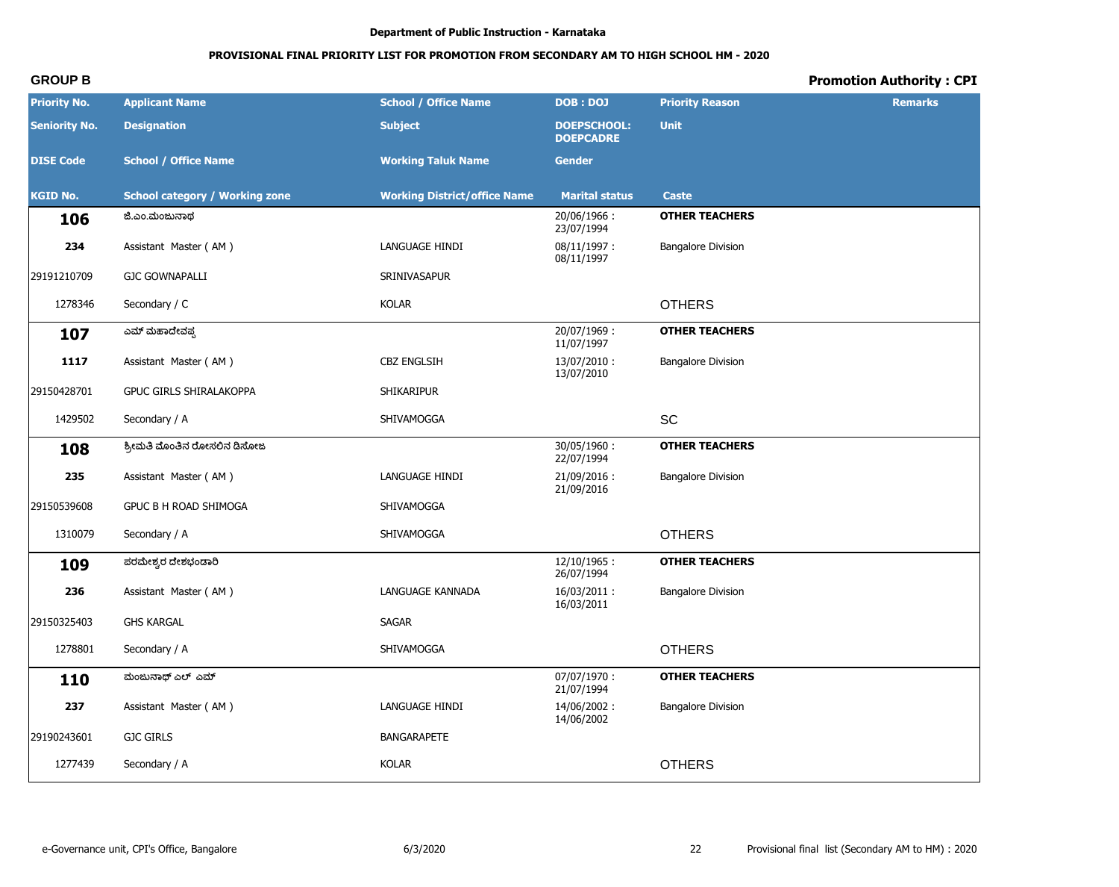# **PROVISIONAL FINAL PRIORITY LIST FOR PROMOTION FROM SECONDARY AM TO HIGH SCHOOL HM - 2020**

| <b>Priority No.</b>  | <b>Applicant Name</b>                 | <b>School / Office Name</b>         | <b>DOB: DOJ</b>                        | <b>Priority Reason</b>    | <b>Remarks</b> |
|----------------------|---------------------------------------|-------------------------------------|----------------------------------------|---------------------------|----------------|
| <b>Seniority No.</b> | <b>Designation</b>                    | <b>Subject</b>                      | <b>DOEPSCHOOL:</b><br><b>DOEPCADRE</b> | <b>Unit</b>               |                |
| <b>DISE Code</b>     | <b>School / Office Name</b>           | <b>Working Taluk Name</b>           | <b>Gender</b>                          |                           |                |
| <b>KGID No.</b>      | <b>School category / Working zone</b> | <b>Working District/office Name</b> | <b>Marital status</b>                  | <b>Caste</b>              |                |
| 106                  | ಜಿ.ಎಂ.ಮಂಜುನಾಥ                         |                                     | 20/06/1966:<br>23/07/1994              | <b>OTHER TEACHERS</b>     |                |
| 234                  | Assistant Master (AM)                 | LANGUAGE HINDI                      | 08/11/1997:<br>08/11/1997              | <b>Bangalore Division</b> |                |
| 29191210709          | <b>GJC GOWNAPALLI</b>                 | SRINIVASAPUR                        |                                        |                           |                |
| 1278346              | Secondary / C                         | <b>KOLAR</b>                        |                                        | <b>OTHERS</b>             |                |
| 107                  | ಎಮ್ ಮಹಾದೇವಪ್ಪ                         |                                     | 20/07/1969:<br>11/07/1997              | <b>OTHER TEACHERS</b>     |                |
| 1117                 | Assistant Master (AM)                 | <b>CBZ ENGLSIH</b>                  | 13/07/2010:<br>13/07/2010              | <b>Bangalore Division</b> |                |
| 29150428701          | <b>GPUC GIRLS SHIRALAKOPPA</b>        | <b>SHIKARIPUR</b>                   |                                        |                           |                |
| 1429502              | Secondary / A                         | SHIVAMOGGA                          |                                        | <b>SC</b>                 |                |
| 108                  | ಶ್ರೀಮತಿ ಮೊಂತಿನ ರೋಸಲಿನ ಡಿಸೋಜ           |                                     | 30/05/1960:<br>22/07/1994              | <b>OTHER TEACHERS</b>     |                |
| 235                  | Assistant Master (AM)                 | LANGUAGE HINDI                      | 21/09/2016:<br>21/09/2016              | <b>Bangalore Division</b> |                |
| 29150539608          | <b>GPUC B H ROAD SHIMOGA</b>          | SHIVAMOGGA                          |                                        |                           |                |
| 1310079              | Secondary / A                         | SHIVAMOGGA                          |                                        | <b>OTHERS</b>             |                |
| 109                  | ಪರಮೇಶ್ವರ ದೇಶಭಂಡಾರಿ                    |                                     | $12/10/1965$ :<br>26/07/1994           | <b>OTHER TEACHERS</b>     |                |
| 236                  | Assistant Master (AM)                 | LANGUAGE KANNADA                    | 16/03/2011:<br>16/03/2011              | <b>Bangalore Division</b> |                |
| 29150325403          | <b>GHS KARGAL</b>                     | SAGAR                               |                                        |                           |                |
| 1278801              | Secondary / A                         | SHIVAMOGGA                          |                                        | <b>OTHERS</b>             |                |
| 110                  | ಮಂಜುನಾಥ್ ಎಲ್ ಎಮ್                      |                                     | 07/07/1970:<br>21/07/1994              | <b>OTHER TEACHERS</b>     |                |
| 237                  | Assistant Master (AM)                 | LANGUAGE HINDI                      | 14/06/2002:<br>14/06/2002              | <b>Bangalore Division</b> |                |
| 29190243601          | <b>GJC GIRLS</b>                      | <b>BANGARAPETE</b>                  |                                        |                           |                |
| 1277439              | Secondary / A                         | KOLAR                               |                                        | <b>OTHERS</b>             |                |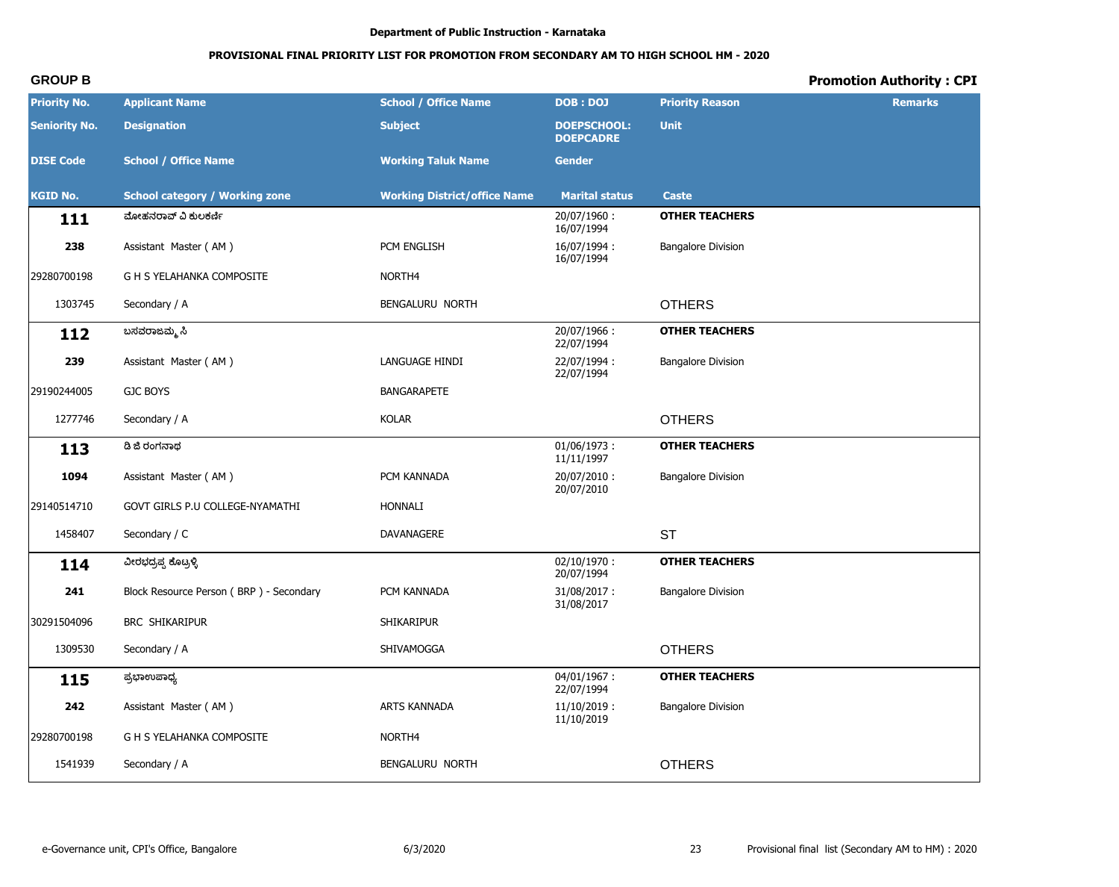# PROVISIONAL FINAL PRIORITY LIST FOR PROMOTION FROM SECONDARY AM TO HIGH SCHOOL HM - 2020

# **Promotion Authority: CPI**

| <b>Priority No.</b>  | <b>Applicant Name</b>                   | <b>School / Office Name</b>         | <b>DOB : DOJ</b>                       | <b>Priority Reason</b>    | <b>Remarks</b> |
|----------------------|-----------------------------------------|-------------------------------------|----------------------------------------|---------------------------|----------------|
| <b>Seniority No.</b> | <b>Designation</b>                      | <b>Subject</b>                      | <b>DOEPSCHOOL:</b><br><b>DOEPCADRE</b> | <b>Unit</b>               |                |
| <b>DISE Code</b>     | <b>School / Office Name</b>             | <b>Working Taluk Name</b>           | <b>Gender</b>                          |                           |                |
| <b>KGID No.</b>      | <b>School category / Working zone</b>   | <b>Working District/office Name</b> | <b>Marital status</b>                  | <b>Caste</b>              |                |
| 111                  | ಮೋಹನರಾವ್ ವಿ ಕುಲಕರ್ಣಿ                    |                                     | 20/07/1960:<br>16/07/1994              | <b>OTHER TEACHERS</b>     |                |
| 238                  | Assistant Master (AM)                   | PCM ENGLISH                         | 16/07/1994:<br>16/07/1994              | <b>Bangalore Division</b> |                |
| 29280700198          | G H S YELAHANKA COMPOSITE               | NORTH <sub>4</sub>                  |                                        |                           |                |
| 1303745              | Secondary / A                           | BENGALURU NORTH                     |                                        | <b>OTHERS</b>             |                |
| 112                  | ಬಸವರಾಜಮ್ಮ ಸಿ                            |                                     | 20/07/1966:<br>22/07/1994              | <b>OTHER TEACHERS</b>     |                |
| 239                  | Assistant Master (AM)                   | LANGUAGE HINDI                      | 22/07/1994:<br>22/07/1994              | <b>Bangalore Division</b> |                |
| 29190244005          | <b>GJC BOYS</b>                         | <b>BANGARAPETE</b>                  |                                        |                           |                |
| 1277746              | Secondary / A                           | <b>KOLAR</b>                        |                                        | <b>OTHERS</b>             |                |
| 113                  | ಡಿ ಜಿ ರಂಗನಾಥ                            |                                     | $01/06/1973$ :<br>11/11/1997           | <b>OTHER TEACHERS</b>     |                |
| 1094                 | Assistant Master (AM)                   | PCM KANNADA                         | 20/07/2010:<br>20/07/2010              | <b>Bangalore Division</b> |                |
| 29140514710          | GOVT GIRLS P.U COLLEGE-NYAMATHI         | <b>HONNALI</b>                      |                                        |                           |                |
| 1458407              | Secondary / C                           | DAVANAGERE                          |                                        | <b>ST</b>                 |                |
| 114                  | ವೀರಭದ್ರಪ್ಪ ಕೊಟ್ರಳ್ಳಿ                    |                                     | $02/10/1970$ :<br>20/07/1994           | <b>OTHER TEACHERS</b>     |                |
| 241                  | Block Resource Person (BRP) - Secondary | PCM KANNADA                         | 31/08/2017:<br>31/08/2017              | <b>Bangalore Division</b> |                |
| 30291504096          | <b>BRC SHIKARIPUR</b>                   | SHIKARIPUR                          |                                        |                           |                |
| 1309530              | Secondary / A                           | SHIVAMOGGA                          |                                        | <b>OTHERS</b>             |                |
| 115                  | ಪ್ರಭಾಉಪಾಧ್ಯ                             |                                     | 04/01/1967:<br>22/07/1994              | <b>OTHER TEACHERS</b>     |                |
| 242                  | Assistant Master (AM)                   | ARTS KANNADA                        | $11/10/2019$ :<br>11/10/2019           | <b>Bangalore Division</b> |                |
| 29280700198          | G H S YELAHANKA COMPOSITE               | NORTH4                              |                                        |                           |                |
| 1541939              | Secondary / A                           | BENGALURU NORTH                     |                                        | <b>OTHERS</b>             |                |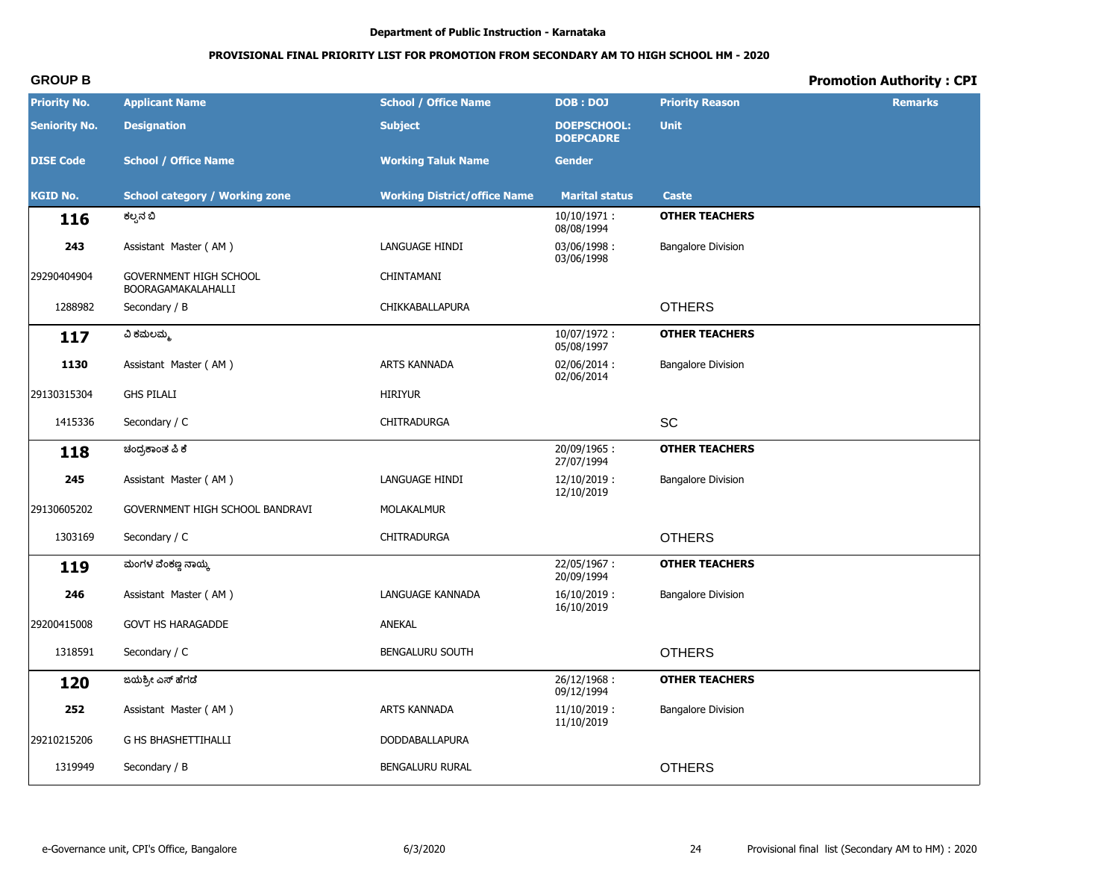# PROVISIONAL FINAL PRIORITY LIST FOR PROMOTION FROM SECONDARY AM TO HIGH SCHOOL HM - 2020

# **Promotion Authority: CPI**

| <b>Priority No.</b>  | <b>Applicant Name</b>                               | <b>School / Office Name</b>         | <b>DOB: DOJ</b>                        | <b>Priority Reason</b>    | <b>Remarks</b> |
|----------------------|-----------------------------------------------------|-------------------------------------|----------------------------------------|---------------------------|----------------|
| <b>Seniority No.</b> | <b>Designation</b>                                  | <b>Subject</b>                      | <b>DOEPSCHOOL:</b><br><b>DOEPCADRE</b> | <b>Unit</b>               |                |
| <b>DISE Code</b>     | <b>School / Office Name</b>                         | <b>Working Taluk Name</b>           | <b>Gender</b>                          |                           |                |
| <b>KGID No.</b>      | <b>School category / Working zone</b>               | <b>Working District/office Name</b> | <b>Marital status</b>                  | <b>Caste</b>              |                |
| 116                  | ಕಲ್ಪನೆ ಬಿ                                           |                                     | $10/10/1971$ :<br>08/08/1994           | <b>OTHER TEACHERS</b>     |                |
| 243                  | Assistant Master (AM)                               | LANGUAGE HINDI                      | 03/06/1998:<br>03/06/1998              | <b>Bangalore Division</b> |                |
| 29290404904          | <b>GOVERNMENT HIGH SCHOOL</b><br>BOORAGAMAKALAHALLI | CHINTAMANI                          |                                        |                           |                |
| 1288982              | Secondary / B                                       | CHIKKABALLAPURA                     |                                        | <b>OTHERS</b>             |                |
| 117                  | ವಿ ಕಮಲಮ್ಮ                                           |                                     | $10/07/1972$ :<br>05/08/1997           | <b>OTHER TEACHERS</b>     |                |
| 1130                 | Assistant Master (AM)                               | <b>ARTS KANNADA</b>                 | 02/06/2014:<br>02/06/2014              | <b>Bangalore Division</b> |                |
| 29130315304          | <b>GHS PILALI</b>                                   | <b>HIRIYUR</b>                      |                                        |                           |                |
| 1415336              | Secondary / C                                       | CHITRADURGA                         |                                        | SC                        |                |
| 118                  | ಚಂದ್ರಕಾಂತ ಪಿ ಕೆ                                     |                                     | 20/09/1965:<br>27/07/1994              | <b>OTHER TEACHERS</b>     |                |
| 245                  | Assistant Master (AM)                               | LANGUAGE HINDI                      | $12/10/2019$ :<br>12/10/2019           | <b>Bangalore Division</b> |                |
| 29130605202          | GOVERNMENT HIGH SCHOOL BANDRAVI                     | MOLAKALMUR                          |                                        |                           |                |
| 1303169              | Secondary / C                                       | CHITRADURGA                         |                                        | <b>OTHERS</b>             |                |
| 119                  | ಮಂಗಳ ವೆಂಕಣ್ಣ ನಾಯ್ಕ                                  |                                     | 22/05/1967:<br>20/09/1994              | <b>OTHER TEACHERS</b>     |                |
| 246                  | Assistant Master (AM)                               | LANGUAGE KANNADA                    | $16/10/2019$ :<br>16/10/2019           | <b>Bangalore Division</b> |                |
| 29200415008          | <b>GOVT HS HARAGADDE</b>                            | <b>ANEKAL</b>                       |                                        |                           |                |
| 1318591              | Secondary / C                                       | <b>BENGALURU SOUTH</b>              |                                        | <b>OTHERS</b>             |                |
| 120                  | ಜಯಶ್ರೀ ಎಸ್ ಹೆಗಡೆ                                    |                                     | 26/12/1968:<br>09/12/1994              | <b>OTHER TEACHERS</b>     |                |
| 252                  | Assistant Master (AM)                               | ARTS KANNADA                        | $11/10/2019$ :<br>11/10/2019           | <b>Bangalore Division</b> |                |
| 29210215206          | G HS BHASHETTIHALLI                                 | DODDABALLAPURA                      |                                        |                           |                |
| 1319949              | Secondary / B                                       | BENGALURU RURAL                     |                                        | <b>OTHERS</b>             |                |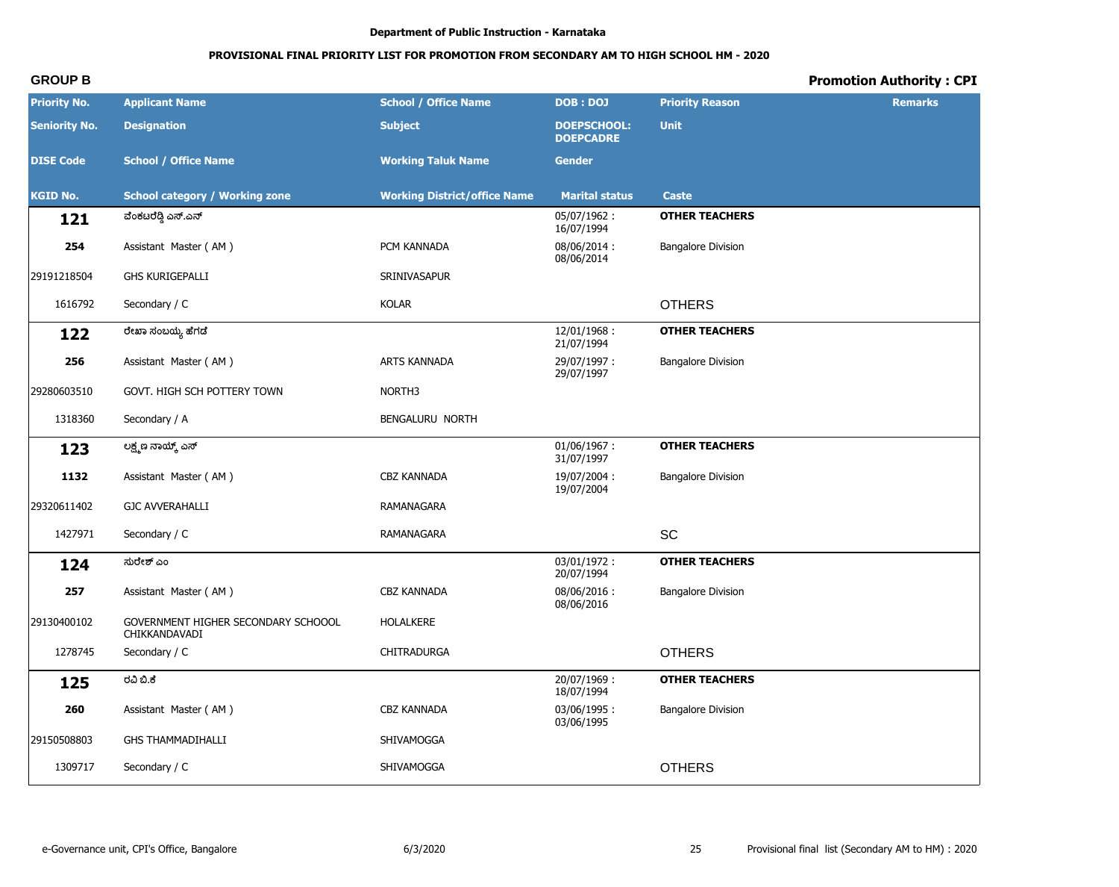# PROVISIONAL FINAL PRIORITY LIST FOR PROMOTION FROM SECONDARY AM TO HIGH SCHOOL HM - 2020

# **Promotion Authority: CPI**

| <b>Priority No.</b>  | <b>Applicant Name</b>                                | <b>School / Office Name</b>         | <b>DOB: DOJ</b>                        | <b>Priority Reason</b>    | <b>Remarks</b> |
|----------------------|------------------------------------------------------|-------------------------------------|----------------------------------------|---------------------------|----------------|
| <b>Seniority No.</b> | <b>Designation</b>                                   | <b>Subject</b>                      | <b>DOEPSCHOOL:</b><br><b>DOEPCADRE</b> | <b>Unit</b>               |                |
| <b>DISE Code</b>     | <b>School / Office Name</b>                          | <b>Working Taluk Name</b>           | <b>Gender</b>                          |                           |                |
| <b>KGID No.</b>      | <b>School category / Working zone</b>                | <b>Working District/office Name</b> | <b>Marital status</b>                  | <b>Caste</b>              |                |
| 121                  | ವೆಂಕಟರೆಡ್ಗಿ ಎಸ್.ಎನ್                                  |                                     | 05/07/1962:<br>16/07/1994              | <b>OTHER TEACHERS</b>     |                |
| 254                  | Assistant Master (AM)                                | PCM KANNADA                         | 08/06/2014:<br>08/06/2014              | <b>Bangalore Division</b> |                |
| 29191218504          | <b>GHS KURIGEPALLI</b>                               | SRINIVASAPUR                        |                                        |                           |                |
| 1616792              | Secondary / C                                        | <b>KOLAR</b>                        |                                        | <b>OTHERS</b>             |                |
| 122                  | ರೇಖಾ ಸಂಬಯ್ಯ ಹೆಗಡೆ                                    |                                     | 12/01/1968:<br>21/07/1994              | <b>OTHER TEACHERS</b>     |                |
| 256                  | Assistant Master (AM)                                | ARTS KANNADA                        | 29/07/1997:<br>29/07/1997              | <b>Bangalore Division</b> |                |
| 29280603510          | GOVT. HIGH SCH POTTERY TOWN                          | NORTH <sub>3</sub>                  |                                        |                           |                |
| 1318360              | Secondary / A                                        | BENGALURU NORTH                     |                                        |                           |                |
| 123                  | ಲಕ್ಷ್ಮಣ ನಾಯ್ಕ್ ಎಸ್                                   |                                     | $01/06/1967$ :<br>31/07/1997           | <b>OTHER TEACHERS</b>     |                |
| 1132                 | Assistant Master (AM)                                | CBZ KANNADA                         | 19/07/2004:<br>19/07/2004              | <b>Bangalore Division</b> |                |
| 29320611402          | <b>GJC AVVERAHALLI</b>                               | RAMANAGARA                          |                                        |                           |                |
| 1427971              | Secondary / C                                        | RAMANAGARA                          |                                        | SC                        |                |
| 124                  | ಸುರೇಶ್ ಎಂ                                            |                                     | 03/01/1972:<br>20/07/1994              | <b>OTHER TEACHERS</b>     |                |
| 257                  | Assistant Master (AM)                                | <b>CBZ KANNADA</b>                  | 08/06/2016:<br>08/06/2016              | <b>Bangalore Division</b> |                |
| 29130400102          | GOVERNMENT HIGHER SECONDARY SCHOOOL<br>CHIKKANDAVADI | <b>HOLALKERE</b>                    |                                        |                           |                |
| 1278745              | Secondary / C                                        | <b>CHITRADURGA</b>                  |                                        | <b>OTHERS</b>             |                |
| 125                  | ರವಿ ಬಿ.ಕೆ                                            |                                     | 20/07/1969:<br>18/07/1994              | <b>OTHER TEACHERS</b>     |                |
| 260                  | Assistant Master (AM)                                | CBZ KANNADA                         | 03/06/1995:<br>03/06/1995              | <b>Bangalore Division</b> |                |
| 29150508803          | <b>GHS THAMMADIHALLI</b>                             | SHIVAMOGGA                          |                                        |                           |                |
| 1309717              | Secondary / C                                        | SHIVAMOGGA                          |                                        | <b>OTHERS</b>             |                |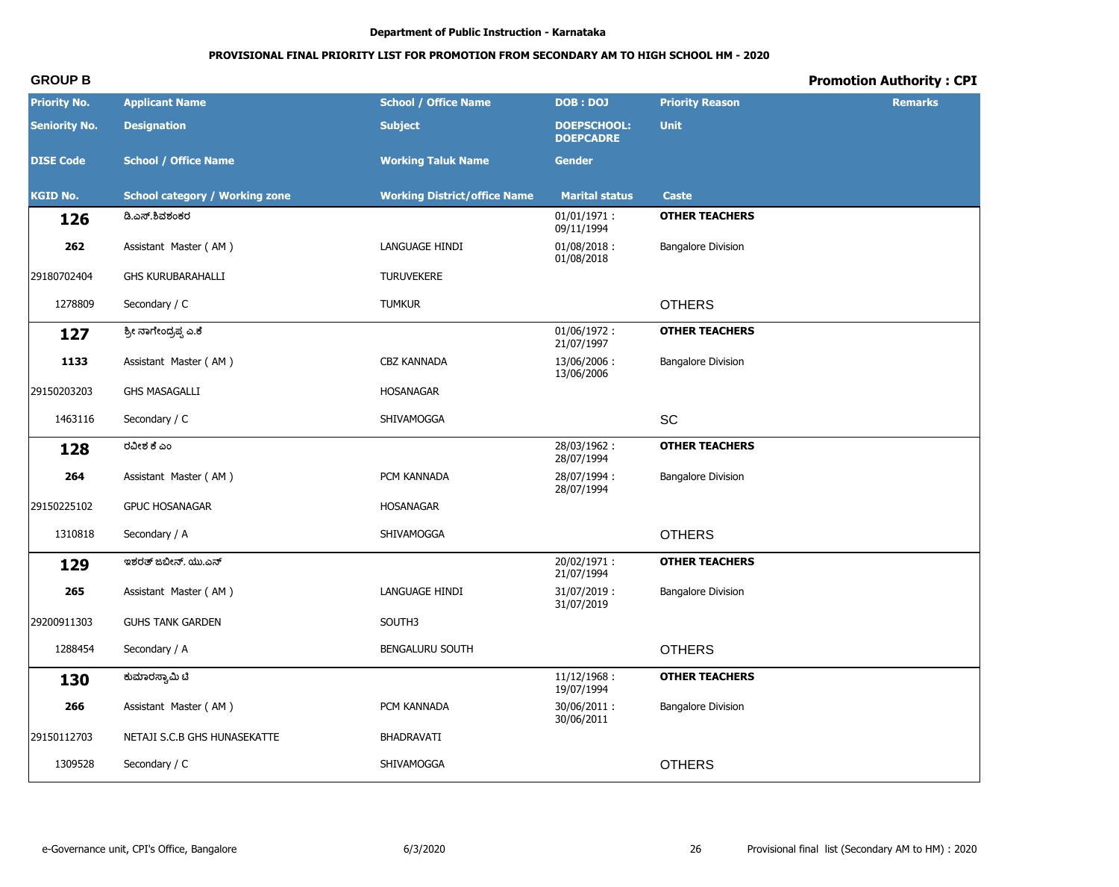# PROVISIONAL FINAL PRIORITY LIST FOR PROMOTION FROM SECONDARY AM TO HIGH SCHOOL HM - 2020

# **Promotion Authority: CPI**

| <b>Priority No.</b>  | <b>Applicant Name</b>                 | <b>School / Office Name</b>         | <b>DOB: DOJ</b>                        | <b>Priority Reason</b>    | <b>Remarks</b> |
|----------------------|---------------------------------------|-------------------------------------|----------------------------------------|---------------------------|----------------|
| <b>Seniority No.</b> | <b>Designation</b>                    | <b>Subject</b>                      | <b>DOEPSCHOOL:</b><br><b>DOEPCADRE</b> | <b>Unit</b>               |                |
| <b>DISE Code</b>     | <b>School / Office Name</b>           | <b>Working Taluk Name</b>           | <b>Gender</b>                          |                           |                |
| <b>KGID No.</b>      | <b>School category / Working zone</b> | <b>Working District/office Name</b> | <b>Marital status</b>                  | <b>Caste</b>              |                |
| 126                  | ಡಿ.ಎಸ್.ಶಿವಶಂಕರ                        |                                     | $01/01/1971$ :<br>09/11/1994           | <b>OTHER TEACHERS</b>     |                |
| 262                  | Assistant Master (AM)                 | LANGUAGE HINDI                      | $01/08/2018$ :<br>01/08/2018           | <b>Bangalore Division</b> |                |
| 29180702404          | <b>GHS KURUBARAHALLI</b>              | <b>TURUVEKERE</b>                   |                                        |                           |                |
| 1278809              | Secondary / C                         | <b>TUMKUR</b>                       |                                        | <b>OTHERS</b>             |                |
| 127                  | ಶ್ರೀ ನಾಗೇಂದ್ರಪ್ಪ ಎ.ಕೆ                 |                                     | $01/06/1972$ :<br>21/07/1997           | <b>OTHER TEACHERS</b>     |                |
| 1133                 | Assistant Master (AM)                 | CBZ KANNADA                         | 13/06/2006:<br>13/06/2006              | <b>Bangalore Division</b> |                |
| 29150203203          | <b>GHS MASAGALLI</b>                  | <b>HOSANAGAR</b>                    |                                        |                           |                |
| 1463116              | Secondary / C                         | SHIVAMOGGA                          |                                        | SC                        |                |
| 128                  | ರವೀಶ ಕೆ ಎಂ                            |                                     | 28/03/1962:<br>28/07/1994              | <b>OTHER TEACHERS</b>     |                |
| 264                  | Assistant Master (AM)                 | PCM KANNADA                         | 28/07/1994:<br>28/07/1994              | <b>Bangalore Division</b> |                |
| 29150225102          | <b>GPUC HOSANAGAR</b>                 | <b>HOSANAGAR</b>                    |                                        |                           |                |
| 1310818              | Secondary / A                         | SHIVAMOGGA                          |                                        | <b>OTHERS</b>             |                |
| 129                  | ಇಶರತ್ ಜಬೀನ್. ಯು.ಎನ್                   |                                     | 20/02/1971:<br>21/07/1994              | <b>OTHER TEACHERS</b>     |                |
| 265                  | Assistant Master (AM)                 | LANGUAGE HINDI                      | 31/07/2019:<br>31/07/2019              | <b>Bangalore Division</b> |                |
| 29200911303          | <b>GUHS TANK GARDEN</b>               | SOUTH3                              |                                        |                           |                |
| 1288454              | Secondary / A                         | <b>BENGALURU SOUTH</b>              |                                        | <b>OTHERS</b>             |                |
| 130                  | ಕುಮಾರಸ್ವಾಮಿ ಟಿ                        |                                     | 11/12/1968:<br>19/07/1994              | <b>OTHER TEACHERS</b>     |                |
| 266                  | Assistant Master (AM)                 | PCM KANNADA                         | 30/06/2011:<br>30/06/2011              | <b>Bangalore Division</b> |                |
| 29150112703          | NETAJI S.C.B GHS HUNASEKATTE          | BHADRAVATI                          |                                        |                           |                |
| 1309528              | Secondary / C                         | SHIVAMOGGA                          |                                        | <b>OTHERS</b>             |                |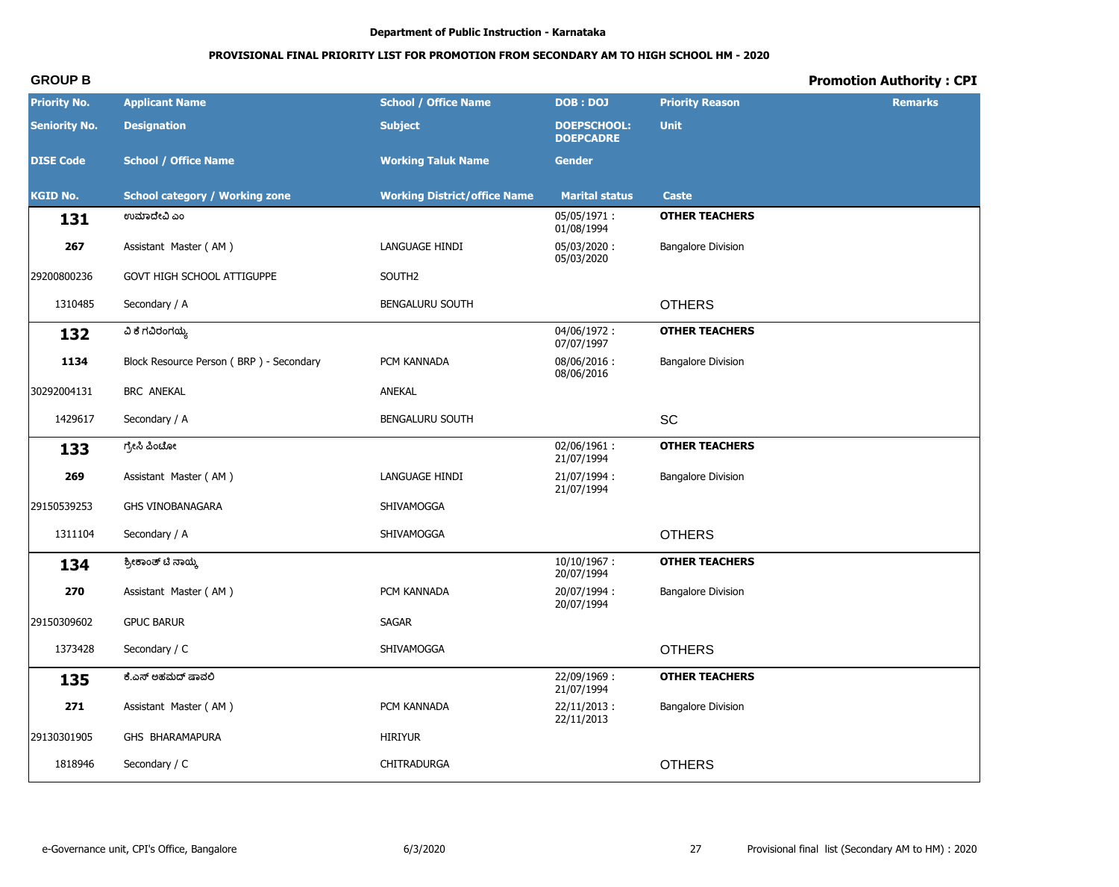# PROVISIONAL FINAL PRIORITY LIST FOR PROMOTION FROM SECONDARY AM TO HIGH SCHOOL HM - 2020

# **Promotion Authority: CPI**

| <b>Priority No.</b>  | <b>Applicant Name</b>                   | <b>School / Office Name</b>         | <b>DOB: DOJ</b>                        | <b>Priority Reason</b>    | <b>Remarks</b> |
|----------------------|-----------------------------------------|-------------------------------------|----------------------------------------|---------------------------|----------------|
| <b>Seniority No.</b> | <b>Designation</b>                      | <b>Subject</b>                      | <b>DOEPSCHOOL:</b><br><b>DOEPCADRE</b> | <b>Unit</b>               |                |
| <b>DISE Code</b>     | <b>School / Office Name</b>             | <b>Working Taluk Name</b>           | <b>Gender</b>                          |                           |                |
| <b>KGID No.</b>      | <b>School category / Working zone</b>   | <b>Working District/office Name</b> | <b>Marital status</b>                  | <b>Caste</b>              |                |
| 131                  | ಉಮಾದೇವಿ ಎಂ                              |                                     | 05/05/1971:<br>01/08/1994              | <b>OTHER TEACHERS</b>     |                |
| 267                  | Assistant Master (AM)                   | LANGUAGE HINDI                      | 05/03/2020:<br>05/03/2020              | <b>Bangalore Division</b> |                |
| 29200800236          | GOVT HIGH SCHOOL ATTIGUPPE              | SOUTH2                              |                                        |                           |                |
| 1310485              | Secondary / A                           | BENGALURU SOUTH                     |                                        | <b>OTHERS</b>             |                |
| 132                  | ವಿ ಕೆ ಗವಿರಂಗಯ್ಯ                         |                                     | 04/06/1972:<br>07/07/1997              | <b>OTHER TEACHERS</b>     |                |
| 1134                 | Block Resource Person (BRP) - Secondary | PCM KANNADA                         | 08/06/2016:<br>08/06/2016              | <b>Bangalore Division</b> |                |
| 30292004131          | BRC ANEKAL                              | ANEKAL                              |                                        |                           |                |
| 1429617              | Secondary / A                           | BENGALURU SOUTH                     |                                        | <b>SC</b>                 |                |
| 133                  | ಗ್ರೇಸಿ ಪಿಂಟೋ                            |                                     | 02/06/1961:<br>21/07/1994              | <b>OTHER TEACHERS</b>     |                |
| 269                  | Assistant Master (AM)                   | LANGUAGE HINDI                      | 21/07/1994:<br>21/07/1994              | <b>Bangalore Division</b> |                |
| 29150539253          | <b>GHS VINOBANAGARA</b>                 | SHIVAMOGGA                          |                                        |                           |                |
| 1311104              | Secondary / A                           | SHIVAMOGGA                          |                                        | <b>OTHERS</b>             |                |
| 134                  | ಶ್ರೀಕಾಂತ್ ಟಿ ನಾಯ್ಕ                      |                                     | $10/10/1967$ :<br>20/07/1994           | <b>OTHER TEACHERS</b>     |                |
| 270                  | Assistant Master (AM)                   | PCM KANNADA                         | 20/07/1994:<br>20/07/1994              | <b>Bangalore Division</b> |                |
| 29150309602          | <b>GPUC BARUR</b>                       | <b>SAGAR</b>                        |                                        |                           |                |
| 1373428              | Secondary / C                           | SHIVAMOGGA                          |                                        | <b>OTHERS</b>             |                |
| 135                  | ಕೆ.ಎಸ್ ಅಹಮದ್ ಷಾವಲಿ                      |                                     | 22/09/1969:<br>21/07/1994              | <b>OTHER TEACHERS</b>     |                |
| 271                  | Assistant Master (AM)                   | PCM KANNADA                         | $22/11/2013$ :<br>22/11/2013           | <b>Bangalore Division</b> |                |
| 29130301905          | GHS BHARAMAPURA                         | <b>HIRIYUR</b>                      |                                        |                           |                |
| 1818946              | Secondary / C                           | CHITRADURGA                         |                                        | <b>OTHERS</b>             |                |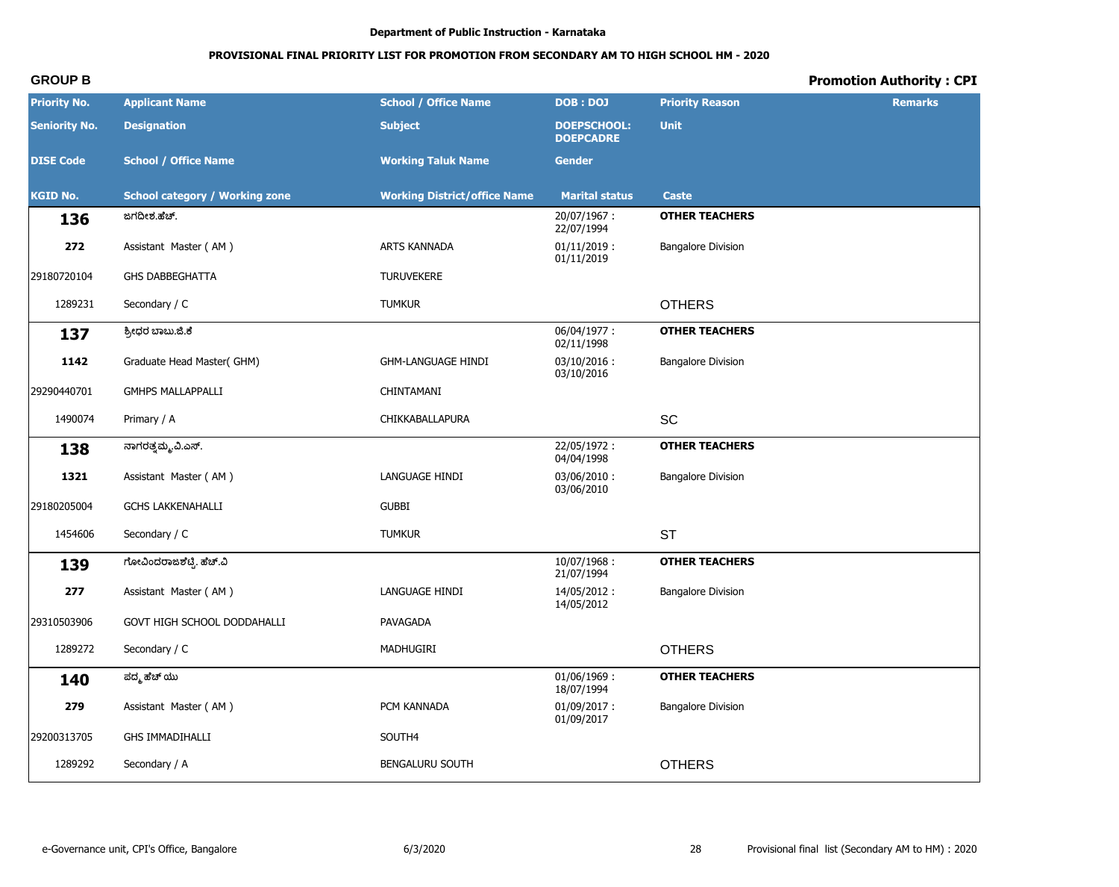# **PROVISIONAL FINAL PRIORITY LIST FOR PROMOTION FROM SECONDARY AM TO HIGH SCHOOL HM - 2020**

| <b>Priority No.</b>  | <b>Applicant Name</b>                 | <b>School / Office Name</b>         | <b>DOB: DOJ</b>                        | <b>Priority Reason</b>    | <b>Remarks</b> |
|----------------------|---------------------------------------|-------------------------------------|----------------------------------------|---------------------------|----------------|
| <b>Seniority No.</b> | <b>Designation</b>                    | <b>Subject</b>                      | <b>DOEPSCHOOL:</b><br><b>DOEPCADRE</b> | <b>Unit</b>               |                |
| <b>DISE Code</b>     | <b>School / Office Name</b>           | <b>Working Taluk Name</b>           | <b>Gender</b>                          |                           |                |
| <b>KGID No.</b>      | <b>School category / Working zone</b> | <b>Working District/office Name</b> | <b>Marital status</b>                  | <b>Caste</b>              |                |
| 136                  | ಜಗದೀಶ.ಹೆಚ್.                           |                                     | 20/07/1967:<br>22/07/1994              | <b>OTHER TEACHERS</b>     |                |
| 272                  | Assistant Master (AM)                 | <b>ARTS KANNADA</b>                 | $01/11/2019$ :<br>01/11/2019           | <b>Bangalore Division</b> |                |
| 29180720104          | <b>GHS DABBEGHATTA</b>                | <b>TURUVEKERE</b>                   |                                        |                           |                |
| 1289231              | Secondary / C                         | <b>TUMKUR</b>                       |                                        | <b>OTHERS</b>             |                |
| 137                  | ಶ್ರೀಧರ ಬಾಬು.ಜಿ.ಕೆ                     |                                     | 06/04/1977:<br>02/11/1998              | <b>OTHER TEACHERS</b>     |                |
| 1142                 | Graduate Head Master(GHM)             | <b>GHM-LANGUAGE HINDI</b>           | $03/10/2016$ :<br>03/10/2016           | <b>Bangalore Division</b> |                |
| 29290440701          | <b>GMHPS MALLAPPALLI</b>              | CHINTAMANI                          |                                        |                           |                |
| 1490074              | Primary / A                           | CHIKKABALLAPURA                     |                                        | SC                        |                |
| 138                  | ನಾಗರತ್ತಮ್ಮ.ವಿ.ಎಸ್.                    |                                     | 22/05/1972:<br>04/04/1998              | <b>OTHER TEACHERS</b>     |                |
| 1321                 | Assistant Master (AM)                 | LANGUAGE HINDI                      | 03/06/2010:<br>03/06/2010              | <b>Bangalore Division</b> |                |
| 29180205004          | <b>GCHS LAKKENAHALLI</b>              | <b>GUBBI</b>                        |                                        |                           |                |
| 1454606              | Secondary / C                         | <b>TUMKUR</b>                       |                                        | <b>ST</b>                 |                |
| 139                  | ಗೋವಿಂದರಾಜಶೆಟ್ಟಿ. ಹೆಚ್.ವಿ              |                                     | $10/07/1968$ :<br>21/07/1994           | <b>OTHER TEACHERS</b>     |                |
| 277                  | Assistant Master (AM)                 | LANGUAGE HINDI                      | 14/05/2012:<br>14/05/2012              | <b>Bangalore Division</b> |                |
| 29310503906          | GOVT HIGH SCHOOL DODDAHALLI           | PAVAGADA                            |                                        |                           |                |
| 1289272              | Secondary / C                         | MADHUGIRI                           |                                        | <b>OTHERS</b>             |                |
| 140                  | ಪದ್ಮ ಹೆಚ್ ಯು                          |                                     | $01/06/1969$ :<br>18/07/1994           | <b>OTHER TEACHERS</b>     |                |
| 279                  | Assistant Master (AM)                 | PCM KANNADA                         | $01/09/2017$ :<br>01/09/2017           | <b>Bangalore Division</b> |                |
| 29200313705          | <b>GHS IMMADIHALLI</b>                | SOUTH4                              |                                        |                           |                |
| 1289292              | Secondary / A                         | BENGALURU SOUTH                     |                                        | <b>OTHERS</b>             |                |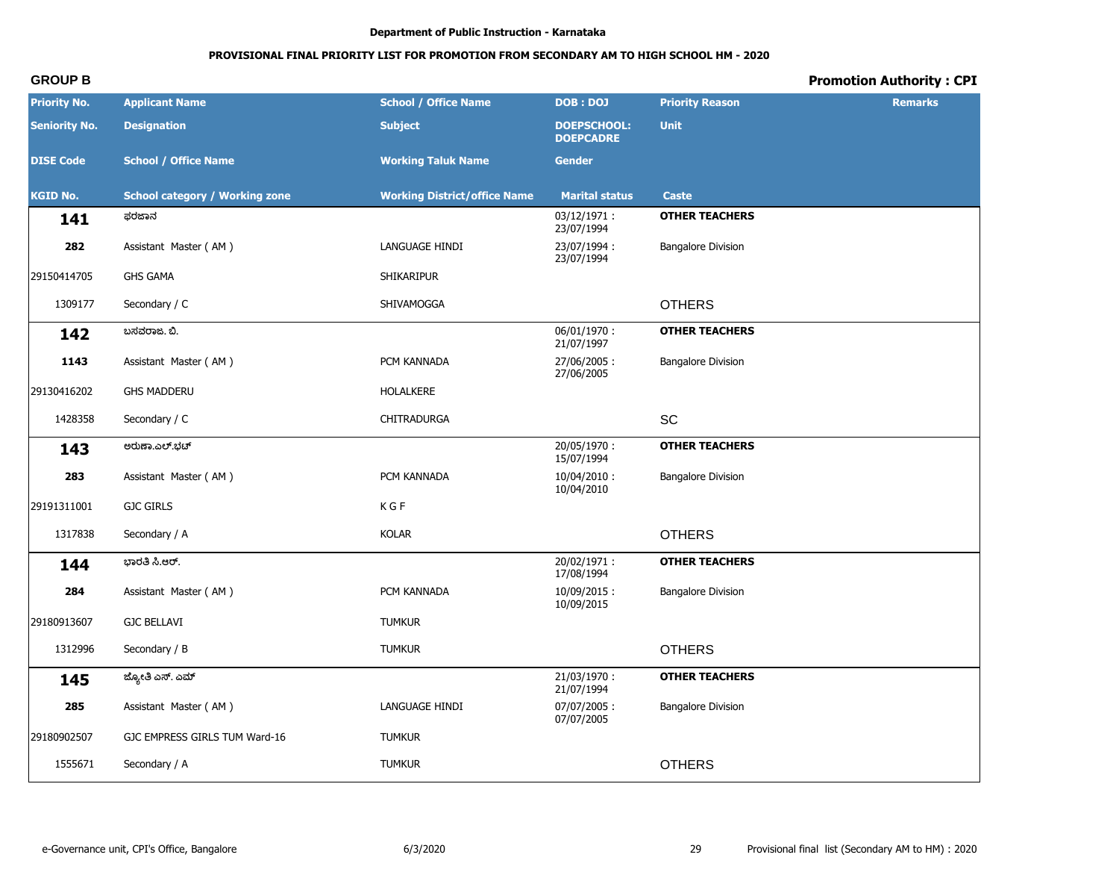# PROVISIONAL FINAL PRIORITY LIST FOR PROMOTION FROM SECONDARY AM TO HIGH SCHOOL HM - 2020

# **Promotion Authority: CPI**

| <b>Priority No.</b>  | <b>Applicant Name</b>                 | <b>School / Office Name</b>         | <b>DOB: DOJ</b>                        | <b>Priority Reason</b>    | <b>Remarks</b> |
|----------------------|---------------------------------------|-------------------------------------|----------------------------------------|---------------------------|----------------|
| <b>Seniority No.</b> | <b>Designation</b>                    | <b>Subject</b>                      | <b>DOEPSCHOOL:</b><br><b>DOEPCADRE</b> | <b>Unit</b>               |                |
| <b>DISE Code</b>     | <b>School / Office Name</b>           | <b>Working Taluk Name</b>           | <b>Gender</b>                          |                           |                |
| <b>KGID No.</b>      | <b>School category / Working zone</b> | <b>Working District/office Name</b> | <b>Marital status</b>                  | <b>Caste</b>              |                |
| 141                  | ಫರಜಾನ                                 |                                     | 03/12/1971:<br>23/07/1994              | <b>OTHER TEACHERS</b>     |                |
| 282                  | Assistant Master (AM)                 | LANGUAGE HINDI                      | 23/07/1994:<br>23/07/1994              | <b>Bangalore Division</b> |                |
| 29150414705          | <b>GHS GAMA</b>                       | SHIKARIPUR                          |                                        |                           |                |
| 1309177              | Secondary / C                         | SHIVAMOGGA                          |                                        | <b>OTHERS</b>             |                |
| 142                  | ಬಸವರಾಜ. ಬಿ.                           |                                     | $06/01/1970$ :<br>21/07/1997           | <b>OTHER TEACHERS</b>     |                |
| 1143                 | Assistant Master (AM)                 | PCM KANNADA                         | 27/06/2005:<br>27/06/2005              | <b>Bangalore Division</b> |                |
| 29130416202          | <b>GHS MADDERU</b>                    | HOLALKERE                           |                                        |                           |                |
| 1428358              | Secondary / C                         | CHITRADURGA                         |                                        | <b>SC</b>                 |                |
| 143                  | ಅರುಣಾ.ಎಲ್.ಭಟ್                         |                                     | 20/05/1970:<br>15/07/1994              | <b>OTHER TEACHERS</b>     |                |
| 283                  | Assistant Master (AM)                 | PCM KANNADA                         | 10/04/2010:<br>10/04/2010              | <b>Bangalore Division</b> |                |
| 29191311001          | <b>GJC GIRLS</b>                      | K G F                               |                                        |                           |                |
| 1317838              | Secondary / A                         | <b>KOLAR</b>                        |                                        | <b>OTHERS</b>             |                |
| 144                  | ಭಾರತಿ ಸಿ.ಆರ್.                         |                                     | 20/02/1971:<br>17/08/1994              | <b>OTHER TEACHERS</b>     |                |
| 284                  | Assistant Master (AM)                 | PCM KANNADA                         | 10/09/2015:<br>10/09/2015              | <b>Bangalore Division</b> |                |
| 29180913607          | <b>GJC BELLAVI</b>                    | <b>TUMKUR</b>                       |                                        |                           |                |
| 1312996              | Secondary / B                         | <b>TUMKUR</b>                       |                                        | <b>OTHERS</b>             |                |
| 145                  | ಜ್ಯೋತಿ ಎಸ್. ಎಮ್                       |                                     | 21/03/1970:<br>21/07/1994              | <b>OTHER TEACHERS</b>     |                |
| 285                  | Assistant Master (AM)                 | LANGUAGE HINDI                      | 07/07/2005:<br>07/07/2005              | <b>Bangalore Division</b> |                |
| 29180902507          | GJC EMPRESS GIRLS TUM Ward-16         | <b>TUMKUR</b>                       |                                        |                           |                |
| 1555671              | Secondary / A                         | <b>TUMKUR</b>                       |                                        | <b>OTHERS</b>             |                |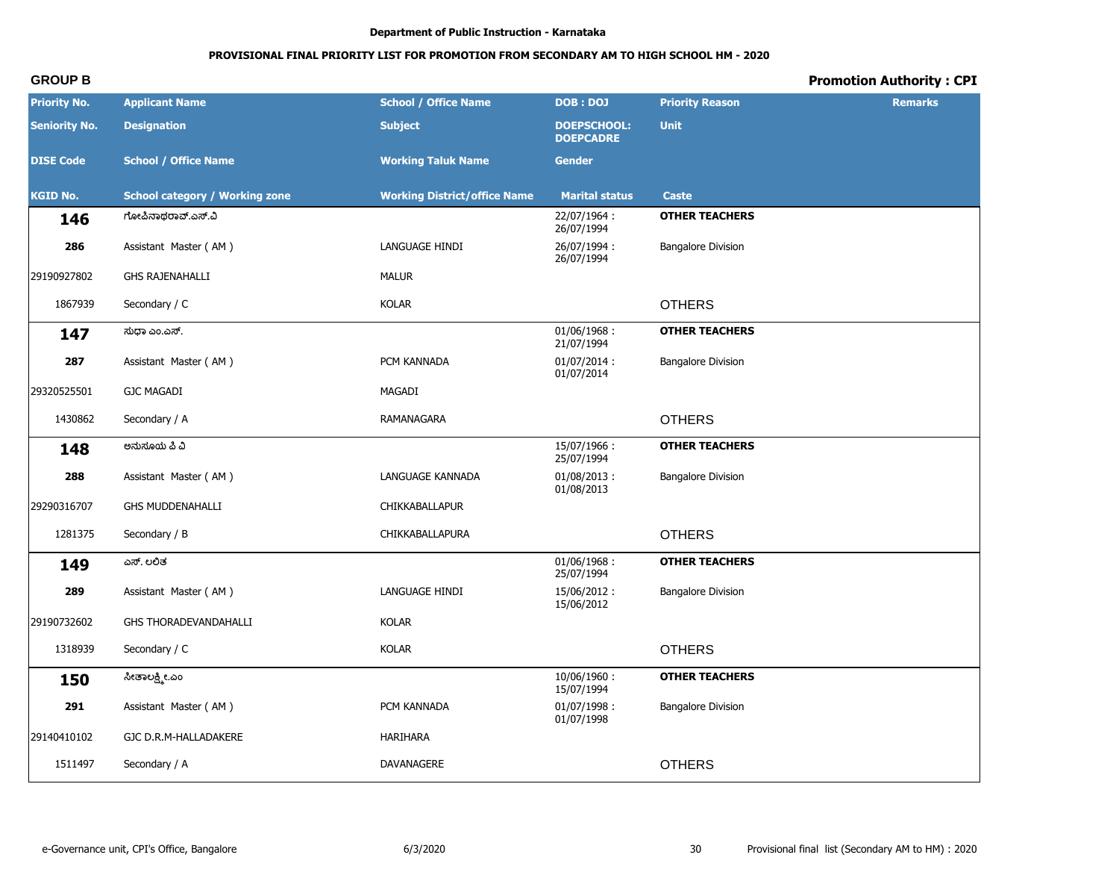# PROVISIONAL FINAL PRIORITY LIST FOR PROMOTION FROM SECONDARY AM TO HIGH SCHOOL HM - 2020

# **Promotion Authority: CPI**

| <b>Priority No.</b>  | <b>Applicant Name</b>                 | <b>School / Office Name</b>         | <b>DOB: DOJ</b>                        | <b>Priority Reason</b>    | <b>Remarks</b> |
|----------------------|---------------------------------------|-------------------------------------|----------------------------------------|---------------------------|----------------|
| <b>Seniority No.</b> | <b>Designation</b>                    | <b>Subject</b>                      | <b>DOEPSCHOOL:</b><br><b>DOEPCADRE</b> | <b>Unit</b>               |                |
| <b>DISE Code</b>     | <b>School / Office Name</b>           | <b>Working Taluk Name</b>           | <b>Gender</b>                          |                           |                |
| <b>KGID No.</b>      | <b>School category / Working zone</b> | <b>Working District/office Name</b> | <b>Marital status</b>                  | <b>Caste</b>              |                |
| 146                  | ಗೋಪಿನಾಥರಾವ್.ಎಸ್.ವಿ                    |                                     | 22/07/1964:<br>26/07/1994              | <b>OTHER TEACHERS</b>     |                |
| 286                  | Assistant Master (AM)                 | LANGUAGE HINDI                      | 26/07/1994:<br>26/07/1994              | <b>Bangalore Division</b> |                |
| 29190927802          | <b>GHS RAJENAHALLI</b>                | <b>MALUR</b>                        |                                        |                           |                |
| 1867939              | Secondary / C                         | <b>KOLAR</b>                        |                                        | <b>OTHERS</b>             |                |
| 147                  | ಸುಧಾ ಎಂ.ಎಸ್.                          |                                     | 01/06/1968:<br>21/07/1994              | <b>OTHER TEACHERS</b>     |                |
| 287                  | Assistant Master (AM)                 | PCM KANNADA                         | $01/07/2014$ :<br>01/07/2014           | <b>Bangalore Division</b> |                |
| 29320525501          | <b>GJC MAGADI</b>                     | MAGADI                              |                                        |                           |                |
| 1430862              | Secondary / A                         | RAMANAGARA                          |                                        | <b>OTHERS</b>             |                |
| 148                  | ಅನುಸೂಯ ಪಿ ವಿ                          |                                     | 15/07/1966:<br>25/07/1994              | <b>OTHER TEACHERS</b>     |                |
| 288                  | Assistant Master (AM)                 | LANGUAGE KANNADA                    | $01/08/2013$ :<br>01/08/2013           | <b>Bangalore Division</b> |                |
| 29290316707          | <b>GHS MUDDENAHALLI</b>               | CHIKKABALLAPUR                      |                                        |                           |                |
| 1281375              | Secondary / B                         | CHIKKABALLAPURA                     |                                        | <b>OTHERS</b>             |                |
| 149                  | ಎಸ್. ಲಲಿತ                             |                                     | 01/06/1968:<br>25/07/1994              | <b>OTHER TEACHERS</b>     |                |
| 289                  | Assistant Master (AM)                 | LANGUAGE HINDI                      | 15/06/2012:<br>15/06/2012              | <b>Bangalore Division</b> |                |
| 29190732602          | GHS THORADEVANDAHALLI                 | <b>KOLAR</b>                        |                                        |                           |                |
| 1318939              | Secondary / C                         | <b>KOLAR</b>                        |                                        | <b>OTHERS</b>             |                |
| 150                  | ಸೀತಾಲಕ್ಷ್ಮೀ.ಎಂ                        |                                     | 10/06/1960:<br>15/07/1994              | <b>OTHER TEACHERS</b>     |                |
| 291                  | Assistant Master (AM)                 | PCM KANNADA                         | 01/07/1998:<br>01/07/1998              | <b>Bangalore Division</b> |                |
| 29140410102          | GJC D.R.M-HALLADAKERE                 | HARIHARA                            |                                        |                           |                |
| 1511497              | Secondary / A                         | DAVANAGERE                          |                                        | <b>OTHERS</b>             |                |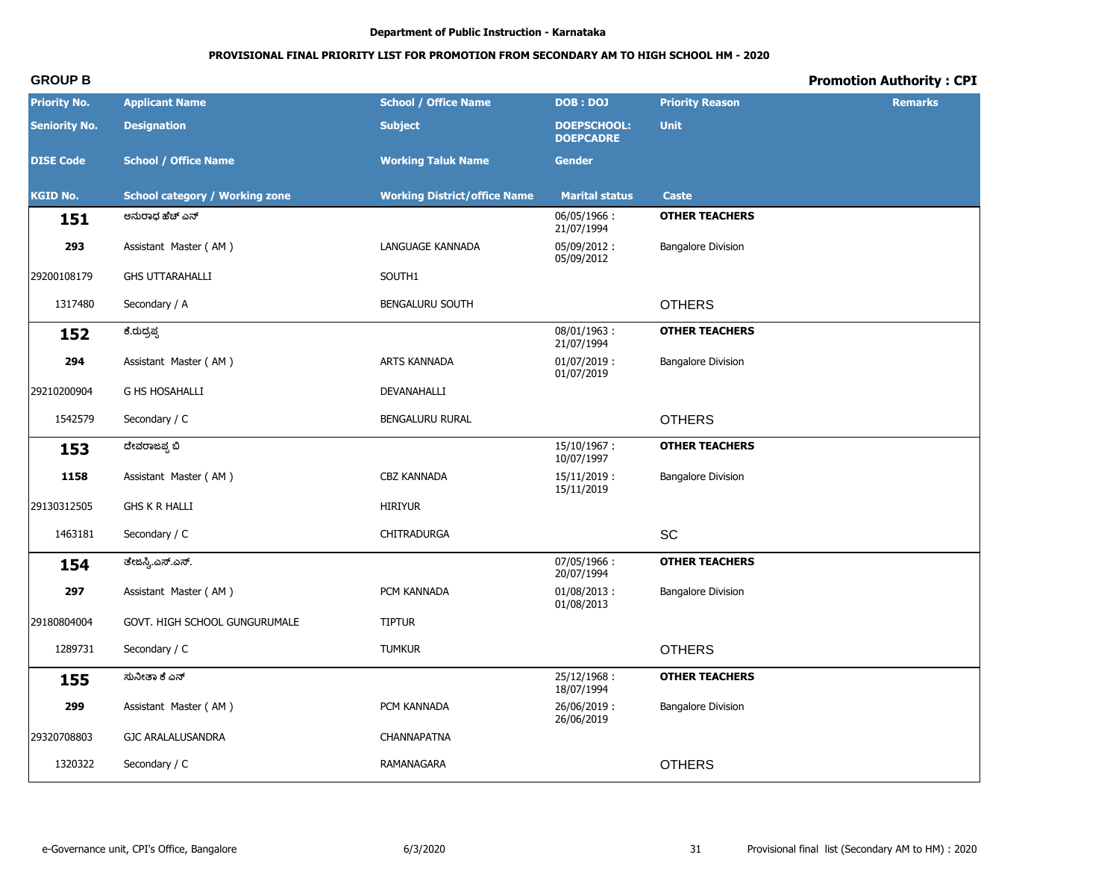# PROVISIONAL FINAL PRIORITY LIST FOR PROMOTION FROM SECONDARY AM TO HIGH SCHOOL HM - 2020

# **Promotion Authority: CPI**

| <b>Priority No.</b>  | <b>Applicant Name</b>                 | <b>School / Office Name</b>         | <b>DOB: DOJ</b>                        | <b>Priority Reason</b>    | <b>Remarks</b> |
|----------------------|---------------------------------------|-------------------------------------|----------------------------------------|---------------------------|----------------|
| <b>Seniority No.</b> | <b>Designation</b>                    | <b>Subject</b>                      | <b>DOEPSCHOOL:</b><br><b>DOEPCADRE</b> | <b>Unit</b>               |                |
| <b>DISE Code</b>     | <b>School / Office Name</b>           | <b>Working Taluk Name</b>           | <b>Gender</b>                          |                           |                |
| <b>KGID No.</b>      | <b>School category / Working zone</b> | <b>Working District/office Name</b> | <b>Marital status</b>                  | <b>Caste</b>              |                |
| 151                  | ಅನುರಾಧ ಹೆಚ್ ಎನ್                       |                                     | 06/05/1966:<br>21/07/1994              | <b>OTHER TEACHERS</b>     |                |
| 293                  | Assistant Master (AM)                 | LANGUAGE KANNADA                    | 05/09/2012:<br>05/09/2012              | <b>Bangalore Division</b> |                |
| 29200108179          | <b>GHS UTTARAHALLI</b>                | SOUTH1                              |                                        |                           |                |
| 1317480              | Secondary / A                         | BENGALURU SOUTH                     |                                        | <b>OTHERS</b>             |                |
| 152                  | ಕೆ.ರುದ್ರಪ್ಪ                           |                                     | $08/01/1963$ :<br>21/07/1994           | <b>OTHER TEACHERS</b>     |                |
| 294                  | Assistant Master (AM)                 | ARTS KANNADA                        | $01/07/2019$ :<br>01/07/2019           | <b>Bangalore Division</b> |                |
| 29210200904          | <b>G HS HOSAHALLI</b>                 | DEVANAHALLI                         |                                        |                           |                |
| 1542579              | Secondary / C                         | BENGALURU RURAL                     |                                        | <b>OTHERS</b>             |                |
| 153                  | ದೇವರಾಜಪ್ಪ ಬಿ                          |                                     | $15/10/1967$ :<br>10/07/1997           | <b>OTHER TEACHERS</b>     |                |
| 1158                 | Assistant Master (AM)                 | <b>CBZ KANNADA</b>                  | $15/11/2019$ :<br>15/11/2019           | <b>Bangalore Division</b> |                |
| 29130312505          | <b>GHS K R HALLI</b>                  | <b>HIRIYUR</b>                      |                                        |                           |                |
| 1463181              | Secondary / C                         | CHITRADURGA                         |                                        | SC                        |                |
| 154                  | ತೇಜಸ್ವಿ.ಎಸ್.ಎಸ್.                      |                                     | 07/05/1966:<br>20/07/1994              | <b>OTHER TEACHERS</b>     |                |
| 297                  | Assistant Master (AM)                 | PCM KANNADA                         | $01/08/2013$ :<br>01/08/2013           | <b>Bangalore Division</b> |                |
| 29180804004          | GOVT. HIGH SCHOOL GUNGURUMALE         | <b>TIPTUR</b>                       |                                        |                           |                |
| 1289731              | Secondary / C                         | <b>TUMKUR</b>                       |                                        | <b>OTHERS</b>             |                |
| 155                  | ಸುನೀತಾ ಕೆ ಎನ್                         |                                     | 25/12/1968:<br>18/07/1994              | <b>OTHER TEACHERS</b>     |                |
| 299                  | Assistant Master (AM)                 | PCM KANNADA                         | 26/06/2019:<br>26/06/2019              | <b>Bangalore Division</b> |                |
| 29320708803          | GJC ARALALUSANDRA                     | CHANNAPATNA                         |                                        |                           |                |
| 1320322              | Secondary / C                         | RAMANAGARA                          |                                        | <b>OTHERS</b>             |                |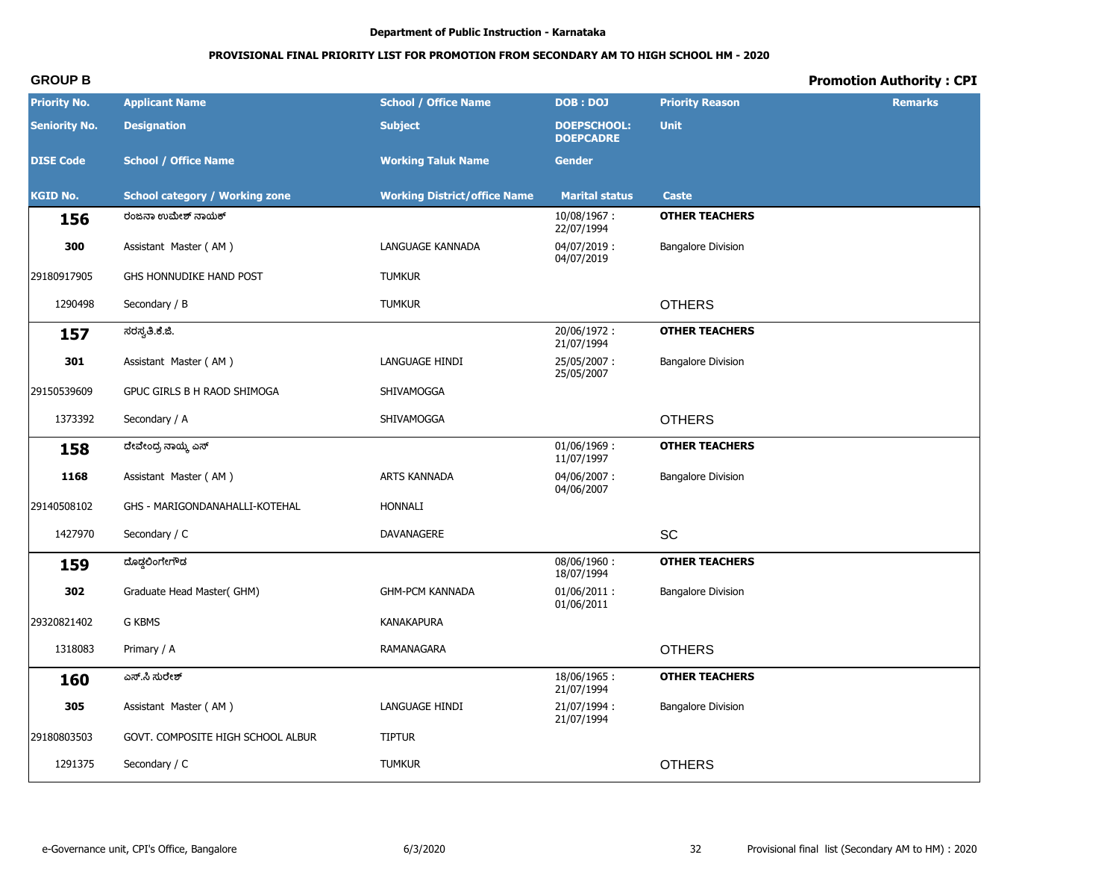# PROVISIONAL FINAL PRIORITY LIST FOR PROMOTION FROM SECONDARY AM TO HIGH SCHOOL HM - 2020

# **Promotion Authority: CPI**

| <b>Priority No.</b>  | <b>Applicant Name</b>                 | <b>School / Office Name</b>         | <b>DOB: DOJ</b>                        | <b>Priority Reason</b>    | <b>Remarks</b> |
|----------------------|---------------------------------------|-------------------------------------|----------------------------------------|---------------------------|----------------|
| <b>Seniority No.</b> | <b>Designation</b>                    | <b>Subject</b>                      | <b>DOEPSCHOOL:</b><br><b>DOEPCADRE</b> | <b>Unit</b>               |                |
| <b>DISE Code</b>     | <b>School / Office Name</b>           | <b>Working Taluk Name</b>           | <b>Gender</b>                          |                           |                |
| <b>KGID No.</b>      | <b>School category / Working zone</b> | <b>Working District/office Name</b> | <b>Marital status</b>                  | <b>Caste</b>              |                |
| 156                  | ರಂಜನಾ ಉಮೇಶ್ ನಾಯಕ್                     |                                     | 10/08/1967:<br>22/07/1994              | <b>OTHER TEACHERS</b>     |                |
| 300                  | Assistant Master (AM)                 | LANGUAGE KANNADA                    | 04/07/2019:<br>04/07/2019              | <b>Bangalore Division</b> |                |
| 29180917905          | GHS HONNUDIKE HAND POST               | <b>TUMKUR</b>                       |                                        |                           |                |
| 1290498              | Secondary / B                         | <b>TUMKUR</b>                       |                                        | <b>OTHERS</b>             |                |
| 157                  | ಸರಸ್ವತಿ.ಕೆ.ಜಿ.                        |                                     | 20/06/1972:<br>21/07/1994              | <b>OTHER TEACHERS</b>     |                |
| 301                  | Assistant Master (AM)                 | LANGUAGE HINDI                      | 25/05/2007:<br>25/05/2007              | <b>Bangalore Division</b> |                |
| 29150539609          | GPUC GIRLS B H RAOD SHIMOGA           | SHIVAMOGGA                          |                                        |                           |                |
| 1373392              | Secondary / A                         | SHIVAMOGGA                          |                                        | <b>OTHERS</b>             |                |
| 158                  | ದೇವೇಂದ್ರ ನಾಯ್ಕ್ಲೆ ಎಸ್                 |                                     | $01/06/1969$ :<br>11/07/1997           | <b>OTHER TEACHERS</b>     |                |
| 1168                 | Assistant Master (AM)                 | ARTS KANNADA                        | 04/06/2007:<br>04/06/2007              | <b>Bangalore Division</b> |                |
| 29140508102          | GHS - MARIGONDANAHALLI-KOTEHAL        | <b>HONNALI</b>                      |                                        |                           |                |
| 1427970              | Secondary / C                         | DAVANAGERE                          |                                        | SC                        |                |
| 159                  | ದೊಡ್ಡಲಿಂಗೇಗೌಡ                         |                                     | 08/06/1960:<br>18/07/1994              | <b>OTHER TEACHERS</b>     |                |
| 302                  | Graduate Head Master(GHM)             | <b>GHM-PCM KANNADA</b>              | $01/06/2011$ :<br>01/06/2011           | <b>Bangalore Division</b> |                |
| 29320821402          | <b>G KBMS</b>                         | <b>KANAKAPURA</b>                   |                                        |                           |                |
| 1318083              | Primary / A                           | RAMANAGARA                          |                                        | <b>OTHERS</b>             |                |
| 160                  | ಎಸ್.ಸಿ ಸುರೇಶ್                         |                                     | 18/06/1965:<br>21/07/1994              | <b>OTHER TEACHERS</b>     |                |
| 305                  | Assistant Master (AM)                 | LANGUAGE HINDI                      | 21/07/1994:<br>21/07/1994              | <b>Bangalore Division</b> |                |
| 29180803503          | GOVT. COMPOSITE HIGH SCHOOL ALBUR     | <b>TIPTUR</b>                       |                                        |                           |                |
| 1291375              | Secondary / C                         | <b>TUMKUR</b>                       |                                        | <b>OTHERS</b>             |                |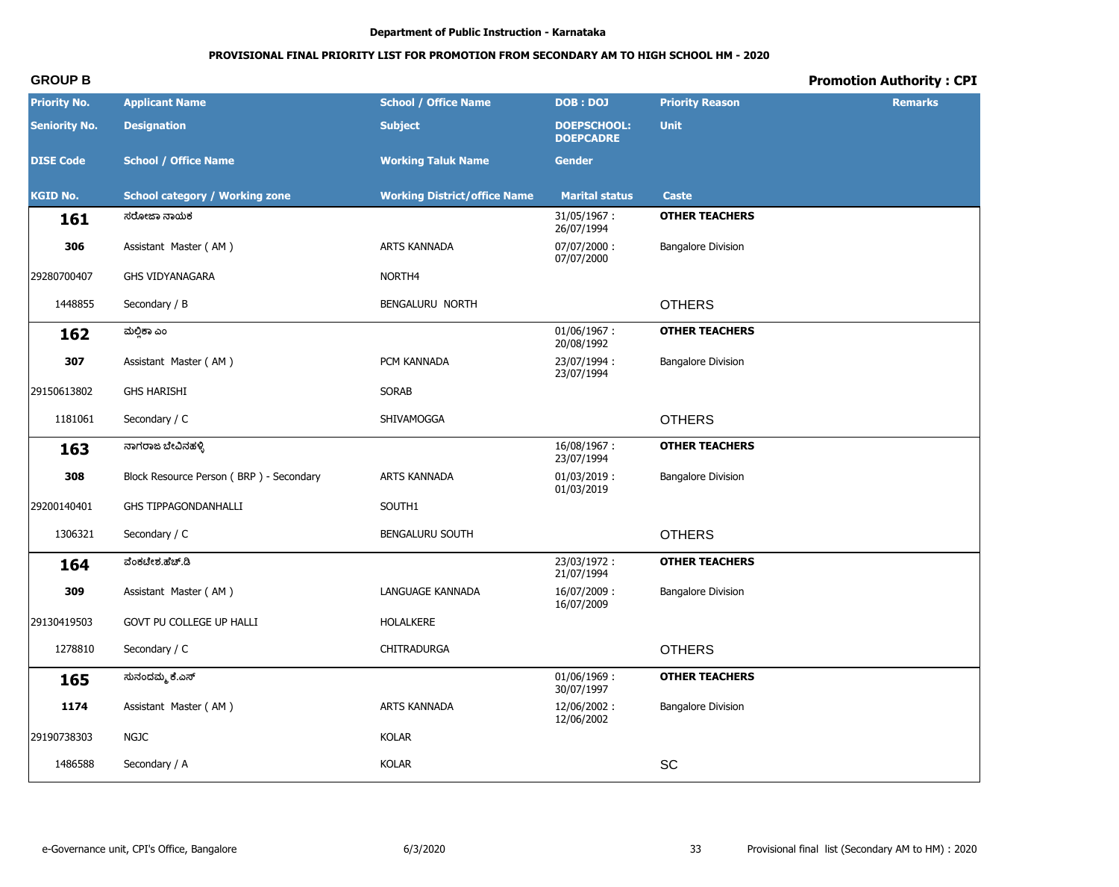# PROVISIONAL FINAL PRIORITY LIST FOR PROMOTION FROM SECONDARY AM TO HIGH SCHOOL HM - 2020

# **Promotion Authority: CPI**

| <b>Priority No.</b>  | <b>Applicant Name</b>                   | <b>School / Office Name</b>         | <b>DOB: DOJ</b>                        | <b>Priority Reason</b>       | <b>Remarks</b> |
|----------------------|-----------------------------------------|-------------------------------------|----------------------------------------|------------------------------|----------------|
| <b>Seniority No.</b> | <b>Designation</b>                      | <b>Subject</b>                      | <b>DOEPSCHOOL:</b><br><b>DOEPCADRE</b> | <b>Unit</b>                  |                |
| <b>DISE Code</b>     | <b>School / Office Name</b>             | <b>Working Taluk Name</b>           | <b>Gender</b>                          |                              |                |
| <b>KGID No.</b>      | <b>School category / Working zone</b>   | <b>Working District/office Name</b> | <b>Marital status</b>                  | <b>Caste</b>                 |                |
| 161                  | ಸರೋಜಾ ನಾಯಕ                              |                                     | 31/05/1967:<br>26/07/1994              | <b>OTHER TEACHERS</b>        |                |
| 306                  | Assistant Master (AM)                   | ARTS KANNADA                        | 07/07/2000:<br>07/07/2000              | <b>Bangalore Division</b>    |                |
| 29280700407          | <b>GHS VIDYANAGARA</b>                  | NORTH4                              |                                        |                              |                |
| 1448855              | Secondary / B                           | BENGALURU NORTH                     |                                        | <b>OTHERS</b>                |                |
| 162                  | ಮಲ್ಲಿಕಾ ಎಂ                              |                                     | 01/06/1967:<br>20/08/1992              | <b>OTHER TEACHERS</b>        |                |
| 307                  | Assistant Master (AM)                   | PCM KANNADA                         | 23/07/1994:<br>23/07/1994              | <b>Bangalore Division</b>    |                |
| 29150613802          | <b>GHS HARISHI</b>                      | <b>SORAB</b>                        |                                        |                              |                |
| 1181061              | Secondary / C                           | SHIVAMOGGA                          |                                        | <b>OTHERS</b>                |                |
| 163                  | ನಾಗರಾಜ ಬೇವಿನಹಳ್ಳಿ                       |                                     | 16/08/1967:<br>23/07/1994              | <b>OTHER TEACHERS</b>        |                |
| 308                  | Block Resource Person (BRP) - Secondary | ARTS KANNADA                        | $01/03/2019$ :<br>01/03/2019           | <b>Bangalore Division</b>    |                |
| 29200140401          | GHS TIPPAGONDANHALLI                    | SOUTH1                              |                                        |                              |                |
| 1306321              | Secondary / C                           | BENGALURU SOUTH                     |                                        | <b>OTHERS</b>                |                |
| 164                  | ವೆಂಕಟೇಶ.ಹೆಚ್.ಡಿ                         |                                     | 23/03/1972:<br>21/07/1994              | <b>OTHER TEACHERS</b>        |                |
| 309                  | Assistant Master (AM)                   | LANGUAGE KANNADA                    | 16/07/2009:<br>16/07/2009              | <b>Bangalore Division</b>    |                |
| 29130419503          | GOVT PU COLLEGE UP HALLI                | HOLALKERE                           |                                        |                              |                |
| 1278810              | Secondary / C                           | CHITRADURGA                         |                                        | <b>OTHERS</b>                |                |
| 165                  | ಸುನಂದಮ್ಮ ಕೆ.ಎಸ್                         |                                     | $01/06/1969$ :<br>30/07/1997           | <b>OTHER TEACHERS</b>        |                |
| 1174                 | Assistant Master (AM)                   | ARTS KANNADA                        | 12/06/2002:<br>12/06/2002              | <b>Bangalore Division</b>    |                |
| 29190738303          | <b>NGJC</b>                             | KOLAR                               |                                        |                              |                |
| 1486588              | Secondary / A                           | KOLAR                               |                                        | $\operatorname{\textsf{SC}}$ |                |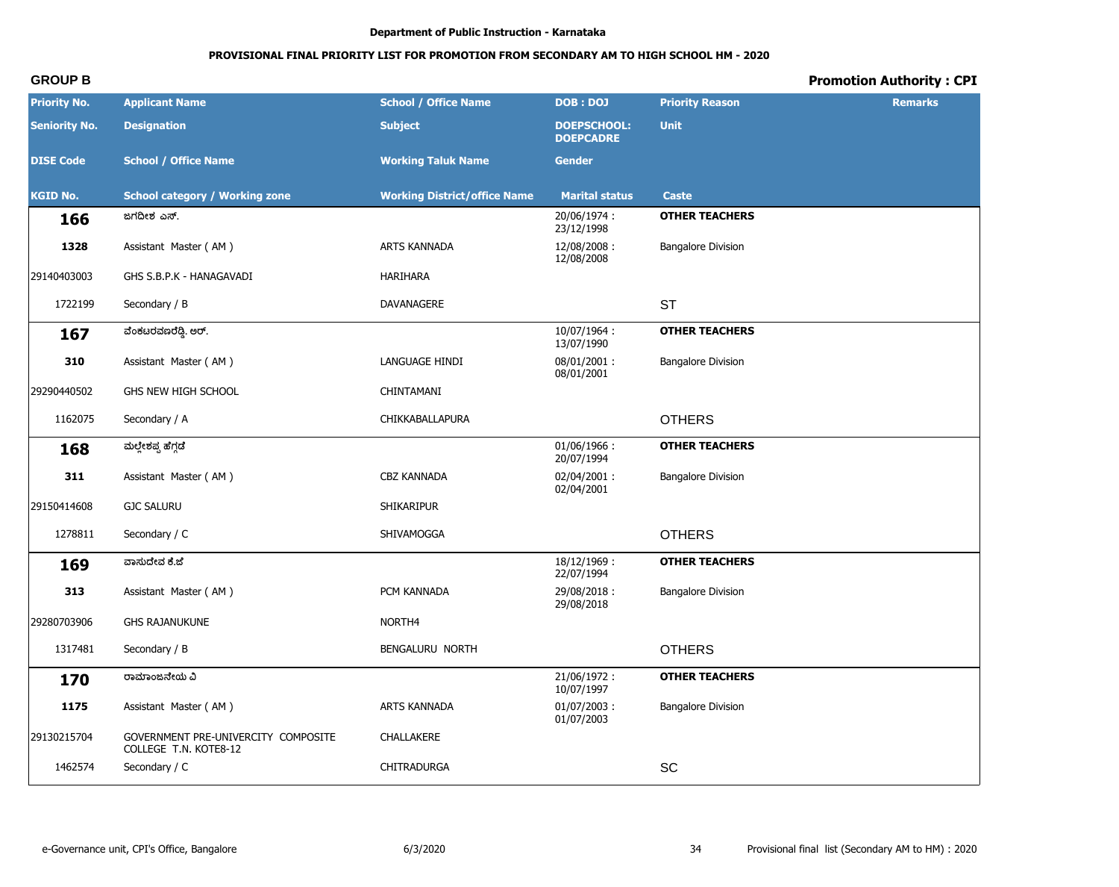# PROVISIONAL FINAL PRIORITY LIST FOR PROMOTION FROM SECONDARY AM TO HIGH SCHOOL HM - 2020

# **Promotion Authority: CPI**

| <b>Priority No.</b>  | <b>Applicant Name</b>                                        | <b>School / Office Name</b>         | <b>DOB: DOJ</b>                        | <b>Priority Reason</b>    | <b>Remarks</b> |
|----------------------|--------------------------------------------------------------|-------------------------------------|----------------------------------------|---------------------------|----------------|
| <b>Seniority No.</b> | <b>Designation</b>                                           | <b>Subject</b>                      | <b>DOEPSCHOOL:</b><br><b>DOEPCADRE</b> | <b>Unit</b>               |                |
| <b>DISE Code</b>     | <b>School / Office Name</b>                                  | <b>Working Taluk Name</b>           | <b>Gender</b>                          |                           |                |
| <b>KGID No.</b>      | <b>School category / Working zone</b>                        | <b>Working District/office Name</b> | <b>Marital status</b>                  | <b>Caste</b>              |                |
| 166                  | ಜಗದೀಶ ಎಸ್.                                                   |                                     | 20/06/1974:<br>23/12/1998              | <b>OTHER TEACHERS</b>     |                |
| 1328                 | Assistant Master (AM)                                        | ARTS KANNADA                        | 12/08/2008:<br>12/08/2008              | <b>Bangalore Division</b> |                |
| 29140403003          | GHS S.B.P.K - HANAGAVADI                                     | <b>HARIHARA</b>                     |                                        |                           |                |
| 1722199              | Secondary / B                                                | DAVANAGERE                          |                                        | <b>ST</b>                 |                |
| 167                  | ವೆಂಕಟರವಣರೆಡ್ಡಿ. ಅರ್.                                         |                                     | 10/07/1964:<br>13/07/1990              | <b>OTHER TEACHERS</b>     |                |
| 310                  | Assistant Master (AM)                                        | LANGUAGE HINDI                      | 08/01/2001:<br>08/01/2001              | <b>Bangalore Division</b> |                |
| 29290440502          | GHS NEW HIGH SCHOOL                                          | CHINTAMANI                          |                                        |                           |                |
| 1162075              | Secondary / A                                                | CHIKKABALLAPURA                     |                                        | <b>OTHERS</b>             |                |
| 168                  | ಮಲ್ಲೇಶಪ್ಪ ಹೆಗ್ಗಡೆ                                            |                                     | $01/06/1966$ :<br>20/07/1994           | <b>OTHER TEACHERS</b>     |                |
| 311                  | Assistant Master (AM)                                        | <b>CBZ KANNADA</b>                  | 02/04/2001:<br>02/04/2001              | <b>Bangalore Division</b> |                |
| 29150414608          | <b>GJC SALURU</b>                                            | <b>SHIKARIPUR</b>                   |                                        |                           |                |
| 1278811              | Secondary / C                                                | SHIVAMOGGA                          |                                        | <b>OTHERS</b>             |                |
| 169                  | ವಾಸುದೇವ ಕೆ.ಜೆ                                                |                                     | 18/12/1969:<br>22/07/1994              | <b>OTHER TEACHERS</b>     |                |
| 313                  | Assistant Master (AM)                                        | PCM KANNADA                         | 29/08/2018:<br>29/08/2018              | <b>Bangalore Division</b> |                |
| 29280703906          | <b>GHS RAJANUKUNE</b>                                        | NORTH <sub>4</sub>                  |                                        |                           |                |
| 1317481              | Secondary / B                                                | BENGALURU NORTH                     |                                        | <b>OTHERS</b>             |                |
| 170                  | ರಾಮಾಂಜನೇಯ ವಿ                                                 |                                     | 21/06/1972:<br>10/07/1997              | <b>OTHER TEACHERS</b>     |                |
| 1175                 | Assistant Master (AM)                                        | ARTS KANNADA                        | $01/07/2003$ :<br>01/07/2003           | <b>Bangalore Division</b> |                |
| 29130215704          | GOVERNMENT PRE-UNIVERCITY COMPOSITE<br>COLLEGE T.N. KOTE8-12 | CHALLAKERE                          |                                        |                           |                |
| 1462574              | Secondary / C                                                | CHITRADURGA                         |                                        | SC                        |                |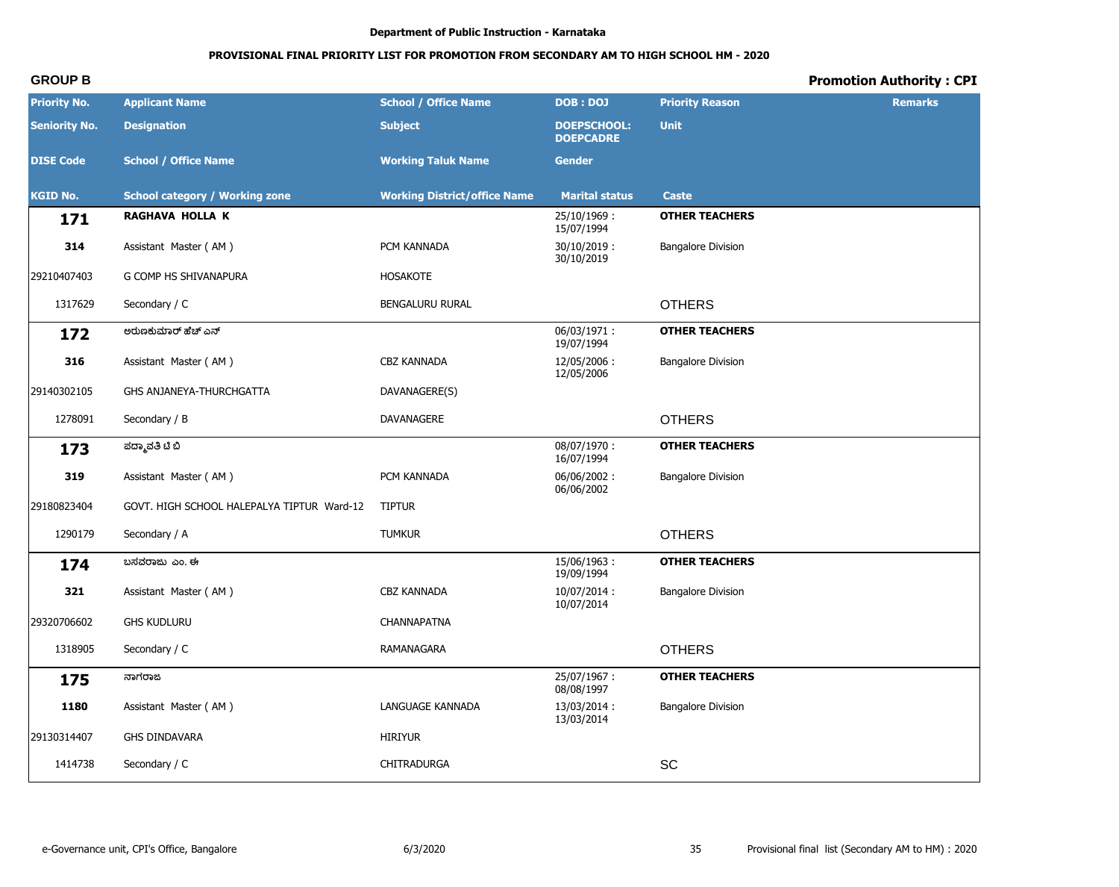# **PROVISIONAL FINAL PRIORITY LIST FOR PROMOTION FROM SECONDARY AM TO HIGH SCHOOL HM - 2020**

| <b>Priority No.</b>  | <b>Applicant Name</b>                      | <b>School / Office Name</b>         | <b>DOB: DOJ</b>                        | <b>Priority Reason</b>    | <b>Remarks</b> |
|----------------------|--------------------------------------------|-------------------------------------|----------------------------------------|---------------------------|----------------|
| <b>Seniority No.</b> | <b>Designation</b>                         | <b>Subject</b>                      | <b>DOEPSCHOOL:</b><br><b>DOEPCADRE</b> | <b>Unit</b>               |                |
| <b>DISE Code</b>     | <b>School / Office Name</b>                | <b>Working Taluk Name</b>           | <b>Gender</b>                          |                           |                |
| <b>KGID No.</b>      | <b>School category / Working zone</b>      | <b>Working District/office Name</b> | <b>Marital status</b>                  | <b>Caste</b>              |                |
| 171                  | <b>RAGHAVA HOLLA K</b>                     |                                     | 25/10/1969:<br>15/07/1994              | <b>OTHER TEACHERS</b>     |                |
| 314                  | Assistant Master (AM)                      | PCM KANNADA                         | $30/10/2019$ :<br>30/10/2019           | <b>Bangalore Division</b> |                |
| 29210407403          | G COMP HS SHIVANAPURA                      | <b>HOSAKOTE</b>                     |                                        |                           |                |
| 1317629              | Secondary / C                              | BENGALURU RURAL                     |                                        | <b>OTHERS</b>             |                |
| 172                  | ಅರುಣಕುಮಾರ್ ಹೆಚ್ ಎನ್                        |                                     | 06/03/1971:<br>19/07/1994              | <b>OTHER TEACHERS</b>     |                |
| 316                  | Assistant Master (AM)                      | <b>CBZ KANNADA</b>                  | 12/05/2006:<br>12/05/2006              | <b>Bangalore Division</b> |                |
| 29140302105          | GHS ANJANEYA-THURCHGATTA                   | DAVANAGERE(S)                       |                                        |                           |                |
| 1278091              | Secondary / B                              | DAVANAGERE                          |                                        | <b>OTHERS</b>             |                |
| 173                  | ಪದ್ಮಾವತಿ ಟಿ ಬಿ                             |                                     | 08/07/1970:<br>16/07/1994              | <b>OTHER TEACHERS</b>     |                |
| 319                  | Assistant Master (AM)                      | PCM KANNADA                         | 06/06/2002:<br>06/06/2002              | <b>Bangalore Division</b> |                |
| 29180823404          | GOVT. HIGH SCHOOL HALEPALYA TIPTUR Ward-12 | <b>TIPTUR</b>                       |                                        |                           |                |
| 1290179              | Secondary / A                              | <b>TUMKUR</b>                       |                                        | <b>OTHERS</b>             |                |
| 174                  | ಬಸವರಾಜು ಎಂ. ಈ                              |                                     | 15/06/1963:<br>19/09/1994              | <b>OTHER TEACHERS</b>     |                |
| 321                  | Assistant Master (AM)                      | CBZ KANNADA                         | 10/07/2014:<br>10/07/2014              | <b>Bangalore Division</b> |                |
| 29320706602          | <b>GHS KUDLURU</b>                         | CHANNAPATNA                         |                                        |                           |                |
| 1318905              | Secondary / C                              | RAMANAGARA                          |                                        | <b>OTHERS</b>             |                |
| 175                  | ನಾಗರಾಜ                                     |                                     | 25/07/1967:<br>08/08/1997              | <b>OTHER TEACHERS</b>     |                |
| 1180                 | Assistant Master (AM)                      | LANGUAGE KANNADA                    | 13/03/2014:<br>13/03/2014              | <b>Bangalore Division</b> |                |
| 29130314407          | GHS DINDAVARA                              | <b>HIRIYUR</b>                      |                                        |                           |                |
| 1414738              | Secondary / C                              | CHITRADURGA                         |                                        | SC                        |                |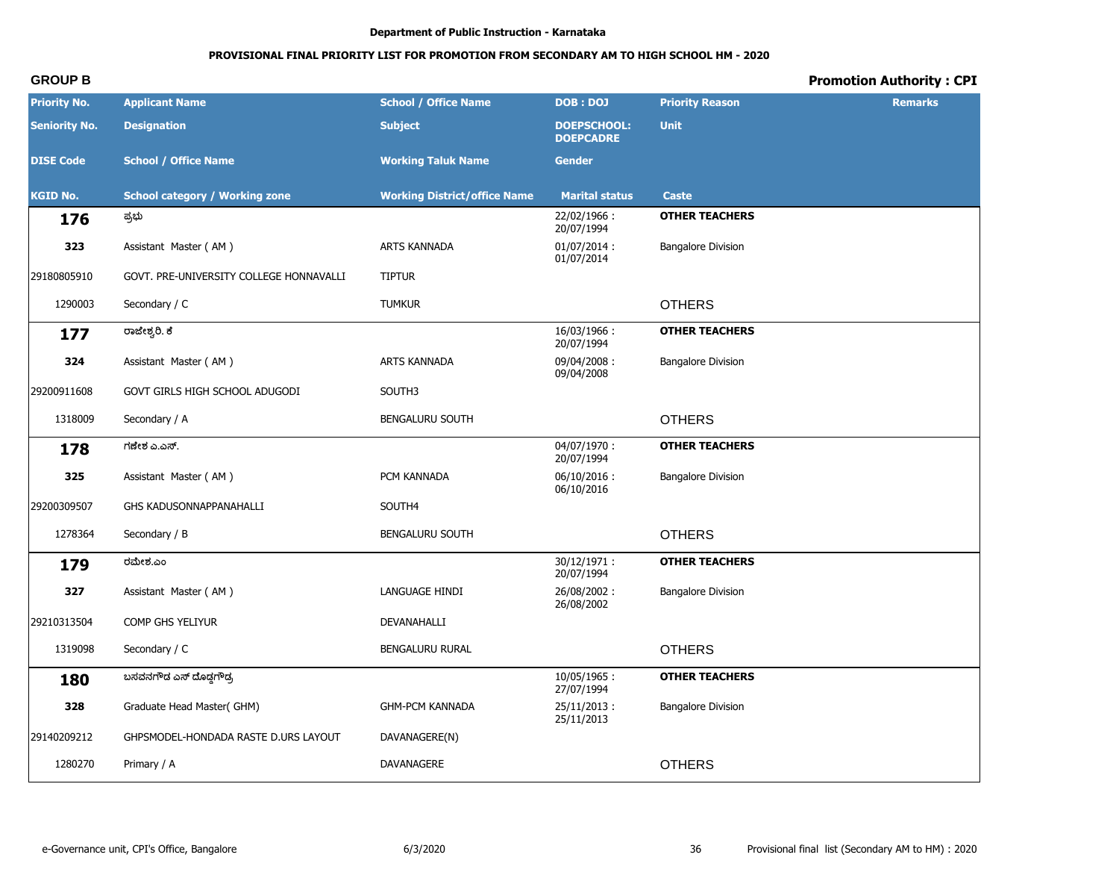# **PROVISIONAL FINAL PRIORITY LIST FOR PROMOTION FROM SECONDARY AM TO HIGH SCHOOL HM - 2020**

| <b>Priority No.</b>  | <b>Applicant Name</b>                   | <b>School / Office Name</b>         | <b>DOB: DOJ</b>                        | <b>Priority Reason</b>    | <b>Remarks</b> |
|----------------------|-----------------------------------------|-------------------------------------|----------------------------------------|---------------------------|----------------|
| <b>Seniority No.</b> | <b>Designation</b>                      | <b>Subject</b>                      | <b>DOEPSCHOOL:</b><br><b>DOEPCADRE</b> | <b>Unit</b>               |                |
| <b>DISE Code</b>     | <b>School / Office Name</b>             | <b>Working Taluk Name</b>           | <b>Gender</b>                          |                           |                |
| <b>KGID No.</b>      | <b>School category / Working zone</b>   | <b>Working District/office Name</b> | <b>Marital status</b>                  | <b>Caste</b>              |                |
| 176                  | ಪ್ರಭು                                   |                                     | 22/02/1966:<br>20/07/1994              | <b>OTHER TEACHERS</b>     |                |
| 323                  | Assistant Master (AM)                   | ARTS KANNADA                        | $01/07/2014$ :<br>01/07/2014           | <b>Bangalore Division</b> |                |
| 29180805910          | GOVT. PRE-UNIVERSITY COLLEGE HONNAVALLI | <b>TIPTUR</b>                       |                                        |                           |                |
| 1290003              | Secondary / C                           | <b>TUMKUR</b>                       |                                        | <b>OTHERS</b>             |                |
| 177                  | ರಾಜೇಶ್ವರಿ. ಕೆ                           |                                     | 16/03/1966:<br>20/07/1994              | <b>OTHER TEACHERS</b>     |                |
| 324                  | Assistant Master (AM)                   | ARTS KANNADA                        | 09/04/2008:<br>09/04/2008              | <b>Bangalore Division</b> |                |
| 29200911608          | GOVT GIRLS HIGH SCHOOL ADUGODI          | SOUTH3                              |                                        |                           |                |
| 1318009              | Secondary / A                           | <b>BENGALURU SOUTH</b>              |                                        | <b>OTHERS</b>             |                |
| 178                  | ಗಣೇಶ ಎ.ಎಸ್.                             |                                     | 04/07/1970:<br>20/07/1994              | <b>OTHER TEACHERS</b>     |                |
| 325                  | Assistant Master (AM)                   | PCM KANNADA                         | $06/10/2016$ :<br>06/10/2016           | <b>Bangalore Division</b> |                |
| 29200309507          | GHS KADUSONNAPPANAHALLI                 | SOUTH4                              |                                        |                           |                |
| 1278364              | Secondary / B                           | <b>BENGALURU SOUTH</b>              |                                        | <b>OTHERS</b>             |                |
| 179                  | ರಮೇಶ.ಎಂ                                 |                                     | 30/12/1971:<br>20/07/1994              | <b>OTHER TEACHERS</b>     |                |
| 327                  | Assistant Master (AM)                   | LANGUAGE HINDI                      | 26/08/2002:<br>26/08/2002              | <b>Bangalore Division</b> |                |
| 29210313504          | COMP GHS YELIYUR                        | DEVANAHALLI                         |                                        |                           |                |
| 1319098              | Secondary / C                           | BENGALURU RURAL                     |                                        | <b>OTHERS</b>             |                |
| 180                  | ಬಸವನಗೌಡ ಎಸ್ ದೊಡ್ಡಗೌಡ್ರ                  |                                     | 10/05/1965:<br>27/07/1994              | <b>OTHER TEACHERS</b>     |                |
| 328                  | Graduate Head Master(GHM)               | <b>GHM-PCM KANNADA</b>              | 25/11/2013:<br>25/11/2013              | <b>Bangalore Division</b> |                |
| 29140209212          | GHPSMODEL-HONDADA RASTE D.URS LAYOUT    | DAVANAGERE(N)                       |                                        |                           |                |
| 1280270              | Primary / A                             | DAVANAGERE                          |                                        | <b>OTHERS</b>             |                |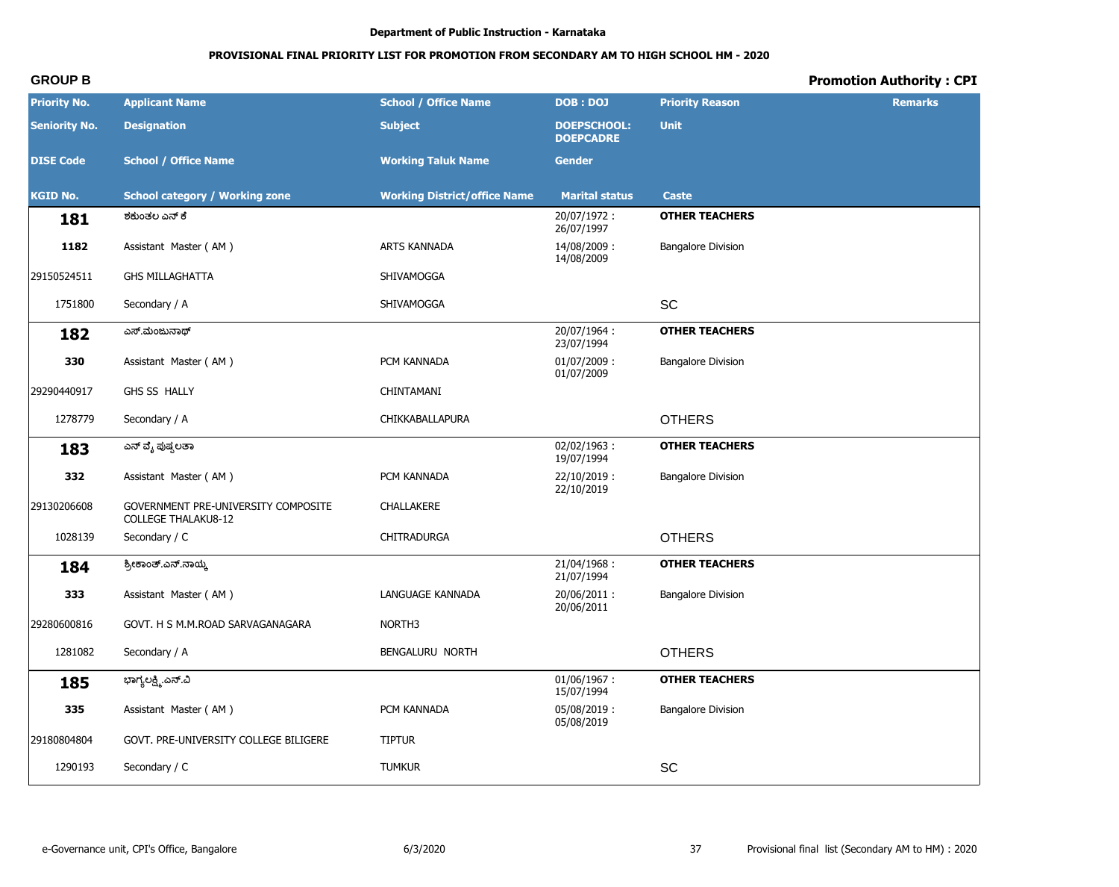# PROVISIONAL FINAL PRIORITY LIST FOR PROMOTION FROM SECONDARY AM TO HIGH SCHOOL HM - 2020

# **Promotion Authority: CPI**

| <b>Priority No.</b>  | <b>Applicant Name</b>                                             | <b>School / Office Name</b>         | <b>DOB : DOJ</b>                       | <b>Priority Reason</b>    | <b>Remarks</b> |
|----------------------|-------------------------------------------------------------------|-------------------------------------|----------------------------------------|---------------------------|----------------|
| <b>Seniority No.</b> | <b>Designation</b>                                                | <b>Subject</b>                      | <b>DOEPSCHOOL:</b><br><b>DOEPCADRE</b> | <b>Unit</b>               |                |
| <b>DISE Code</b>     | <b>School / Office Name</b>                                       | <b>Working Taluk Name</b>           | <b>Gender</b>                          |                           |                |
| <b>KGID No.</b>      | <b>School category / Working zone</b>                             | <b>Working District/office Name</b> | <b>Marital status</b>                  | <b>Caste</b>              |                |
| 181                  | ಶಕುಂತಲ ಎನ್ ಕೆ                                                     |                                     | 20/07/1972:<br>26/07/1997              | <b>OTHER TEACHERS</b>     |                |
| 1182                 | Assistant Master (AM)                                             | ARTS KANNADA                        | 14/08/2009:<br>14/08/2009              | <b>Bangalore Division</b> |                |
| 29150524511          | <b>GHS MILLAGHATTA</b>                                            | SHIVAMOGGA                          |                                        |                           |                |
| 1751800              | Secondary / A                                                     | SHIVAMOGGA                          |                                        | SC                        |                |
| 182                  | ಎಸ್.ಮಂಜುನಾಥ್                                                      |                                     | 20/07/1964:<br>23/07/1994              | <b>OTHER TEACHERS</b>     |                |
| 330                  | Assistant Master (AM)                                             | PCM KANNADA                         | 01/07/2009:<br>01/07/2009              | <b>Bangalore Division</b> |                |
| 29290440917          | GHS SS HALLY                                                      | CHINTAMANI                          |                                        |                           |                |
| 1278779              | Secondary / A                                                     | CHIKKABALLAPURA                     |                                        | <b>OTHERS</b>             |                |
| 183                  | ಎನ್ ವೈ ಪುಷ್ಪಲತಾ                                                   |                                     | $02/02/1963$ :<br>19/07/1994           | <b>OTHER TEACHERS</b>     |                |
| 332                  | Assistant Master (AM)                                             | PCM KANNADA                         | 22/10/2019:<br>22/10/2019              | <b>Bangalore Division</b> |                |
| 29130206608          | GOVERNMENT PRE-UNIVERSITY COMPOSITE<br><b>COLLEGE THALAKU8-12</b> | CHALLAKERE                          |                                        |                           |                |
| 1028139              | Secondary / C                                                     | <b>CHITRADURGA</b>                  |                                        | <b>OTHERS</b>             |                |
| 184                  | ಶ್ರೀಕಾಂತ್.ಎನ್.ನಾಯ್ಕೆ                                              |                                     | 21/04/1968:<br>21/07/1994              | <b>OTHER TEACHERS</b>     |                |
| 333                  | Assistant Master (AM)                                             | LANGUAGE KANNADA                    | 20/06/2011:<br>20/06/2011              | <b>Bangalore Division</b> |                |
| 29280600816          | GOVT. H S M.M.ROAD SARVAGANAGARA                                  | NORTH <sub>3</sub>                  |                                        |                           |                |
| 1281082              | Secondary / A                                                     | BENGALURU NORTH                     |                                        | <b>OTHERS</b>             |                |
| 185                  | ಭಾಗ್ಯಲಕ್ಷ್ಮಿ.ಎನ್.ವಿ                                               |                                     | $01/06/1967$ :<br>15/07/1994           | <b>OTHER TEACHERS</b>     |                |
| 335                  | Assistant Master (AM)                                             | PCM KANNADA                         | 05/08/2019:<br>05/08/2019              | <b>Bangalore Division</b> |                |
| 29180804804          | GOVT. PRE-UNIVERSITY COLLEGE BILIGERE                             | <b>TIPTUR</b>                       |                                        |                           |                |
| 1290193              | Secondary / C                                                     | <b>TUMKUR</b>                       |                                        | SC                        |                |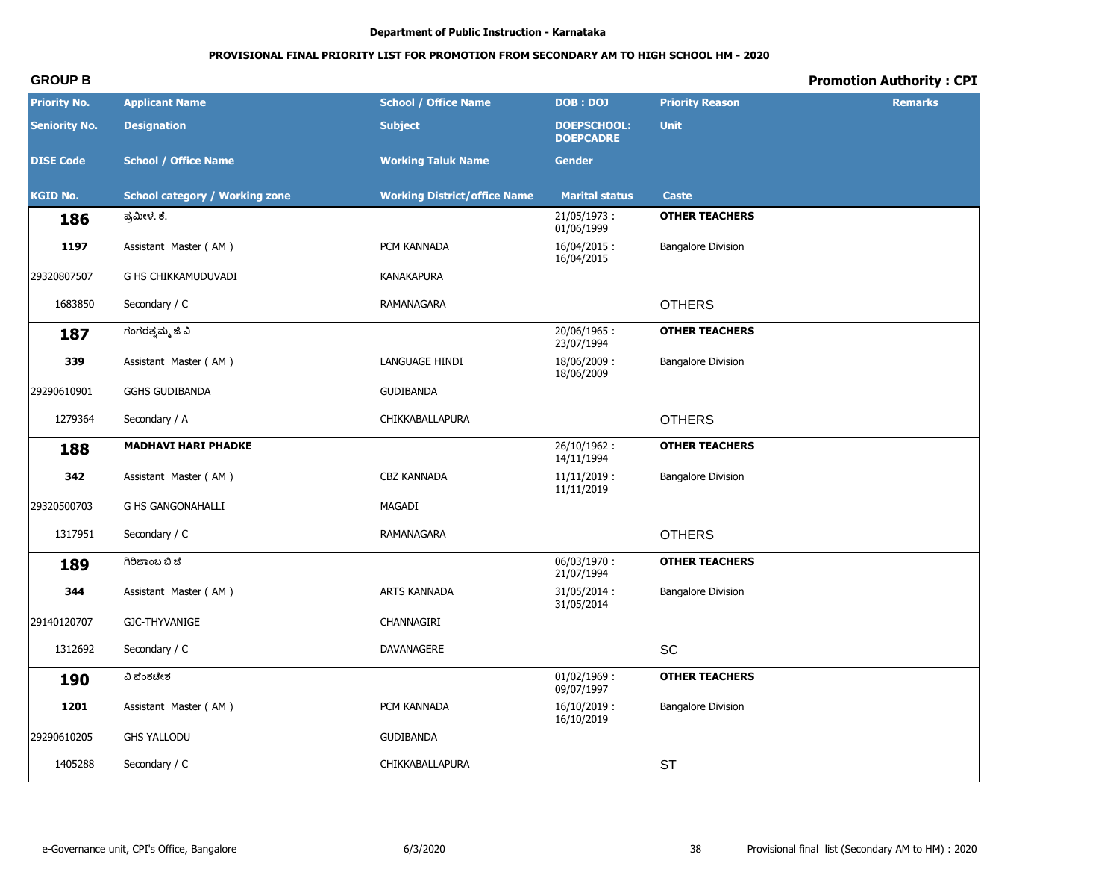# **PROVISIONAL FINAL PRIORITY LIST FOR PROMOTION FROM SECONDARY AM TO HIGH SCHOOL HM - 2020**

| <b>Priority No.</b>  | <b>Applicant Name</b>                 | <b>School / Office Name</b>         | <b>DOB: DOJ</b>                        | <b>Priority Reason</b>    | <b>Remarks</b> |
|----------------------|---------------------------------------|-------------------------------------|----------------------------------------|---------------------------|----------------|
| <b>Seniority No.</b> | <b>Designation</b>                    | <b>Subject</b>                      | <b>DOEPSCHOOL:</b><br><b>DOEPCADRE</b> | <b>Unit</b>               |                |
| <b>DISE Code</b>     | <b>School / Office Name</b>           | <b>Working Taluk Name</b>           | <b>Gender</b>                          |                           |                |
| <b>KGID No.</b>      | <b>School category / Working zone</b> | <b>Working District/office Name</b> | <b>Marital status</b>                  | <b>Caste</b>              |                |
| 186                  | ಪ್ರಮೀಳ. ಕೆ.                           |                                     | 21/05/1973:<br>01/06/1999              | <b>OTHER TEACHERS</b>     |                |
| 1197                 | Assistant Master (AM)                 | PCM KANNADA                         | 16/04/2015:<br>16/04/2015              | <b>Bangalore Division</b> |                |
| 29320807507          | G HS CHIKKAMUDUVADI                   | <b>KANAKAPURA</b>                   |                                        |                           |                |
| 1683850              | Secondary / C                         | RAMANAGARA                          |                                        | <b>OTHERS</b>             |                |
| 187                  | ಗಂಗರತ್ತಮ್ಮ ಜಿ ವಿ                      |                                     | 20/06/1965:<br>23/07/1994              | <b>OTHER TEACHERS</b>     |                |
| 339                  | Assistant Master (AM)                 | LANGUAGE HINDI                      | 18/06/2009:<br>18/06/2009              | <b>Bangalore Division</b> |                |
| 29290610901          | <b>GGHS GUDIBANDA</b>                 | <b>GUDIBANDA</b>                    |                                        |                           |                |
| 1279364              | Secondary / A                         | CHIKKABALLAPURA                     |                                        | <b>OTHERS</b>             |                |
| 188                  | <b>MADHAVI HARI PHADKE</b>            |                                     | 26/10/1962:<br>14/11/1994              | <b>OTHER TEACHERS</b>     |                |
| 342                  | Assistant Master (AM)                 | <b>CBZ KANNADA</b>                  | $11/11/2019$ :<br>11/11/2019           | <b>Bangalore Division</b> |                |
| 29320500703          | <b>G HS GANGONAHALLI</b>              | MAGADI                              |                                        |                           |                |
| 1317951              | Secondary / C                         | RAMANAGARA                          |                                        | <b>OTHERS</b>             |                |
| 189                  | ಗಿರಿಜಾಂಬ ಬಿ ಜೆ                        |                                     | 06/03/1970:<br>21/07/1994              | <b>OTHER TEACHERS</b>     |                |
| 344                  | Assistant Master (AM)                 | ARTS KANNADA                        | 31/05/2014:<br>31/05/2014              | <b>Bangalore Division</b> |                |
| 29140120707          | GJC-THYVANIGE                         | CHANNAGIRI                          |                                        |                           |                |
| 1312692              | Secondary / C                         | DAVANAGERE                          |                                        | SC                        |                |
| <b>190</b>           | ವಿ ವೆಂಕಟೇಶ                            |                                     | $01/02/1969$ :<br>09/07/1997           | <b>OTHER TEACHERS</b>     |                |
| 1201                 | Assistant Master (AM)                 | PCM KANNADA                         | $16/10/2019$ :<br>16/10/2019           | <b>Bangalore Division</b> |                |
| 29290610205          | <b>GHS YALLODU</b>                    | <b>GUDIBANDA</b>                    |                                        |                           |                |
| 1405288              | Secondary / C                         | CHIKKABALLAPURA                     |                                        | <b>ST</b>                 |                |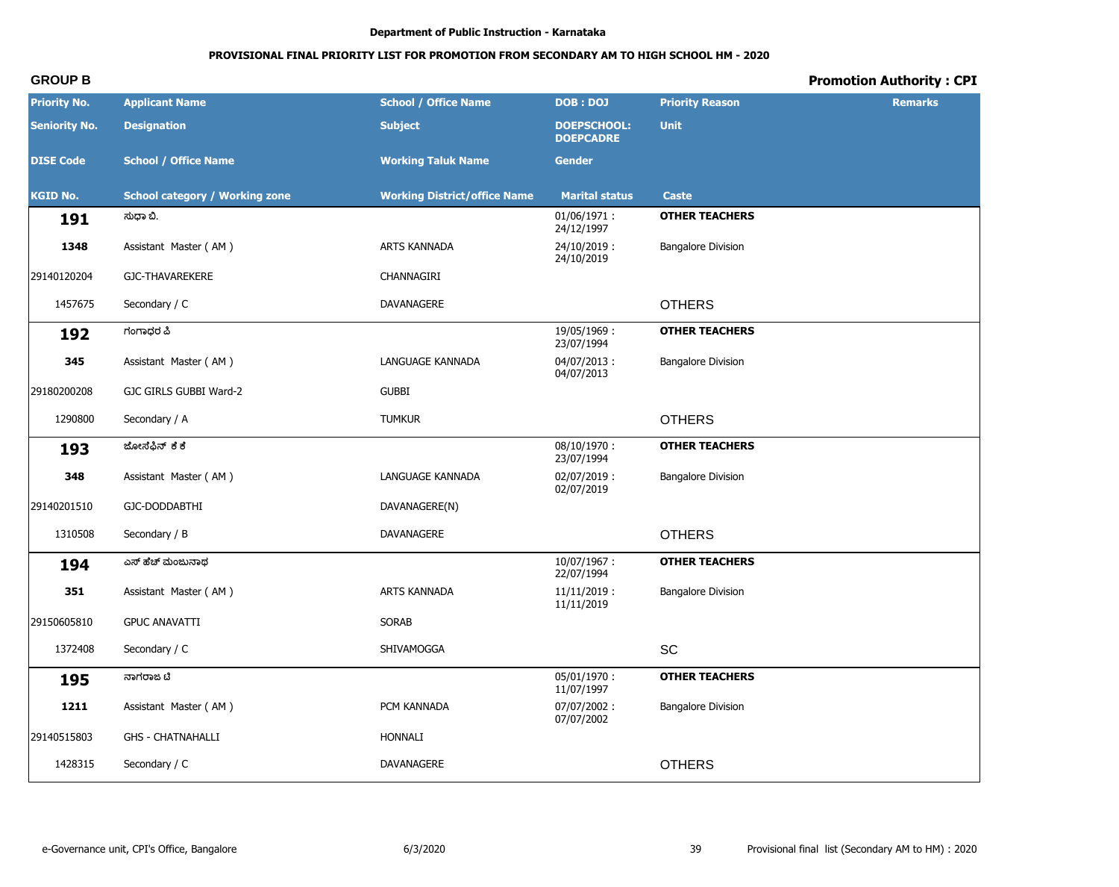# PROVISIONAL FINAL PRIORITY LIST FOR PROMOTION FROM SECONDARY AM TO HIGH SCHOOL HM - 2020

# **Promotion Authority: CPI**

| <b>Priority No.</b>  | <b>Applicant Name</b>                 | <b>School / Office Name</b>         | <b>DOB: DOJ</b>                        | <b>Priority Reason</b>    | <b>Remarks</b> |
|----------------------|---------------------------------------|-------------------------------------|----------------------------------------|---------------------------|----------------|
| <b>Seniority No.</b> | <b>Designation</b>                    | <b>Subject</b>                      | <b>DOEPSCHOOL:</b><br><b>DOEPCADRE</b> | <b>Unit</b>               |                |
| <b>DISE Code</b>     | <b>School / Office Name</b>           | <b>Working Taluk Name</b>           | <b>Gender</b>                          |                           |                |
| <b>KGID No.</b>      | <b>School category / Working zone</b> | <b>Working District/office Name</b> | <b>Marital status</b>                  | <b>Caste</b>              |                |
| 191                  | ಸುಧಾ ಬಿ.                              |                                     | $01/06/1971$ :<br>24/12/1997           | <b>OTHER TEACHERS</b>     |                |
| 1348                 | Assistant Master (AM)                 | ARTS KANNADA                        | 24/10/2019:<br>24/10/2019              | <b>Bangalore Division</b> |                |
| 29140120204          | <b>GJC-THAVAREKERE</b>                | CHANNAGIRI                          |                                        |                           |                |
| 1457675              | Secondary / C                         | DAVANAGERE                          |                                        | <b>OTHERS</b>             |                |
| 192                  | ಗಂಗಾಧರ ಪಿ                             |                                     | 19/05/1969:<br>23/07/1994              | <b>OTHER TEACHERS</b>     |                |
| 345                  | Assistant Master (AM)                 | LANGUAGE KANNADA                    | 04/07/2013:<br>04/07/2013              | <b>Bangalore Division</b> |                |
| 29180200208          | GJC GIRLS GUBBI Ward-2                | <b>GUBBI</b>                        |                                        |                           |                |
| 1290800              | Secondary / A                         | <b>TUMKUR</b>                       |                                        | <b>OTHERS</b>             |                |
| 193                  | ಜೋಸಿಫಿನ್ ಕಿಕೆ                         |                                     | $08/10/1970$ :<br>23/07/1994           | <b>OTHER TEACHERS</b>     |                |
| 348                  | Assistant Master (AM)                 | LANGUAGE KANNADA                    | 02/07/2019:<br>02/07/2019              | <b>Bangalore Division</b> |                |
| 29140201510          | GJC-DODDABTHI                         | DAVANAGERE(N)                       |                                        |                           |                |
| 1310508              | Secondary / B                         | DAVANAGERE                          |                                        | <b>OTHERS</b>             |                |
| 194                  | ಎಸ್ ಹೆಚ್ ಮಂಜುನಾಥ                      |                                     | $10/07/1967$ :<br>22/07/1994           | <b>OTHER TEACHERS</b>     |                |
| 351                  | Assistant Master (AM)                 | ARTS KANNADA                        | $11/11/2019$ :<br>11/11/2019           | <b>Bangalore Division</b> |                |
| 29150605810          | <b>GPUC ANAVATTI</b>                  | SORAB                               |                                        |                           |                |
| 1372408              | Secondary / C                         | SHIVAMOGGA                          |                                        | SC                        |                |
| 195                  | ನಾಗರಾಜ ಟಿ                             |                                     | 05/01/1970:<br>11/07/1997              | <b>OTHER TEACHERS</b>     |                |
| 1211                 | Assistant Master (AM)                 | PCM KANNADA                         | 07/07/2002:<br>07/07/2002              | <b>Bangalore Division</b> |                |
| 29140515803          | <b>GHS - CHATNAHALLI</b>              | HONNALI                             |                                        |                           |                |
| 1428315              | Secondary / C                         | DAVANAGERE                          |                                        | <b>OTHERS</b>             |                |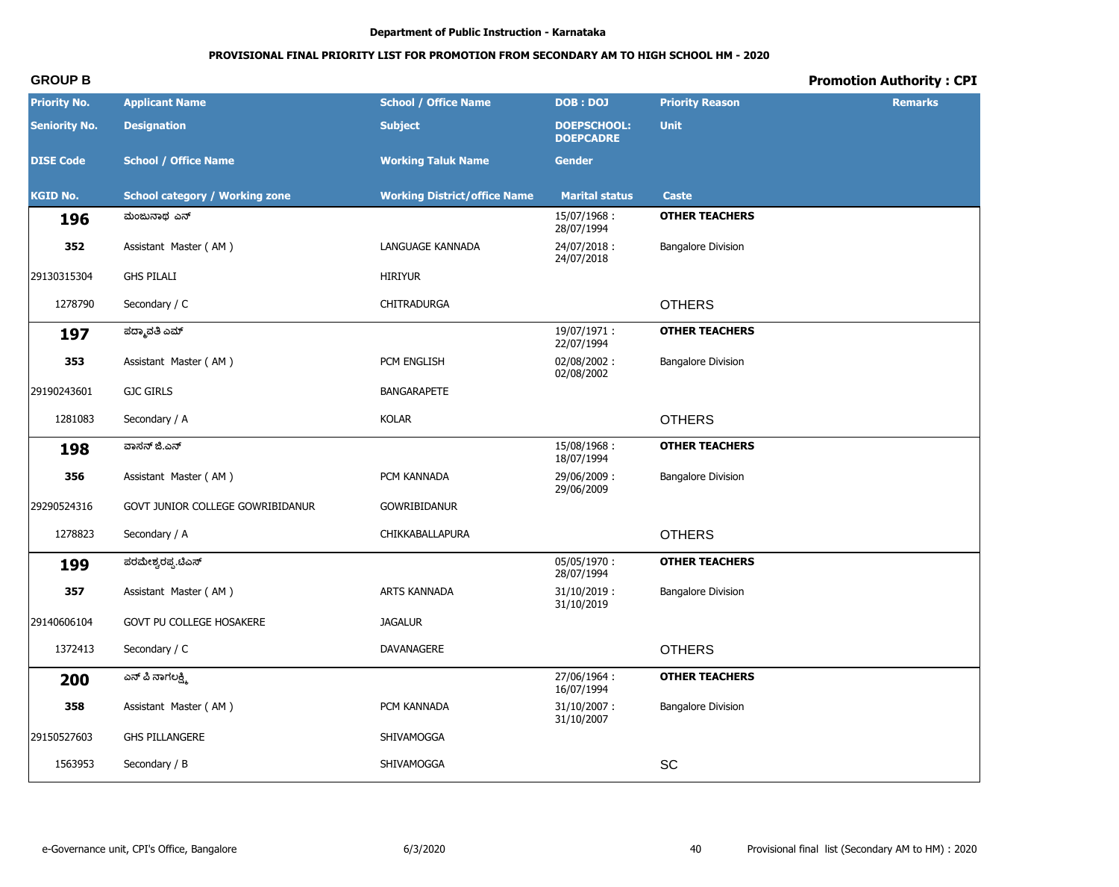# **PROVISIONAL FINAL PRIORITY LIST FOR PROMOTION FROM SECONDARY AM TO HIGH SCHOOL HM - 2020**

| <b>Priority No.</b>  | <b>Applicant Name</b>                 | <b>School / Office Name</b>         | <b>DOB: DOJ</b>                        | <b>Priority Reason</b>    | <b>Remarks</b> |
|----------------------|---------------------------------------|-------------------------------------|----------------------------------------|---------------------------|----------------|
| <b>Seniority No.</b> | <b>Designation</b>                    | <b>Subject</b>                      | <b>DOEPSCHOOL:</b><br><b>DOEPCADRE</b> | <b>Unit</b>               |                |
| <b>DISE Code</b>     | <b>School / Office Name</b>           | <b>Working Taluk Name</b>           | <b>Gender</b>                          |                           |                |
| <b>KGID No.</b>      | <b>School category / Working zone</b> | <b>Working District/office Name</b> | <b>Marital status</b>                  | <b>Caste</b>              |                |
| 196                  | ಮಂಜುನಾಥ ಎನ್                           |                                     | 15/07/1968:<br>28/07/1994              | <b>OTHER TEACHERS</b>     |                |
| 352                  | Assistant Master (AM)                 | LANGUAGE KANNADA                    | 24/07/2018:<br>24/07/2018              | <b>Bangalore Division</b> |                |
| 29130315304          | <b>GHS PILALI</b>                     | <b>HIRIYUR</b>                      |                                        |                           |                |
| 1278790              | Secondary / C                         | <b>CHITRADURGA</b>                  |                                        | <b>OTHERS</b>             |                |
| 197                  | ಪದ್ಮಾವತಿ ಎಮ್                          |                                     | 19/07/1971:<br>22/07/1994              | <b>OTHER TEACHERS</b>     |                |
| 353                  | Assistant Master (AM)                 | PCM ENGLISH                         | 02/08/2002:<br>02/08/2002              | <b>Bangalore Division</b> |                |
| 29190243601          | <b>GJC GIRLS</b>                      | <b>BANGARAPETE</b>                  |                                        |                           |                |
| 1281083              | Secondary / A                         | <b>KOLAR</b>                        |                                        | <b>OTHERS</b>             |                |
| 198                  | ವಾಸನ್ ಜಿ.ಎನ್                          |                                     | 15/08/1968:<br>18/07/1994              | <b>OTHER TEACHERS</b>     |                |
| 356                  | Assistant Master (AM)                 | PCM KANNADA                         | 29/06/2009:<br>29/06/2009              | <b>Bangalore Division</b> |                |
| 29290524316          | GOVT JUNIOR COLLEGE GOWRIBIDANUR      | <b>GOWRIBIDANUR</b>                 |                                        |                           |                |
| 1278823              | Secondary / A                         | CHIKKABALLAPURA                     |                                        | <b>OTHERS</b>             |                |
| 199                  | ಪರಮೇಶ್ವರಪ್ಪ.ಟಿಎಸ್                     |                                     | 05/05/1970:<br>28/07/1994              | <b>OTHER TEACHERS</b>     |                |
| 357                  | Assistant Master (AM)                 | ARTS KANNADA                        | $31/10/2019$ :<br>31/10/2019           | <b>Bangalore Division</b> |                |
| 29140606104          | GOVT PU COLLEGE HOSAKERE              | <b>JAGALUR</b>                      |                                        |                           |                |
| 1372413              | Secondary / C                         | DAVANAGERE                          |                                        | <b>OTHERS</b>             |                |
| 200                  | ಎನ್ ಪಿ ನಾಗಲಕ್ಷ್ಮಿ                     |                                     | 27/06/1964:<br>16/07/1994              | <b>OTHER TEACHERS</b>     |                |
| 358                  | Assistant Master (AM)                 | PCM KANNADA                         | $31/10/2007$ :<br>31/10/2007           | <b>Bangalore Division</b> |                |
| 29150527603          | <b>GHS PILLANGERE</b>                 | SHIVAMOGGA                          |                                        |                           |                |
| 1563953              | Secondary / B                         | SHIVAMOGGA                          |                                        | SC                        |                |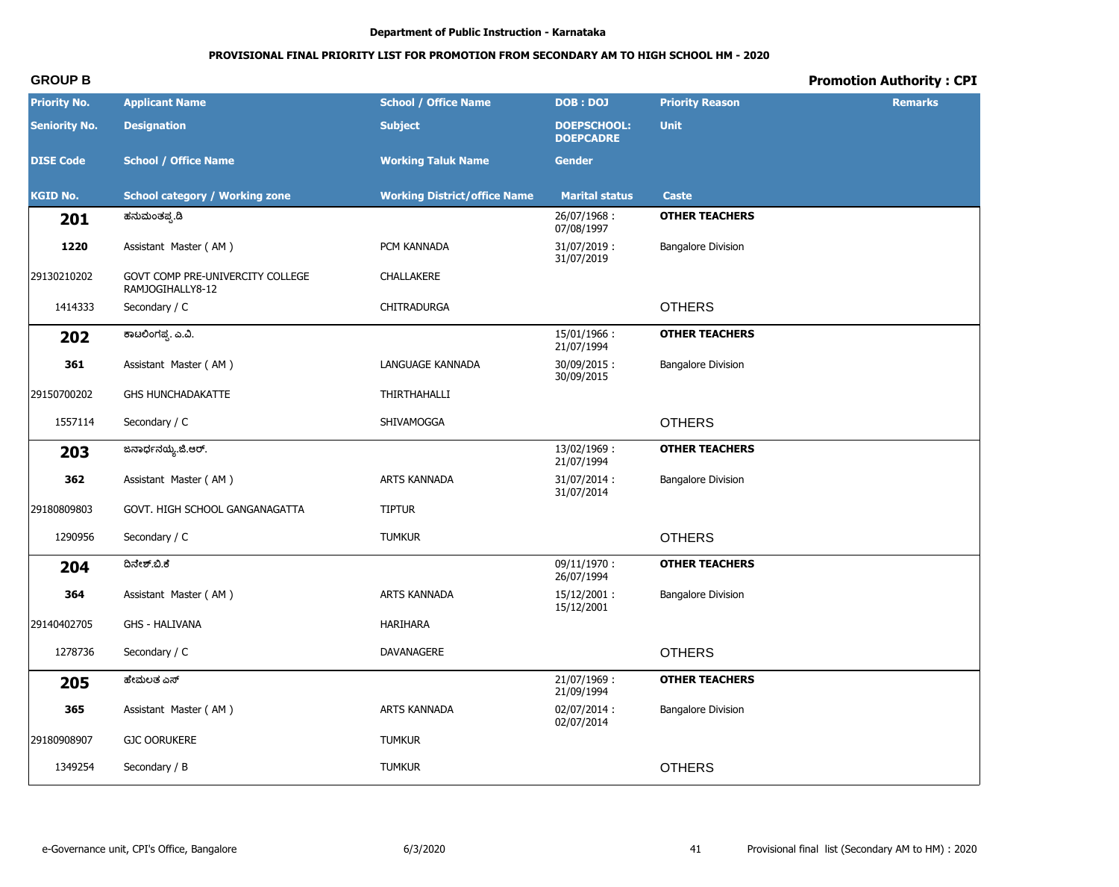# **PROVISIONAL FINAL PRIORITY LIST FOR PROMOTION FROM SECONDARY AM TO HIGH SCHOOL HM - 2020**

| <b>Priority No.</b>  | <b>Applicant Name</b>                                | <b>School / Office Name</b>         | <b>DOB: DOJ</b>                        | <b>Priority Reason</b>    | <b>Remarks</b> |
|----------------------|------------------------------------------------------|-------------------------------------|----------------------------------------|---------------------------|----------------|
| <b>Seniority No.</b> | <b>Designation</b>                                   | <b>Subject</b>                      | <b>DOEPSCHOOL:</b><br><b>DOEPCADRE</b> | <b>Unit</b>               |                |
| <b>DISE Code</b>     | <b>School / Office Name</b>                          | <b>Working Taluk Name</b>           | <b>Gender</b>                          |                           |                |
| <b>KGID No.</b>      | <b>School category / Working zone</b>                | <b>Working District/office Name</b> | <b>Marital status</b>                  | <b>Caste</b>              |                |
| 201                  | ಹನುಮಂತಪ್ಪ.ಡಿ                                         |                                     | 26/07/1968:<br>07/08/1997              | <b>OTHER TEACHERS</b>     |                |
| 1220                 | Assistant Master (AM)                                | PCM KANNADA                         | $31/07/2019$ :<br>31/07/2019           | <b>Bangalore Division</b> |                |
| 29130210202          | GOVT COMP PRE-UNIVERCITY COLLEGE<br>RAMJOGIHALLY8-12 | CHALLAKERE                          |                                        |                           |                |
| 1414333              | Secondary / C                                        | CHITRADURGA                         |                                        | <b>OTHERS</b>             |                |
| 202                  | ಕಾಟಲಿಂಗಪ್ಪ. ಎ.ವಿ.                                    |                                     | 15/01/1966:<br>21/07/1994              | <b>OTHER TEACHERS</b>     |                |
| 361                  | Assistant Master (AM)                                | LANGUAGE KANNADA                    | 30/09/2015:<br>30/09/2015              | <b>Bangalore Division</b> |                |
| 29150700202          | <b>GHS HUNCHADAKATTE</b>                             | THIRTHAHALLI                        |                                        |                           |                |
| 1557114              | Secondary / C                                        | SHIVAMOGGA                          |                                        | <b>OTHERS</b>             |                |
| 203                  | ಜನಾರ್ಧನಯ್ಯ.ಜಿ.ಆರ್.                                   |                                     | 13/02/1969:<br>21/07/1994              | <b>OTHER TEACHERS</b>     |                |
| 362                  | Assistant Master (AM)                                | ARTS KANNADA                        | 31/07/2014:<br>31/07/2014              | <b>Bangalore Division</b> |                |
| 29180809803          | GOVT. HIGH SCHOOL GANGANAGATTA                       | <b>TIPTUR</b>                       |                                        |                           |                |
| 1290956              | Secondary / C                                        | <b>TUMKUR</b>                       |                                        | <b>OTHERS</b>             |                |
| 204                  | ದಿನೇಶ್.ಬಿ.ಕೆ                                         |                                     | $09/11/1970$ :<br>26/07/1994           | <b>OTHER TEACHERS</b>     |                |
| 364                  | Assistant Master (AM)                                | ARTS KANNADA                        | 15/12/2001:<br>15/12/2001              | <b>Bangalore Division</b> |                |
| 29140402705          | <b>GHS - HALIVANA</b>                                | HARIHARA                            |                                        |                           |                |
| 1278736              | Secondary / C                                        | DAVANAGERE                          |                                        | <b>OTHERS</b>             |                |
| 205                  | ಹೇಮಲತ ಎಸ್                                            |                                     | 21/07/1969:<br>21/09/1994              | <b>OTHER TEACHERS</b>     |                |
| 365                  | Assistant Master (AM)                                | ARTS KANNADA                        | 02/07/2014:<br>02/07/2014              | <b>Bangalore Division</b> |                |
| 29180908907          | <b>GJC OORUKERE</b>                                  | <b>TUMKUR</b>                       |                                        |                           |                |
| 1349254              | Secondary / B                                        | <b>TUMKUR</b>                       |                                        | <b>OTHERS</b>             |                |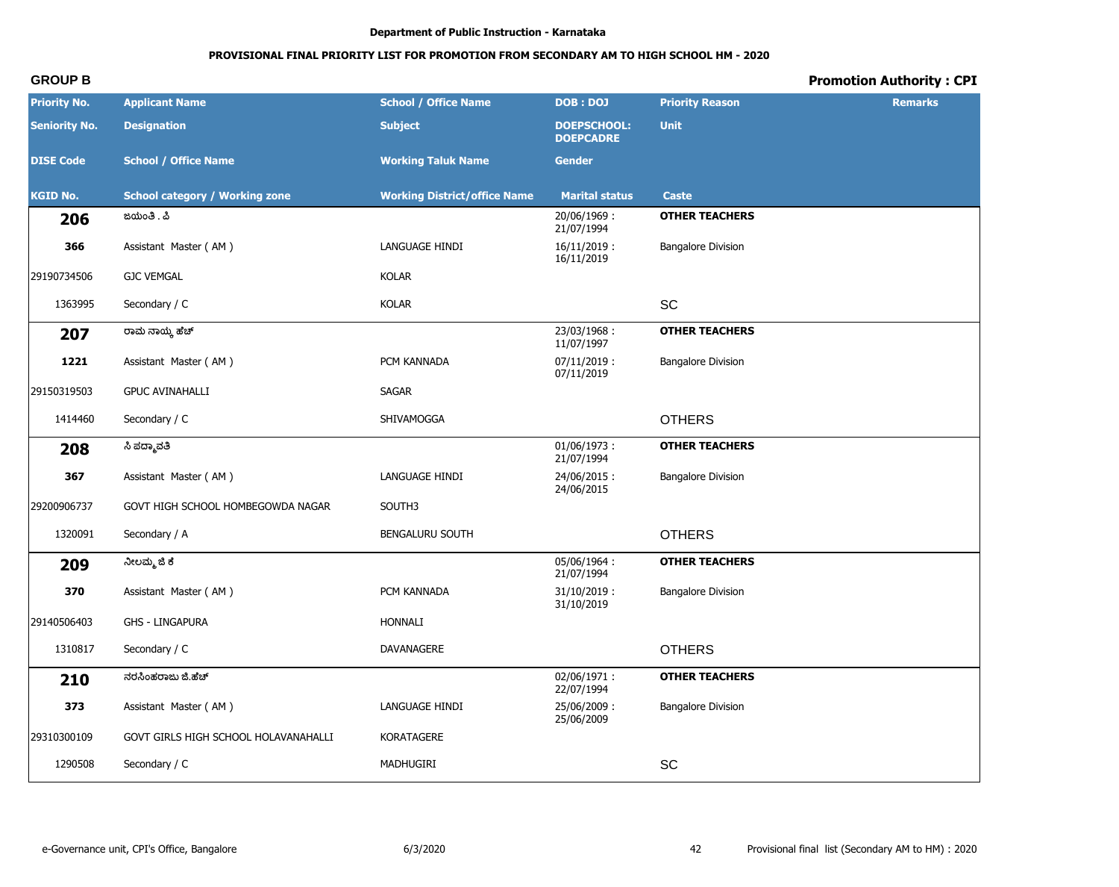# PROVISIONAL FINAL PRIORITY LIST FOR PROMOTION FROM SECONDARY AM TO HIGH SCHOOL HM - 2020

# **Promotion Authority: CPI**

| <b>Priority No.</b>  | <b>Applicant Name</b>                 | <b>School / Office Name</b>         | DOB: DOJ                               | <b>Priority Reason</b>    | <b>Remarks</b> |
|----------------------|---------------------------------------|-------------------------------------|----------------------------------------|---------------------------|----------------|
| <b>Seniority No.</b> | <b>Designation</b>                    | <b>Subject</b>                      | <b>DOEPSCHOOL:</b><br><b>DOEPCADRE</b> | <b>Unit</b>               |                |
| <b>DISE Code</b>     | <b>School / Office Name</b>           | <b>Working Taluk Name</b>           | <b>Gender</b>                          |                           |                |
| <b>KGID No.</b>      | <b>School category / Working zone</b> | <b>Working District/office Name</b> | <b>Marital status</b>                  | Caste                     |                |
| 206                  | ಜಯಂತಿ . ಪಿ                            |                                     | 20/06/1969:<br>21/07/1994              | <b>OTHER TEACHERS</b>     |                |
| 366                  | Assistant Master (AM)                 | LANGUAGE HINDI                      | $16/11/2019$ :<br>16/11/2019           | <b>Bangalore Division</b> |                |
| 29190734506          | <b>GJC VEMGAL</b>                     | <b>KOLAR</b>                        |                                        |                           |                |
| 1363995              | Secondary / C                         | <b>KOLAR</b>                        |                                        | SC                        |                |
| 207                  | ರಾಮೆ ನಾಯ್ಕೆ ಹೆಚ್                      |                                     | 23/03/1968:<br>11/07/1997              | <b>OTHER TEACHERS</b>     |                |
| 1221                 | Assistant Master (AM)                 | PCM KANNADA                         | 07/11/2019:<br>07/11/2019              | <b>Bangalore Division</b> |                |
| 29150319503          | <b>GPUC AVINAHALLI</b>                | SAGAR                               |                                        |                           |                |
| 1414460              | Secondary / C                         | SHIVAMOGGA                          |                                        | <b>OTHERS</b>             |                |
| 208                  | ಸಿ ಪದ್ಮಾವತಿ                           |                                     | $01/06/1973$ :<br>21/07/1994           | <b>OTHER TEACHERS</b>     |                |
| 367                  | Assistant Master (AM)                 | LANGUAGE HINDI                      | 24/06/2015:<br>24/06/2015              | <b>Bangalore Division</b> |                |
| 29200906737          | GOVT HIGH SCHOOL HOMBEGOWDA NAGAR     | SOUTH3                              |                                        |                           |                |
| 1320091              | Secondary / A                         | <b>BENGALURU SOUTH</b>              |                                        | <b>OTHERS</b>             |                |
| 209                  | ನೀಲಮ್ಮ ಜಿ ಕೆ                          |                                     | 05/06/1964:<br>21/07/1994              | <b>OTHER TEACHERS</b>     |                |
| 370                  | Assistant Master (AM)                 | PCM KANNADA                         | $31/10/2019$ :<br>31/10/2019           | <b>Bangalore Division</b> |                |
| 29140506403          | <b>GHS - LINGAPURA</b>                | <b>HONNALI</b>                      |                                        |                           |                |
| 1310817              | Secondary / C                         | DAVANAGERE                          |                                        | <b>OTHERS</b>             |                |
| 210                  | ನರಸಿಂಹರಾಜು ಜಿ.ಹೆಚ್                    |                                     | 02/06/1971:<br>22/07/1994              | <b>OTHER TEACHERS</b>     |                |
| 373                  | Assistant Master (AM)                 | LANGUAGE HINDI                      | 25/06/2009:<br>25/06/2009              | <b>Bangalore Division</b> |                |
| 29310300109          | GOVT GIRLS HIGH SCHOOL HOLAVANAHALLI  | KORATAGERE                          |                                        |                           |                |
| 1290508              | Secondary / C                         | MADHUGIRI                           |                                        | SC                        |                |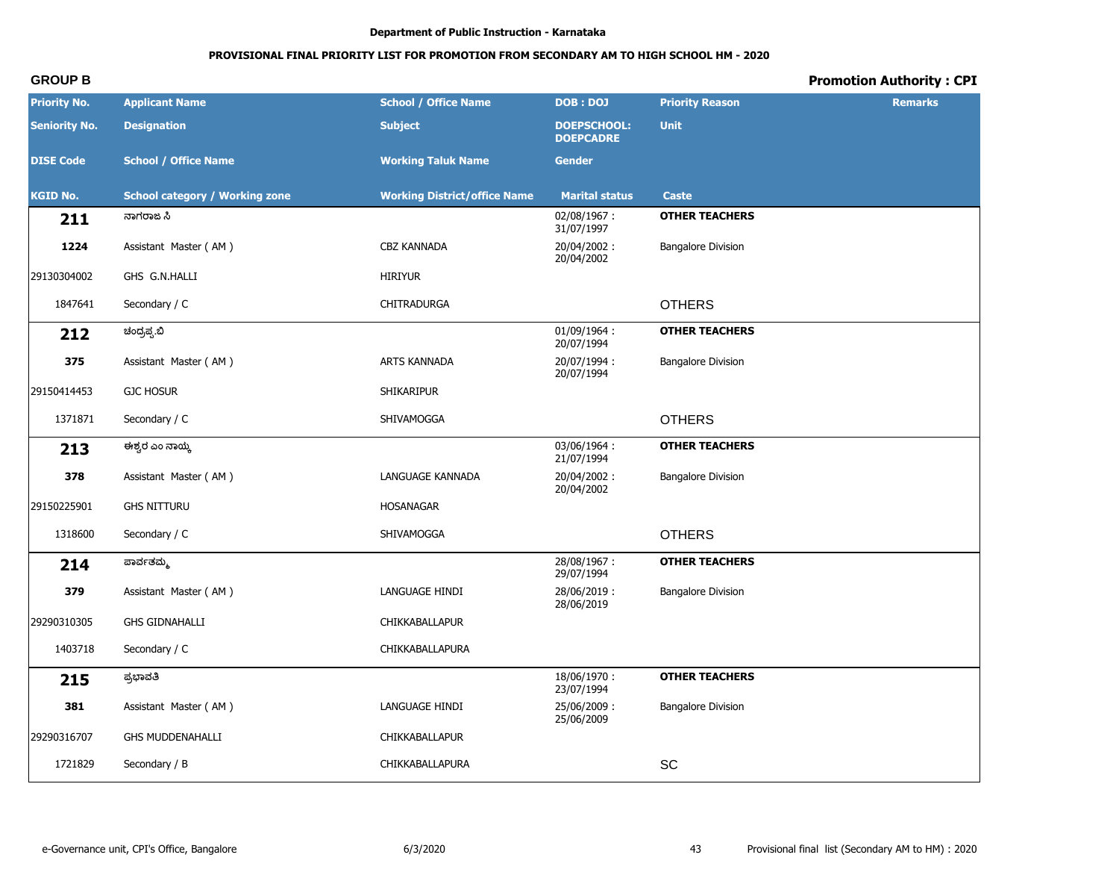# PROVISIONAL FINAL PRIORITY LIST FOR PROMOTION FROM SECONDARY AM TO HIGH SCHOOL HM - 2020

# **Promotion Authority: CPI**

| <b>Priority No.</b>  | <b>Applicant Name</b>                 | <b>School / Office Name</b>         | <b>DOB: DOJ</b>                        | <b>Priority Reason</b>    | <b>Remarks</b> |
|----------------------|---------------------------------------|-------------------------------------|----------------------------------------|---------------------------|----------------|
| <b>Seniority No.</b> | <b>Designation</b>                    | <b>Subject</b>                      | <b>DOEPSCHOOL:</b><br><b>DOEPCADRE</b> | <b>Unit</b>               |                |
| <b>DISE Code</b>     | <b>School / Office Name</b>           | <b>Working Taluk Name</b>           | <b>Gender</b>                          |                           |                |
| <b>KGID No.</b>      | <b>School category / Working zone</b> | <b>Working District/office Name</b> | <b>Marital status</b>                  | <b>Caste</b>              |                |
| 211                  | ನಾಗರಾಜ ಸಿ                             |                                     | 02/08/1967:<br>31/07/1997              | <b>OTHER TEACHERS</b>     |                |
| 1224                 | Assistant Master (AM)                 | <b>CBZ KANNADA</b>                  | 20/04/2002:<br>20/04/2002              | <b>Bangalore Division</b> |                |
| 29130304002          | GHS G.N.HALLI                         | <b>HIRIYUR</b>                      |                                        |                           |                |
| 1847641              | Secondary / C                         | CHITRADURGA                         |                                        | <b>OTHERS</b>             |                |
| 212                  | ಚಂದ್ರಪ್ಪ.ಬಿ                           |                                     | 01/09/1964:<br>20/07/1994              | <b>OTHER TEACHERS</b>     |                |
| 375                  | Assistant Master (AM)                 | ARTS KANNADA                        | 20/07/1994:<br>20/07/1994              | <b>Bangalore Division</b> |                |
| 29150414453          | <b>GJC HOSUR</b>                      | <b>SHIKARIPUR</b>                   |                                        |                           |                |
| 1371871              | Secondary / C                         | SHIVAMOGGA                          |                                        | <b>OTHERS</b>             |                |
| 213                  | ಈಶ್ವರ ಎಂ ನಾಯ್ಕ                        |                                     | 03/06/1964:<br>21/07/1994              | <b>OTHER TEACHERS</b>     |                |
| 378                  | Assistant Master (AM)                 | LANGUAGE KANNADA                    | 20/04/2002:<br>20/04/2002              | <b>Bangalore Division</b> |                |
| 29150225901          | <b>GHS NITTURU</b>                    | <b>HOSANAGAR</b>                    |                                        |                           |                |
| 1318600              | Secondary / C                         | SHIVAMOGGA                          |                                        | <b>OTHERS</b>             |                |
| 214                  | ಪಾರ್ವತಮ್ಮ                             |                                     | 28/08/1967:<br>29/07/1994              | <b>OTHER TEACHERS</b>     |                |
| 379                  | Assistant Master (AM)                 | LANGUAGE HINDI                      | 28/06/2019:<br>28/06/2019              | <b>Bangalore Division</b> |                |
| 29290310305          | <b>GHS GIDNAHALLI</b>                 | CHIKKABALLAPUR                      |                                        |                           |                |
| 1403718              | Secondary / C                         | CHIKKABALLAPURA                     |                                        |                           |                |
| 215                  | ಪ್ರಭಾವತಿ                              |                                     | 18/06/1970:<br>23/07/1994              | <b>OTHER TEACHERS</b>     |                |
| 381                  | Assistant Master (AM)                 | LANGUAGE HINDI                      | 25/06/2009:<br>25/06/2009              | <b>Bangalore Division</b> |                |
| 29290316707          | <b>GHS MUDDENAHALLI</b>               | CHIKKABALLAPUR                      |                                        |                           |                |
| 1721829              | Secondary / B                         | CHIKKABALLAPURA                     |                                        | SC                        |                |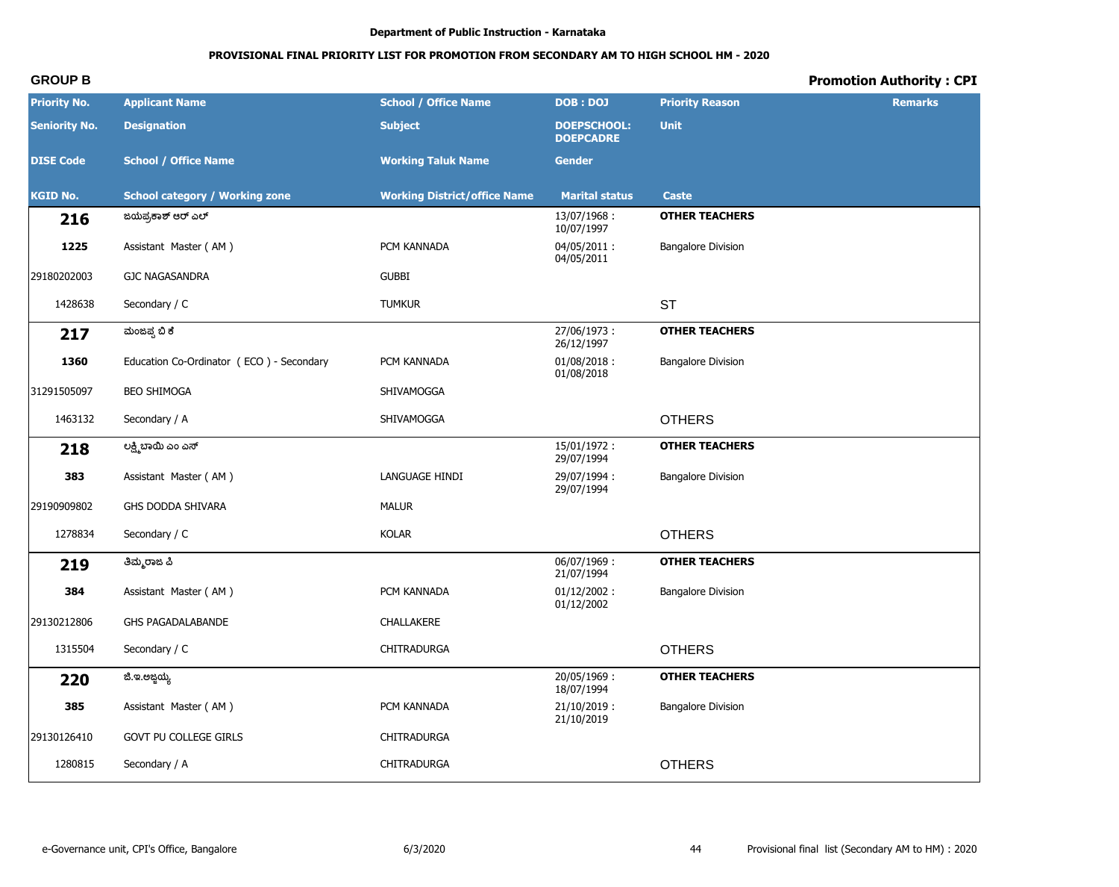# **PROVISIONAL FINAL PRIORITY LIST FOR PROMOTION FROM SECONDARY AM TO HIGH SCHOOL HM - 2020**

| <b>Priority No.</b>  | <b>Applicant Name</b>                    | <b>School / Office Name</b>         | <b>DOB: DOJ</b>                        | <b>Priority Reason</b>    | <b>Remarks</b> |
|----------------------|------------------------------------------|-------------------------------------|----------------------------------------|---------------------------|----------------|
| <b>Seniority No.</b> | <b>Designation</b>                       | <b>Subject</b>                      | <b>DOEPSCHOOL:</b><br><b>DOEPCADRE</b> | <b>Unit</b>               |                |
| <b>DISE Code</b>     | <b>School / Office Name</b>              | <b>Working Taluk Name</b>           | <b>Gender</b>                          |                           |                |
| <b>KGID No.</b>      | <b>School category / Working zone</b>    | <b>Working District/office Name</b> | <b>Marital status</b>                  | <b>Caste</b>              |                |
| 216                  | ಜಯಪ್ರಕಾಶ್ ಆರ್ ಎಲ್                        |                                     | 13/07/1968:<br>10/07/1997              | <b>OTHER TEACHERS</b>     |                |
| 1225                 | Assistant Master (AM)                    | PCM KANNADA                         | 04/05/2011:<br>04/05/2011              | <b>Bangalore Division</b> |                |
| 29180202003          | <b>GJC NAGASANDRA</b>                    | <b>GUBBI</b>                        |                                        |                           |                |
| 1428638              | Secondary / C                            | <b>TUMKUR</b>                       |                                        | <b>ST</b>                 |                |
| 217                  | ಮಂಜಪ್ಪ ಬಿ ಕೆ                             |                                     | 27/06/1973:<br>26/12/1997              | <b>OTHER TEACHERS</b>     |                |
| 1360                 | Education Co-Ordinator (ECO) - Secondary | PCM KANNADA                         | $01/08/2018$ :<br>01/08/2018           | <b>Bangalore Division</b> |                |
| 31291505097          | <b>BEO SHIMOGA</b>                       | SHIVAMOGGA                          |                                        |                           |                |
| 1463132              | Secondary / A                            | SHIVAMOGGA                          |                                        | <b>OTHERS</b>             |                |
| 218                  | ಲಕ್ಷ್ಮಿಬಾಯಿ ಎಂ ಎಸ್                       |                                     | $15/01/1972$ :<br>29/07/1994           | <b>OTHER TEACHERS</b>     |                |
| 383                  | Assistant Master (AM)                    | LANGUAGE HINDI                      | 29/07/1994:<br>29/07/1994              | <b>Bangalore Division</b> |                |
| 29190909802          | GHS DODDA SHIVARA                        | <b>MALUR</b>                        |                                        |                           |                |
| 1278834              | Secondary / C                            | <b>KOLAR</b>                        |                                        | <b>OTHERS</b>             |                |
| 219                  | ತಿಮ್ಮರಾಜ ಪಿ                              |                                     | 06/07/1969:<br>21/07/1994              | <b>OTHER TEACHERS</b>     |                |
| 384                  | Assistant Master (AM)                    | PCM KANNADA                         | $01/12/2002$ :<br>01/12/2002           | <b>Bangalore Division</b> |                |
| 29130212806          | GHS PAGADALABANDE                        | CHALLAKERE                          |                                        |                           |                |
| 1315504              | Secondary / C                            | CHITRADURGA                         |                                        | <b>OTHERS</b>             |                |
| 220                  | ಜಿ.ಇ.ಅಜ್ಜಯ್ಯ                             |                                     | 20/05/1969:<br>18/07/1994              | <b>OTHER TEACHERS</b>     |                |
| 385                  | Assistant Master (AM)                    | PCM KANNADA                         | $21/10/2019$ :<br>21/10/2019           | <b>Bangalore Division</b> |                |
| 29130126410          | GOVT PU COLLEGE GIRLS                    | CHITRADURGA                         |                                        |                           |                |
| 1280815              | Secondary / A                            | CHITRADURGA                         |                                        | <b>OTHERS</b>             |                |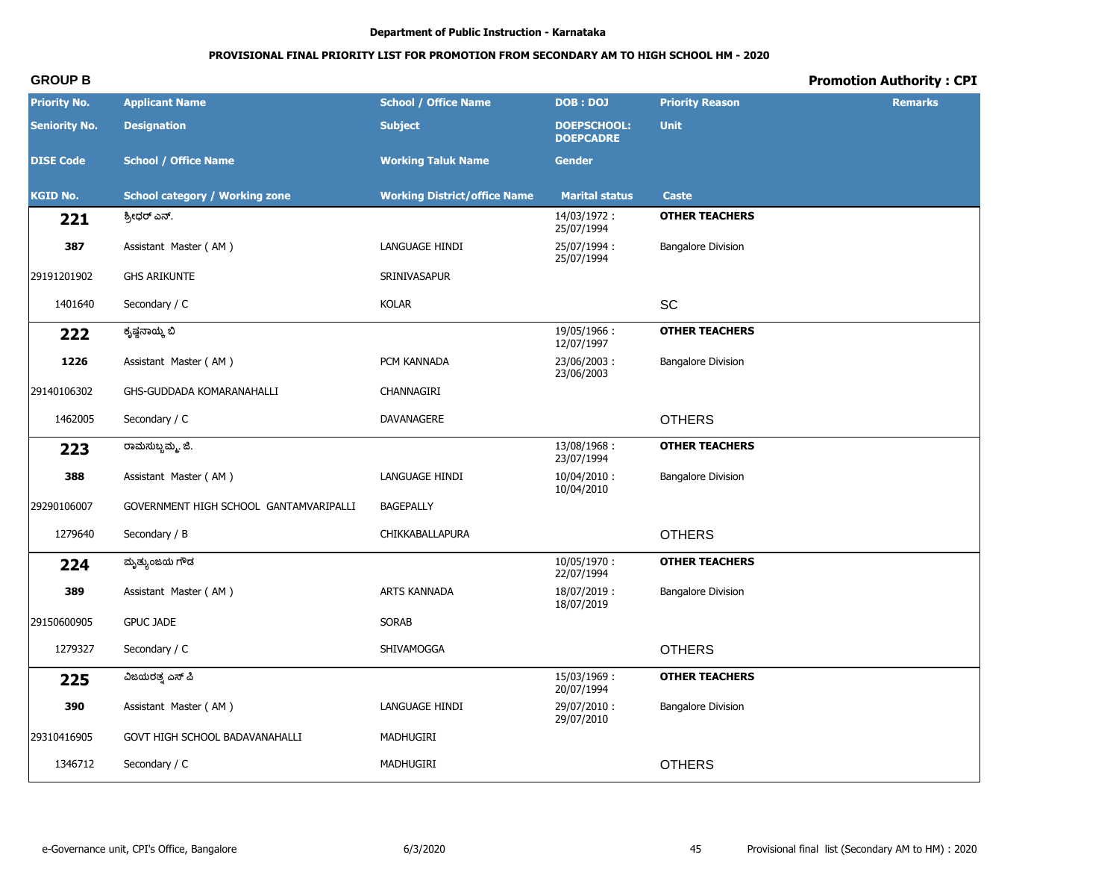# **PROVISIONAL FINAL PRIORITY LIST FOR PROMOTION FROM SECONDARY AM TO HIGH SCHOOL HM - 2020**

| <b>Priority No.</b>  | <b>Applicant Name</b>                  | <b>School / Office Name</b>         | <b>DOB: DOJ</b>                        | <b>Priority Reason</b>    | <b>Remarks</b> |
|----------------------|----------------------------------------|-------------------------------------|----------------------------------------|---------------------------|----------------|
| <b>Seniority No.</b> | <b>Designation</b>                     | <b>Subject</b>                      | <b>DOEPSCHOOL:</b><br><b>DOEPCADRE</b> | <b>Unit</b>               |                |
| <b>DISE Code</b>     | <b>School / Office Name</b>            | <b>Working Taluk Name</b>           | <b>Gender</b>                          |                           |                |
| <b>KGID No.</b>      | <b>School category / Working zone</b>  | <b>Working District/office Name</b> | <b>Marital status</b>                  | <b>Caste</b>              |                |
| 221                  | ಶ್ರೀಧರ್ ಎನ್.                           |                                     | 14/03/1972:<br>25/07/1994              | <b>OTHER TEACHERS</b>     |                |
| 387                  | Assistant Master (AM)                  | LANGUAGE HINDI                      | 25/07/1994:<br>25/07/1994              | <b>Bangalore Division</b> |                |
| 29191201902          | <b>GHS ARIKUNTE</b>                    | SRINIVASAPUR                        |                                        |                           |                |
| 1401640              | Secondary / C                          | <b>KOLAR</b>                        |                                        | SC                        |                |
| 222                  | ಕೃಷ್ಣನಾಯ್ಕ ಬಿ                          |                                     | 19/05/1966:<br>12/07/1997              | <b>OTHER TEACHERS</b>     |                |
| 1226                 | Assistant Master (AM)                  | PCM KANNADA                         | 23/06/2003:<br>23/06/2003              | <b>Bangalore Division</b> |                |
| 29140106302          | GHS-GUDDADA KOMARANAHALLI              | CHANNAGIRI                          |                                        |                           |                |
| 1462005              | Secondary / C                          | DAVANAGERE                          |                                        | <b>OTHERS</b>             |                |
| 223                  | ರಾಮಸುಬ್ಬಮ್ಮ. ಜಿ.                       |                                     | 13/08/1968:<br>23/07/1994              | <b>OTHER TEACHERS</b>     |                |
| 388                  | Assistant Master (AM)                  | LANGUAGE HINDI                      | 10/04/2010:<br>10/04/2010              | <b>Bangalore Division</b> |                |
| 29290106007          | GOVERNMENT HIGH SCHOOL GANTAMVARIPALLI | <b>BAGEPALLY</b>                    |                                        |                           |                |
| 1279640              | Secondary / B                          | CHIKKABALLAPURA                     |                                        | <b>OTHERS</b>             |                |
| 224                  | ಮೃತ್ಯುಂಜಯ ಗೌಡ                          |                                     | 10/05/1970:<br>22/07/1994              | <b>OTHER TEACHERS</b>     |                |
| 389                  | Assistant Master (AM)                  | ARTS KANNADA                        | 18/07/2019:<br>18/07/2019              | <b>Bangalore Division</b> |                |
| 29150600905          | <b>GPUC JADE</b>                       | <b>SORAB</b>                        |                                        |                           |                |
| 1279327              | Secondary / C                          | SHIVAMOGGA                          |                                        | <b>OTHERS</b>             |                |
| 225                  | ವಿಜಯರತ್ತ ಎಸ್ ಪಿ                        |                                     | 15/03/1969:<br>20/07/1994              | <b>OTHER TEACHERS</b>     |                |
| 390                  | Assistant Master (AM)                  | LANGUAGE HINDI                      | 29/07/2010:<br>29/07/2010              | <b>Bangalore Division</b> |                |
| 29310416905          | GOVT HIGH SCHOOL BADAVANAHALLI         | MADHUGIRI                           |                                        |                           |                |
| 1346712              | Secondary / C                          | MADHUGIRI                           |                                        | <b>OTHERS</b>             |                |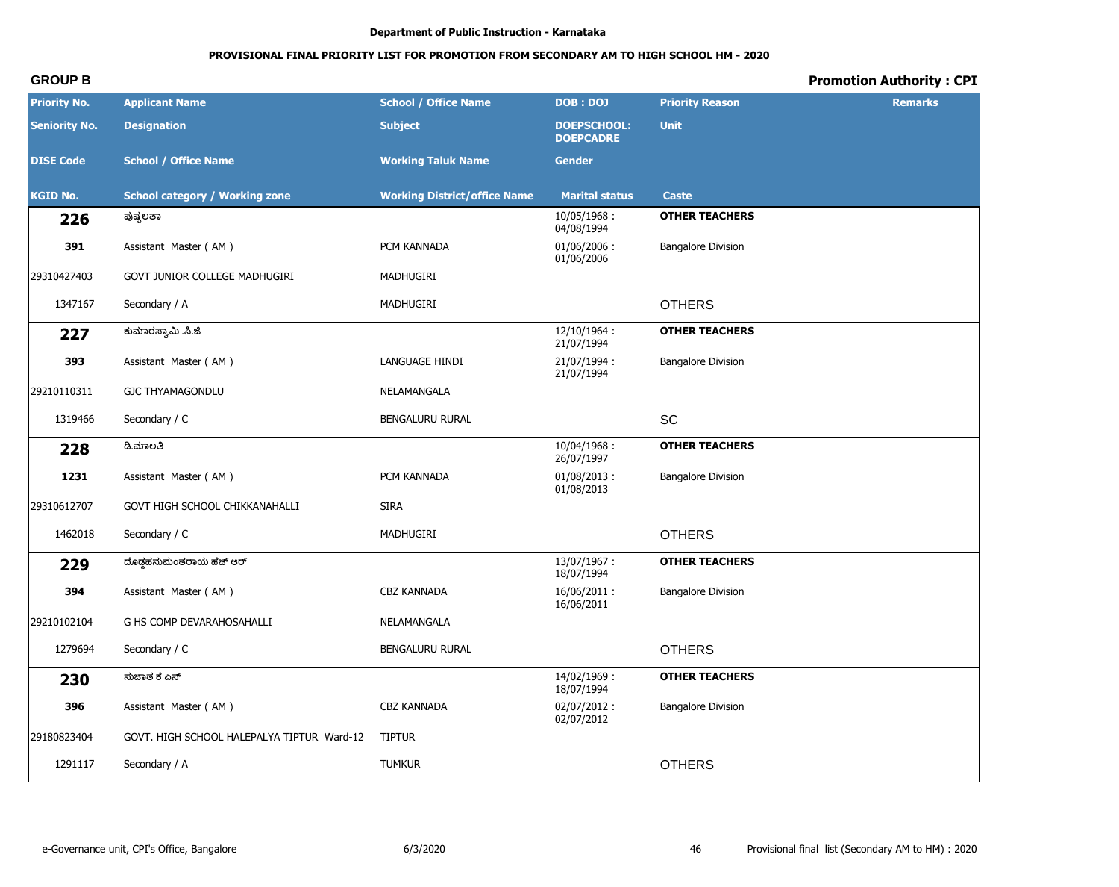# PROVISIONAL FINAL PRIORITY LIST FOR PROMOTION FROM SECONDARY AM TO HIGH SCHOOL HM - 2020

# **Promotion Authority: CPI**

| <b>Priority No.</b>  | <b>Applicant Name</b>                      | <b>School / Office Name</b>         | <b>DOB: DOJ</b>                        | <b>Priority Reason</b>    | <b>Remarks</b> |
|----------------------|--------------------------------------------|-------------------------------------|----------------------------------------|---------------------------|----------------|
| <b>Seniority No.</b> | <b>Designation</b>                         | <b>Subject</b>                      | <b>DOEPSCHOOL:</b><br><b>DOEPCADRE</b> | <b>Unit</b>               |                |
| <b>DISE Code</b>     | <b>School / Office Name</b>                | <b>Working Taluk Name</b>           | <b>Gender</b>                          |                           |                |
| <b>KGID No.</b>      | <b>School category / Working zone</b>      | <b>Working District/office Name</b> | <b>Marital status</b>                  | <b>Caste</b>              |                |
| 226                  | ಪುಷ್ಪಲತಾ                                   |                                     | 10/05/1968:<br>04/08/1994              | <b>OTHER TEACHERS</b>     |                |
| 391                  | Assistant Master (AM)                      | PCM KANNADA                         | $01/06/2006$ :<br>01/06/2006           | <b>Bangalore Division</b> |                |
| 29310427403          | GOVT JUNIOR COLLEGE MADHUGIRI              | MADHUGIRI                           |                                        |                           |                |
| 1347167              | Secondary / A                              | MADHUGIRI                           |                                        | <b>OTHERS</b>             |                |
| 227                  | ಕುಮಾರಸ್ವಾಮಿ .ಸಿ.ಜಿ                         |                                     | 12/10/1964:<br>21/07/1994              | <b>OTHER TEACHERS</b>     |                |
| 393                  | Assistant Master (AM)                      | LANGUAGE HINDI                      | 21/07/1994:<br>21/07/1994              | <b>Bangalore Division</b> |                |
| 29210110311          | <b>GJC THYAMAGONDLU</b>                    | NELAMANGALA                         |                                        |                           |                |
| 1319466              | Secondary / C                              | BENGALURU RURAL                     |                                        | SC                        |                |
| 228                  | ಡಿ.ಮಾಲತಿ                                   |                                     | 10/04/1968:<br>26/07/1997              | <b>OTHER TEACHERS</b>     |                |
| 1231                 | Assistant Master (AM)                      | PCM KANNADA                         | $01/08/2013$ :<br>01/08/2013           | <b>Bangalore Division</b> |                |
| 29310612707          | GOVT HIGH SCHOOL CHIKKANAHALLI             | <b>SIRA</b>                         |                                        |                           |                |
| 1462018              | Secondary / C                              | MADHUGIRI                           |                                        | <b>OTHERS</b>             |                |
| 229                  | ದೊಡ್ಡಹನುಮಂತರಾಯ ಹೆಚ್ ಆರ್                    |                                     | 13/07/1967:<br>18/07/1994              | <b>OTHER TEACHERS</b>     |                |
| 394                  | Assistant Master (AM)                      | <b>CBZ KANNADA</b>                  | 16/06/2011:<br>16/06/2011              | <b>Bangalore Division</b> |                |
| 29210102104          | G HS COMP DEVARAHOSAHALLI                  | NELAMANGALA                         |                                        |                           |                |
| 1279694              | Secondary / C                              | BENGALURU RURAL                     |                                        | <b>OTHERS</b>             |                |
| 230                  | ಸುಜಾತ ಕೆ ಎಸ್                               |                                     | 14/02/1969:<br>18/07/1994              | <b>OTHER TEACHERS</b>     |                |
| 396                  | Assistant Master (AM)                      | CBZ KANNADA                         | 02/07/2012:<br>02/07/2012              | <b>Bangalore Division</b> |                |
| 29180823404          | GOVT. HIGH SCHOOL HALEPALYA TIPTUR Ward-12 | <b>TIPTUR</b>                       |                                        |                           |                |
| 1291117              | Secondary / A                              | <b>TUMKUR</b>                       |                                        | <b>OTHERS</b>             |                |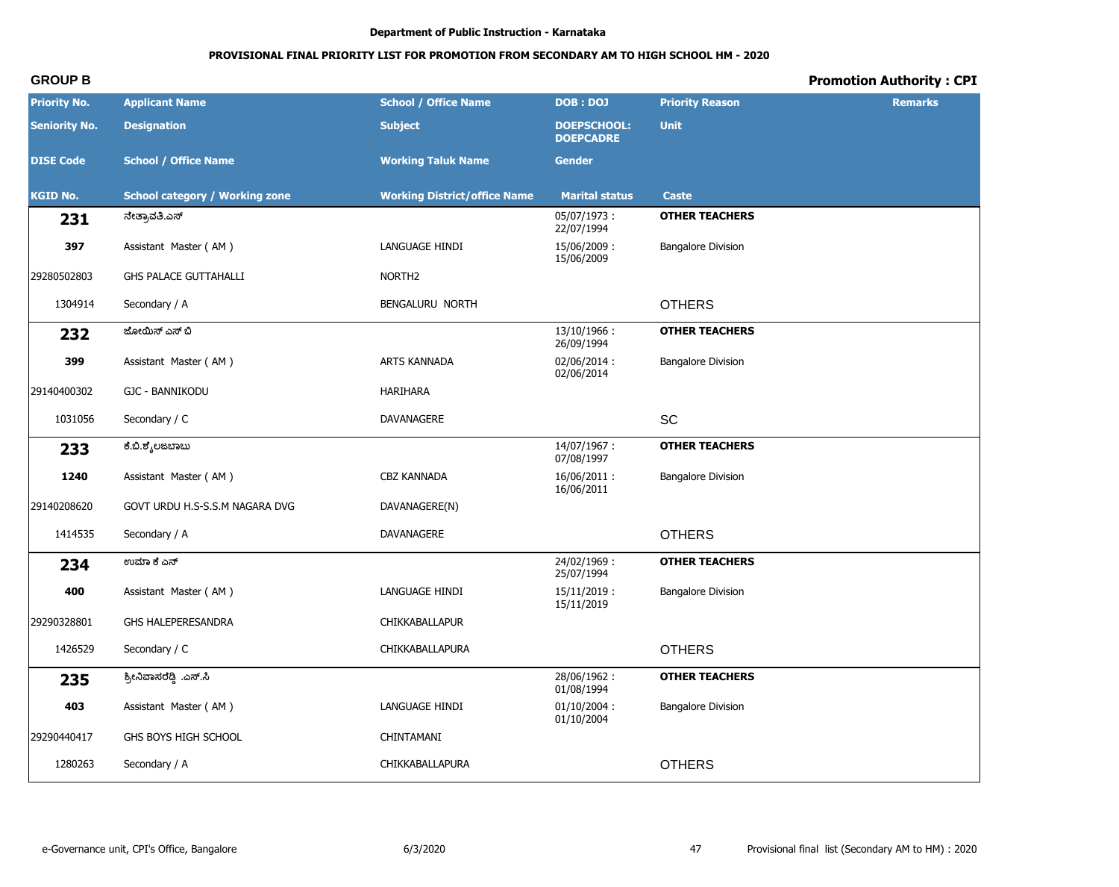# PROVISIONAL FINAL PRIORITY LIST FOR PROMOTION FROM SECONDARY AM TO HIGH SCHOOL HM - 2020

# **Promotion Authority: CPI**

| <b>Priority No.</b>  | <b>Applicant Name</b>                 | <b>School / Office Name</b>         | <b>DOB: DOJ</b>                        | <b>Priority Reason</b>    | <b>Remarks</b> |
|----------------------|---------------------------------------|-------------------------------------|----------------------------------------|---------------------------|----------------|
| <b>Seniority No.</b> | <b>Designation</b>                    | <b>Subject</b>                      | <b>DOEPSCHOOL:</b><br><b>DOEPCADRE</b> | <b>Unit</b>               |                |
| <b>DISE Code</b>     | <b>School / Office Name</b>           | <b>Working Taluk Name</b>           | <b>Gender</b>                          |                           |                |
| <b>KGID No.</b>      | <b>School category / Working zone</b> | <b>Working District/office Name</b> | <b>Marital status</b>                  | <b>Caste</b>              |                |
| 231                  | ನೇತ್ರಾವತಿ.ಎಸ್                         |                                     | 05/07/1973:<br>22/07/1994              | <b>OTHER TEACHERS</b>     |                |
| 397                  | Assistant Master (AM)                 | LANGUAGE HINDI                      | 15/06/2009:<br>15/06/2009              | <b>Bangalore Division</b> |                |
| 29280502803          | <b>GHS PALACE GUTTAHALLI</b>          | NORTH <sub>2</sub>                  |                                        |                           |                |
| 1304914              | Secondary / A                         | BENGALURU NORTH                     |                                        | <b>OTHERS</b>             |                |
| 232                  | ಜೋಯಿಸ್ ಎಸ್ ಬಿ                         |                                     | 13/10/1966:<br>26/09/1994              | <b>OTHER TEACHERS</b>     |                |
| 399                  | Assistant Master (AM)                 | ARTS KANNADA                        | 02/06/2014:<br>02/06/2014              | <b>Bangalore Division</b> |                |
| 29140400302          | GJC - BANNIKODU                       | HARIHARA                            |                                        |                           |                |
| 1031056              | Secondary / C                         | DAVANAGERE                          |                                        | SC                        |                |
| 233                  | ಕೆ.ಬಿ.ಶೈಲಜಬಾಬು                        |                                     | 14/07/1967:<br>07/08/1997              | <b>OTHER TEACHERS</b>     |                |
| 1240                 | Assistant Master (AM)                 | CBZ KANNADA                         | 16/06/2011:<br>16/06/2011              | <b>Bangalore Division</b> |                |
| 29140208620          | GOVT URDU H.S-S.S.M NAGARA DVG        | DAVANAGERE(N)                       |                                        |                           |                |
| 1414535              | Secondary / A                         | DAVANAGERE                          |                                        | <b>OTHERS</b>             |                |
| 234                  | ಉಮಾ ಕೆ ಎನ್                            |                                     | 24/02/1969:<br>25/07/1994              | <b>OTHER TEACHERS</b>     |                |
| 400                  | Assistant Master (AM)                 | LANGUAGE HINDI                      | $15/11/2019$ :<br>15/11/2019           | <b>Bangalore Division</b> |                |
| 29290328801          | GHS HALEPERESANDRA                    | CHIKKABALLAPUR                      |                                        |                           |                |
| 1426529              | Secondary / C                         | CHIKKABALLAPURA                     |                                        | <b>OTHERS</b>             |                |
| 235                  | ಶ್ರೀನಿವಾಸರೆಡ್ಡಿ .ಎಸ್.ಸಿ               |                                     | 28/06/1962:<br>01/08/1994              | <b>OTHER TEACHERS</b>     |                |
| 403                  | Assistant Master (AM)                 | LANGUAGE HINDI                      | $01/10/2004$ :<br>01/10/2004           | <b>Bangalore Division</b> |                |
| 29290440417          | GHS BOYS HIGH SCHOOL                  | CHINTAMANI                          |                                        |                           |                |
| 1280263              | Secondary / A                         | CHIKKABALLAPURA                     |                                        | <b>OTHERS</b>             |                |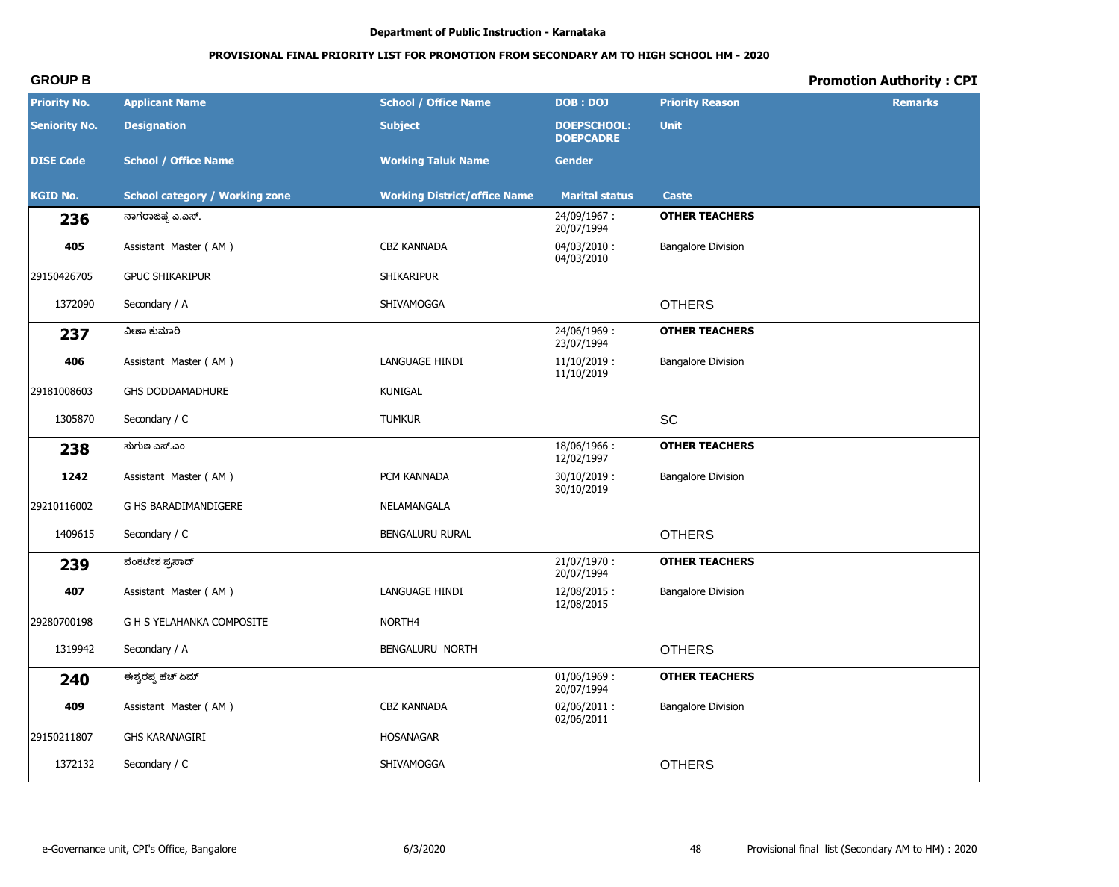# PROVISIONAL FINAL PRIORITY LIST FOR PROMOTION FROM SECONDARY AM TO HIGH SCHOOL HM - 2020

# **Promotion Authority: CPI**

| <b>Priority No.</b>  | <b>Applicant Name</b>                 | <b>School / Office Name</b>         | <b>DOB: DOJ</b>                        | <b>Priority Reason</b>    | <b>Remarks</b> |
|----------------------|---------------------------------------|-------------------------------------|----------------------------------------|---------------------------|----------------|
| <b>Seniority No.</b> | <b>Designation</b>                    | <b>Subject</b>                      | <b>DOEPSCHOOL:</b><br><b>DOEPCADRE</b> | <b>Unit</b>               |                |
| <b>DISE Code</b>     | <b>School / Office Name</b>           | <b>Working Taluk Name</b>           | <b>Gender</b>                          |                           |                |
| <b>KGID No.</b>      | <b>School category / Working zone</b> | <b>Working District/office Name</b> | <b>Marital status</b>                  | <b>Caste</b>              |                |
| 236                  | ನಾಗರಾಜಪ್ಪ ಎ.ಎಸ್.                      |                                     | 24/09/1967:<br>20/07/1994              | <b>OTHER TEACHERS</b>     |                |
| 405                  | Assistant Master (AM)                 | <b>CBZ KANNADA</b>                  | $04/03/2010$ :<br>04/03/2010           | <b>Bangalore Division</b> |                |
| 29150426705          | <b>GPUC SHIKARIPUR</b>                | <b>SHIKARIPUR</b>                   |                                        |                           |                |
| 1372090              | Secondary / A                         | SHIVAMOGGA                          |                                        | <b>OTHERS</b>             |                |
| 237                  | ವೀಣಾ ಕುಮಾರಿ                           |                                     | 24/06/1969:<br>23/07/1994              | <b>OTHER TEACHERS</b>     |                |
| 406                  | Assistant Master (AM)                 | LANGUAGE HINDI                      | $11/10/2019$ :<br>11/10/2019           | <b>Bangalore Division</b> |                |
| 29181008603          | GHS DODDAMADHURE                      | <b>KUNIGAL</b>                      |                                        |                           |                |
| 1305870              | Secondary / C                         | <b>TUMKUR</b>                       |                                        | SC                        |                |
| 238                  | ಸುಗುಣ ಎಸ್.ಎಂ                          |                                     | 18/06/1966:<br>12/02/1997              | <b>OTHER TEACHERS</b>     |                |
| 1242                 | Assistant Master (AM)                 | PCM KANNADA                         | $30/10/2019$ :<br>30/10/2019           | <b>Bangalore Division</b> |                |
| 29210116002          | G HS BARADIMANDIGERE                  | NELAMANGALA                         |                                        |                           |                |
| 1409615              | Secondary / C                         | BENGALURU RURAL                     |                                        | <b>OTHERS</b>             |                |
| 239                  | ವೆಂಕಟೇಶ ಪ್ರಸಾದ್                       |                                     | $21/07/1970$ :<br>20/07/1994           | <b>OTHER TEACHERS</b>     |                |
| 407                  | Assistant Master (AM)                 | LANGUAGE HINDI                      | 12/08/2015:<br>12/08/2015              | <b>Bangalore Division</b> |                |
| 29280700198          | G H S YELAHANKA COMPOSITE             | NORTH4                              |                                        |                           |                |
| 1319942              | Secondary / A                         | BENGALURU NORTH                     |                                        | <b>OTHERS</b>             |                |
| 240                  | ಈಶ್ವರಪ್ಪ ಹೆಚ್ ಏಮ್                     |                                     | 01/06/1969:<br>20/07/1994              | <b>OTHER TEACHERS</b>     |                |
| 409                  | Assistant Master (AM)                 | CBZ KANNADA                         | 02/06/2011:<br>02/06/2011              | <b>Bangalore Division</b> |                |
| 29150211807          | GHS KARANAGIRI                        | HOSANAGAR                           |                                        |                           |                |
| 1372132              | Secondary / C                         | SHIVAMOGGA                          |                                        | <b>OTHERS</b>             |                |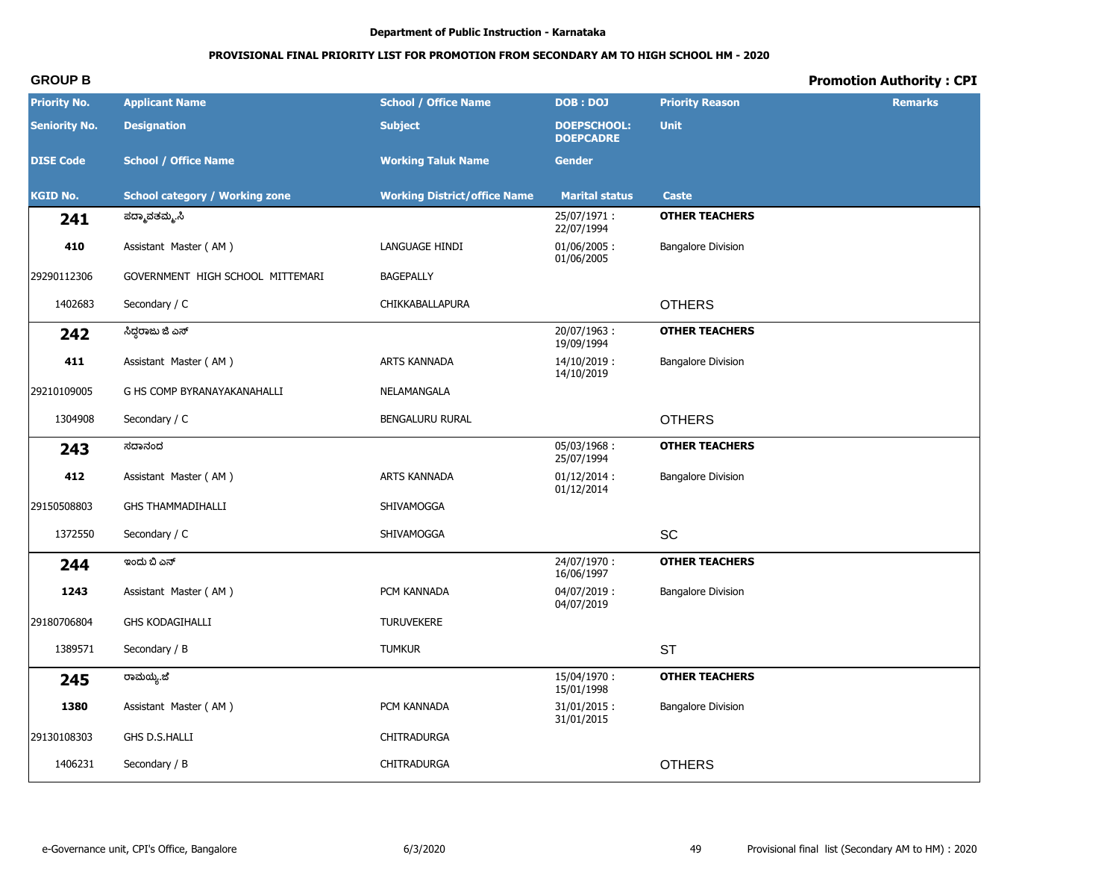# PROVISIONAL FINAL PRIORITY LIST FOR PROMOTION FROM SECONDARY AM TO HIGH SCHOOL HM - 2020

# **Promotion Authority: CPI**

| <b>Priority No.</b>  | <b>Applicant Name</b>                 | <b>School / Office Name</b>         | <b>DOB: DOJ</b>                        | <b>Priority Reason</b>    | <b>Remarks</b> |
|----------------------|---------------------------------------|-------------------------------------|----------------------------------------|---------------------------|----------------|
| <b>Seniority No.</b> | <b>Designation</b>                    | <b>Subject</b>                      | <b>DOEPSCHOOL:</b><br><b>DOEPCADRE</b> | <b>Unit</b>               |                |
| <b>DISE Code</b>     | <b>School / Office Name</b>           | <b>Working Taluk Name</b>           | <b>Gender</b>                          |                           |                |
| <b>KGID No.</b>      | <b>School category / Working zone</b> | <b>Working District/office Name</b> | <b>Marital status</b>                  | <b>Caste</b>              |                |
| 241                  | ಪದ್ಮಾವತಮ್ಮ.ಸಿ                         |                                     | 25/07/1971:<br>22/07/1994              | <b>OTHER TEACHERS</b>     |                |
| 410                  | Assistant Master (AM)                 | LANGUAGE HINDI                      | $01/06/2005$ :<br>01/06/2005           | <b>Bangalore Division</b> |                |
| 29290112306          | GOVERNMENT HIGH SCHOOL MITTEMARI      | <b>BAGEPALLY</b>                    |                                        |                           |                |
| 1402683              | Secondary / C                         | CHIKKABALLAPURA                     |                                        | <b>OTHERS</b>             |                |
| 242                  | ಸಿದ್ದರಾಜು ಜಿ ಎಸ್                      |                                     | 20/07/1963:<br>19/09/1994              | <b>OTHER TEACHERS</b>     |                |
| 411                  | Assistant Master (AM)                 | ARTS KANNADA                        | 14/10/2019:<br>14/10/2019              | <b>Bangalore Division</b> |                |
| 29210109005          | G HS COMP BYRANAYAKANAHALLI           | NELAMANGALA                         |                                        |                           |                |
| 1304908              | Secondary / C                         | BENGALURU RURAL                     |                                        | <b>OTHERS</b>             |                |
| 243                  | ಸದಾನಂದ                                |                                     | 05/03/1968:<br>25/07/1994              | <b>OTHER TEACHERS</b>     |                |
| 412                  | Assistant Master (AM)                 | ARTS KANNADA                        | $01/12/2014$ :<br>01/12/2014           | <b>Bangalore Division</b> |                |
| 29150508803          | <b>GHS THAMMADIHALLI</b>              | SHIVAMOGGA                          |                                        |                           |                |
| 1372550              | Secondary / C                         | SHIVAMOGGA                          |                                        | SC                        |                |
| 244                  | ಇಂದು ಬಿ ಎನ್                           |                                     | 24/07/1970:<br>16/06/1997              | <b>OTHER TEACHERS</b>     |                |
| 1243                 | Assistant Master (AM)                 | PCM KANNADA                         | 04/07/2019:<br>04/07/2019              | <b>Bangalore Division</b> |                |
| 29180706804          | <b>GHS KODAGIHALLI</b>                | <b>TURUVEKERE</b>                   |                                        |                           |                |
| 1389571              | Secondary / B                         | <b>TUMKUR</b>                       |                                        | <b>ST</b>                 |                |
| 245                  | ರಾಮಯ್ಯೆ.ಜೆ                            |                                     | 15/04/1970:<br>15/01/1998              | <b>OTHER TEACHERS</b>     |                |
| 1380                 | Assistant Master (AM)                 | PCM KANNADA                         | $31/01/2015$ :<br>31/01/2015           | <b>Bangalore Division</b> |                |
| 29130108303          | GHS D.S.HALLI                         | CHITRADURGA                         |                                        |                           |                |
| 1406231              | Secondary / B                         | CHITRADURGA                         |                                        | <b>OTHERS</b>             |                |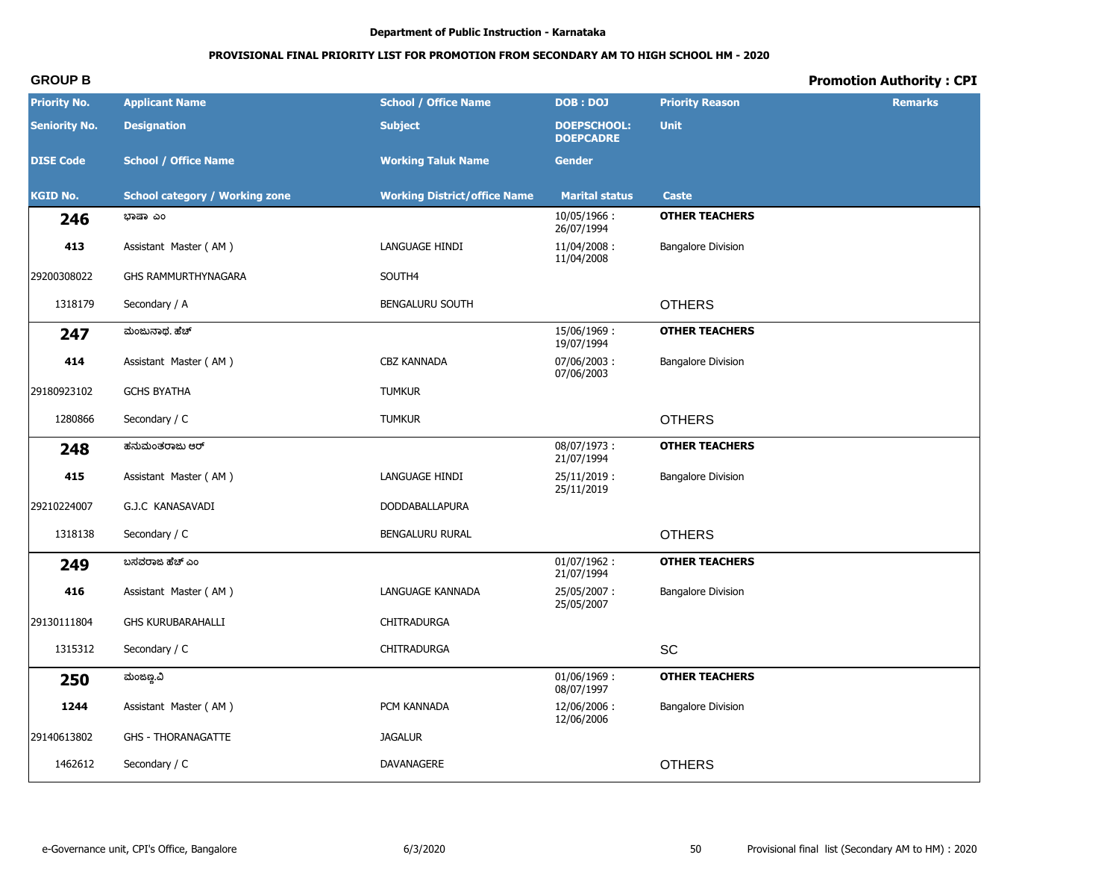# **PROVISIONAL FINAL PRIORITY LIST FOR PROMOTION FROM SECONDARY AM TO HIGH SCHOOL HM - 2020**

| <b>Priority No.</b>  | <b>Applicant Name</b>                 | <b>School / Office Name</b>         | <b>DOB: DOJ</b>                        | <b>Priority Reason</b>    | <b>Remarks</b> |
|----------------------|---------------------------------------|-------------------------------------|----------------------------------------|---------------------------|----------------|
| <b>Seniority No.</b> | <b>Designation</b>                    | <b>Subject</b>                      | <b>DOEPSCHOOL:</b><br><b>DOEPCADRE</b> | <b>Unit</b>               |                |
| <b>DISE Code</b>     | <b>School / Office Name</b>           | <b>Working Taluk Name</b>           | <b>Gender</b>                          |                           |                |
| <b>KGID No.</b>      | <b>School category / Working zone</b> | <b>Working District/office Name</b> | <b>Marital status</b>                  | <b>Caste</b>              |                |
| 246                  | ಭಾಷಾ ಎಂ                               |                                     | 10/05/1966:<br>26/07/1994              | <b>OTHER TEACHERS</b>     |                |
| 413                  | Assistant Master (AM)                 | LANGUAGE HINDI                      | 11/04/2008:<br>11/04/2008              | <b>Bangalore Division</b> |                |
| 29200308022          | GHS RAMMURTHYNAGARA                   | SOUTH4                              |                                        |                           |                |
| 1318179              | Secondary / A                         | BENGALURU SOUTH                     |                                        | <b>OTHERS</b>             |                |
| 247                  | ಮಂಜುನಾಥ. ಹೆಚ್                         |                                     | 15/06/1969:<br>19/07/1994              | <b>OTHER TEACHERS</b>     |                |
| 414                  | Assistant Master (AM)                 | CBZ KANNADA                         | 07/06/2003:<br>07/06/2003              | <b>Bangalore Division</b> |                |
| 29180923102          | <b>GCHS BYATHA</b>                    | <b>TUMKUR</b>                       |                                        |                           |                |
| 1280866              | Secondary / C                         | <b>TUMKUR</b>                       |                                        | <b>OTHERS</b>             |                |
| 248                  | ಹನುಮಂತರಾಜು ಆರ್                        |                                     | 08/07/1973:<br>21/07/1994              | <b>OTHER TEACHERS</b>     |                |
| 415                  | Assistant Master (AM)                 | LANGUAGE HINDI                      | $25/11/2019$ :<br>25/11/2019           | <b>Bangalore Division</b> |                |
| 29210224007          | G.J.C KANASAVADI                      | <b>DODDABALLAPURA</b>               |                                        |                           |                |
| 1318138              | Secondary / C                         | BENGALURU RURAL                     |                                        | <b>OTHERS</b>             |                |
| 249                  | ಬಸವರಾಜ ಹೆಚ್ ಎಂ                        |                                     | $01/07/1962$ :<br>21/07/1994           | <b>OTHER TEACHERS</b>     |                |
| 416                  | Assistant Master (AM)                 | LANGUAGE KANNADA                    | 25/05/2007:<br>25/05/2007              | <b>Bangalore Division</b> |                |
| 29130111804          | <b>GHS KURUBARAHALLI</b>              | CHITRADURGA                         |                                        |                           |                |
| 1315312              | Secondary / C                         | CHITRADURGA                         |                                        | <b>SC</b>                 |                |
| 250                  | ಮಂಜಣ್ಣ.ವಿ                             |                                     | 01/06/1969:<br>08/07/1997              | <b>OTHER TEACHERS</b>     |                |
| 1244                 | Assistant Master (AM)                 | PCM KANNADA                         | 12/06/2006:<br>12/06/2006              | <b>Bangalore Division</b> |                |
| 29140613802          | <b>GHS - THORANAGATTE</b>             | <b>JAGALUR</b>                      |                                        |                           |                |
| 1462612              | Secondary / C                         | DAVANAGERE                          |                                        | <b>OTHERS</b>             |                |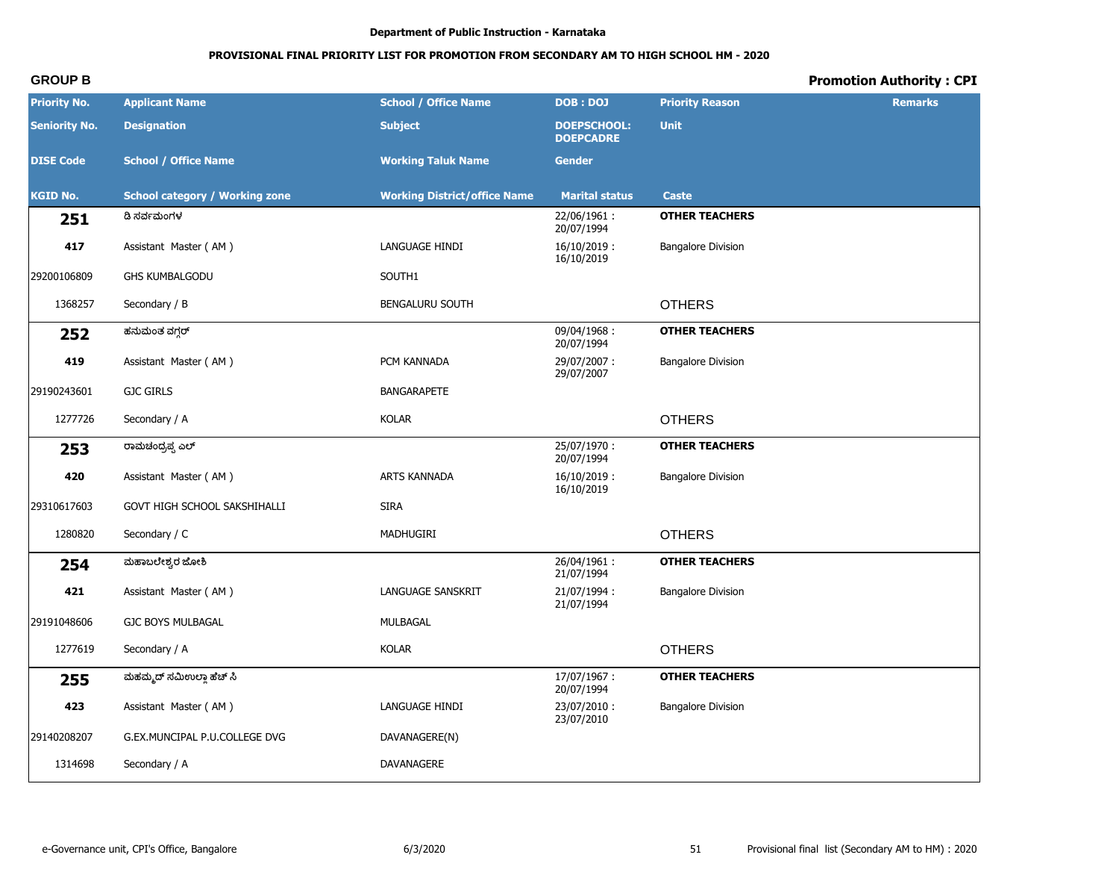# **PROVISIONAL FINAL PRIORITY LIST FOR PROMOTION FROM SECONDARY AM TO HIGH SCHOOL HM - 2020**

| <b>Priority No.</b>  | <b>Applicant Name</b>                 | <b>School / Office Name</b>         | <b>DOB: DOJ</b>                        | <b>Priority Reason</b>    | <b>Remarks</b> |
|----------------------|---------------------------------------|-------------------------------------|----------------------------------------|---------------------------|----------------|
| <b>Seniority No.</b> | <b>Designation</b>                    | <b>Subject</b>                      | <b>DOEPSCHOOL:</b><br><b>DOEPCADRE</b> | <b>Unit</b>               |                |
| <b>DISE Code</b>     | <b>School / Office Name</b>           | <b>Working Taluk Name</b>           | <b>Gender</b>                          |                           |                |
| <b>KGID No.</b>      | <b>School category / Working zone</b> | <b>Working District/office Name</b> | <b>Marital status</b>                  | <b>Caste</b>              |                |
| 251                  | ಡಿ ಸರ್ವಮಂಗಳ                           |                                     | 22/06/1961:<br>20/07/1994              | <b>OTHER TEACHERS</b>     |                |
| 417                  | Assistant Master (AM)                 | LANGUAGE HINDI                      | $16/10/2019$ :<br>16/10/2019           | <b>Bangalore Division</b> |                |
| 29200106809          | <b>GHS KUMBALGODU</b>                 | SOUTH1                              |                                        |                           |                |
| 1368257              | Secondary / B                         | <b>BENGALURU SOUTH</b>              |                                        | <b>OTHERS</b>             |                |
| 252                  | ಹನುಮಂತ ವಗ್ಗರ್                         |                                     | 09/04/1968:<br>20/07/1994              | <b>OTHER TEACHERS</b>     |                |
| 419                  | Assistant Master (AM)                 | PCM KANNADA                         | 29/07/2007:<br>29/07/2007              | <b>Bangalore Division</b> |                |
| 29190243601          | <b>GJC GIRLS</b>                      | <b>BANGARAPETE</b>                  |                                        |                           |                |
| 1277726              | Secondary / A                         | <b>KOLAR</b>                        |                                        | <b>OTHERS</b>             |                |
| 253                  | ರಾಮಚಂದ್ರಪ್ಪ ಎಲ್                       |                                     | 25/07/1970:<br>20/07/1994              | <b>OTHER TEACHERS</b>     |                |
| 420                  | Assistant Master (AM)                 | ARTS KANNADA                        | $16/10/2019$ :<br>16/10/2019           | <b>Bangalore Division</b> |                |
| 29310617603          | GOVT HIGH SCHOOL SAKSHIHALLI          | <b>SIRA</b>                         |                                        |                           |                |
| 1280820              | Secondary / C                         | MADHUGIRI                           |                                        | <b>OTHERS</b>             |                |
| 254                  | ಮಹಾಬಲೇಶ್ವರ ಜೋಶಿ                       |                                     | 26/04/1961:<br>21/07/1994              | <b>OTHER TEACHERS</b>     |                |
| 421                  | Assistant Master (AM)                 | <b>LANGUAGE SANSKRIT</b>            | 21/07/1994:<br>21/07/1994              | <b>Bangalore Division</b> |                |
| 29191048606          | <b>GJC BOYS MULBAGAL</b>              | MULBAGAL                            |                                        |                           |                |
| 1277619              | Secondary / A                         | <b>KOLAR</b>                        |                                        | <b>OTHERS</b>             |                |
| 255                  | ಮಹಮ್ಮದ್ ಸಮಿಉಲ್ಲಾ ಹೆಚ್ ಸಿ              |                                     | 17/07/1967:<br>20/07/1994              | <b>OTHER TEACHERS</b>     |                |
| 423                  | Assistant Master (AM)                 | LANGUAGE HINDI                      | 23/07/2010:<br>23/07/2010              | <b>Bangalore Division</b> |                |
| 29140208207          | G.EX.MUNCIPAL P.U.COLLEGE DVG         | DAVANAGERE(N)                       |                                        |                           |                |
| 1314698              | Secondary / A                         | DAVANAGERE                          |                                        |                           |                |